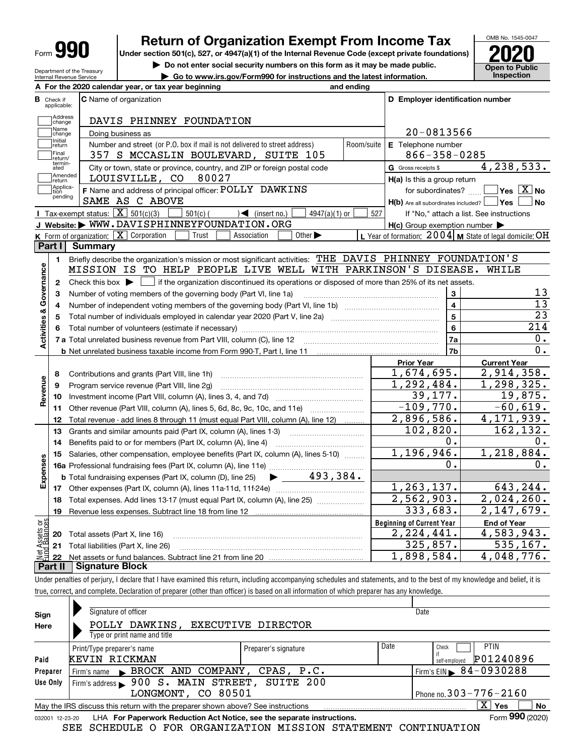| Form |
|------|
|------|

# **Return of Organization Exempt From Income Tax**

**Under section 501(c), 527, or 4947(a)(1) of the Internal Revenue Code (except private foundations) 2020**



**| Do not enter social security numbers on this form as it may be made public. | Go to www.irs.gov/Form990 for instructions and the latest information. Inspection**

Department of the Treasury Internal Revenue Service **A For the 2020 calendar year, or tax year beginning and ending**

| В                       |                         | <b>C</b> Name of organization                                                                                                               |                |                                                     |                                                           |  |  |
|-------------------------|-------------------------|---------------------------------------------------------------------------------------------------------------------------------------------|----------------|-----------------------------------------------------|-----------------------------------------------------------|--|--|
|                         | Check if<br>applicable: |                                                                                                                                             |                | D Employer identification number                    |                                                           |  |  |
|                         | Address<br>change       | DAVIS PHINNEY FOUNDATION                                                                                                                    |                |                                                     |                                                           |  |  |
|                         | Name<br>change          | Doing business as                                                                                                                           |                | 20-0813566                                          |                                                           |  |  |
|                         | Initial<br>return       | Number and street (or P.O. box if mail is not delivered to street address)                                                                  | Room/suite     | E Telephone number                                  |                                                           |  |  |
|                         | Final<br>return/        | 357 S MCCASLIN BOULEVARD, SUITE 105                                                                                                         |                | $866 - 358 - 0285$                                  |                                                           |  |  |
|                         | termin-<br>ated         | City or town, state or province, country, and ZIP or foreign postal code                                                                    |                | G Gross receipts \$                                 | 4, 238, 533.                                              |  |  |
|                         | Amended<br>Ireturn      | LOUISVILLE, CO<br>80027                                                                                                                     |                | H(a) Is this a group return                         |                                                           |  |  |
|                         | Applica-<br>ltion       | F Name and address of principal officer: POLLY DAWKINS                                                                                      |                | for subordinates?                                   | $\sqrt{\ }$ Yes $\sqrt{\ \text{X}}$ No                    |  |  |
|                         | pending                 | SAME AS C ABOVE                                                                                                                             |                | $H(b)$ Are all subordinates included? $\Box$ Yes    | l No                                                      |  |  |
|                         |                         | Tax-exempt status: $X \overline{X}$ 501(c)(3)<br>$\exists$ 501(c) ( ) (insert no.)<br>$4947(a)(1)$ or                                       | 527            |                                                     | If "No," attach a list. See instructions                  |  |  |
|                         |                         | J Website: WWW.DAVISPHINNEYFOUNDATION.ORG                                                                                                   |                | $H(c)$ Group exemption number $\blacktriangleright$ |                                                           |  |  |
|                         |                         | <b>K</b> Form of organization: $\boxed{\mathbf{X}}$ Corporation<br>Other $\blacktriangleright$<br>Trust<br>Association                      |                |                                                     | L Year of formation: $2004$ M State of legal domicile: OH |  |  |
|                         | Part I                  | <b>Summary</b>                                                                                                                              |                |                                                     |                                                           |  |  |
|                         | 1.                      | Briefly describe the organization's mission or most significant activities: THE DAVIS PHINNEY FOUNDATION'S                                  |                |                                                     |                                                           |  |  |
|                         |                         | MISSION IS TO HELP PEOPLE LIVE WELL WITH PARKINSON'S DISEASE. WHILE                                                                         |                |                                                     |                                                           |  |  |
| Activities & Governance | $\mathbf{2}$            | Check this box $\blacktriangleright$ $\Box$ if the organization discontinued its operations or disposed of more than 25% of its net assets. |                |                                                     |                                                           |  |  |
|                         | 3                       | Number of voting members of the governing body (Part VI, line 1a)                                                                           |                | 3                                                   | 13                                                        |  |  |
|                         | 4                       | Number of independent voting members of the governing body (Part VI, line 1b)                                                               | $\overline{4}$ | $\overline{13}$                                     |                                                           |  |  |
|                         | 5                       |                                                                                                                                             | $\overline{5}$ | $\overline{23}$                                     |                                                           |  |  |
|                         | 6                       |                                                                                                                                             |                | $6\phantom{a}$                                      | 214                                                       |  |  |
|                         |                         |                                                                                                                                             | 7a             | 0.                                                  |                                                           |  |  |
|                         |                         | <b>b</b> Net unrelated business taxable income from Form 990-T, Part I, line 11 <b>manual</b> content in the substitution of                |                | 7b                                                  | 0.                                                        |  |  |
|                         |                         |                                                                                                                                             |                | <b>Prior Year</b>                                   | <b>Current Year</b>                                       |  |  |
|                         | 8                       | Contributions and grants (Part VIII, line 1h)                                                                                               |                | 1,674,695.                                          | 2,914,358.                                                |  |  |
| Revenue                 | 9                       | Program service revenue (Part VIII, line 2g)                                                                                                |                | 1,292,484.                                          | 1,298,325.                                                |  |  |
|                         | 10                      |                                                                                                                                             |                | 39,177.                                             | 19,875.                                                   |  |  |
|                         | 11                      | Other revenue (Part VIII, column (A), lines 5, 6d, 8c, 9c, 10c, and 11e)                                                                    |                | $-109,770.$                                         | $-60,619.$                                                |  |  |
|                         | 12                      | Total revenue - add lines 8 through 11 (must equal Part VIII, column (A), line 12)                                                          |                | 2,896,586.                                          | 4, 171, 939.                                              |  |  |
|                         | 13                      | Grants and similar amounts paid (Part IX, column (A), lines 1-3)                                                                            |                | 102,820.                                            | 162,132.                                                  |  |  |
|                         | 14                      | Benefits paid to or for members (Part IX, column (A), line 4)                                                                               |                | 0.                                                  | 0.                                                        |  |  |
|                         | 15                      | Salaries, other compensation, employee benefits (Part IX, column (A), lines 5-10)                                                           |                | 1,196,946.                                          | 1,218,884.                                                |  |  |
| Expenses                |                         |                                                                                                                                             |                | 0.                                                  | 0.                                                        |  |  |
|                         |                         | 493,384.<br>$\blacktriangleright$ and $\blacktriangleright$<br><b>b</b> Total fundraising expenses (Part IX, column (D), line 25)           |                |                                                     |                                                           |  |  |
|                         |                         |                                                                                                                                             |                | 1, 263, 137.                                        | 643,244.                                                  |  |  |
|                         | 18                      | Total expenses. Add lines 13-17 (must equal Part IX, column (A), line 25)                                                                   |                | 2,562,903.                                          | 2,024,260.                                                |  |  |
|                         | 19                      | Revenue less expenses. Subtract line 18 from line 12 [11] [12] [11] [12] [11] [12] [11] [12] [11] [12] [11] [1                              |                | 333,683.                                            | 2,147,679.                                                |  |  |
| ăğ                      |                         |                                                                                                                                             |                | <b>Beginning of Current Year</b>                    | <b>End of Year</b>                                        |  |  |
| sets                    | 20                      | Total assets (Part X, line 16)                                                                                                              |                | 2,224,441.                                          | 4,583,943.                                                |  |  |
|                         |                         | 21 Total liabilities (Part X, line 26)                                                                                                      |                | 325,857.<br>1,898,584.                              | 535, 167.<br>4,048,776.                                   |  |  |
|                         | 22<br>Part II           | <b>Signature Block</b>                                                                                                                      |                |                                                     |                                                           |  |  |
|                         |                         |                                                                                                                                             |                |                                                     |                                                           |  |  |

Under penalties of perjury, I declare that I have examined this return, including accompanying schedules and statements, and to the best of my knowledge and belief, it is true, correct, and complete. Declaration of preparer (other than officer) is based on all information of which preparer has any knowledge.

| Sign                                                                                                           | Signature of officer                                                                                         |                      |                              | Date                                   |  |  |  |  |
|----------------------------------------------------------------------------------------------------------------|--------------------------------------------------------------------------------------------------------------|----------------------|------------------------------|----------------------------------------|--|--|--|--|
| Here                                                                                                           | POLLY DAWKINS,                                                                                               | EXECUTIVE DIRECTOR   |                              |                                        |  |  |  |  |
|                                                                                                                | Type or print name and title                                                                                 |                      |                              |                                        |  |  |  |  |
|                                                                                                                | Print/Type preparer's name                                                                                   | Preparer's signature | Date                         | <b>PTIN</b><br>Check                   |  |  |  |  |
| Paid                                                                                                           | KEVIN RICKMAN                                                                                                |                      |                              | P01240896<br>self-employed             |  |  |  |  |
| Preparer                                                                                                       | Firm's name BROCK AND COMPANY,                                                                               | CPAS, P.C.           |                              | Firm's EIN $\triangleright$ 84-0930288 |  |  |  |  |
| Use Only                                                                                                       | Firm's address > 900 S. MAIN STREET, SUITE 200                                                               |                      |                              |                                        |  |  |  |  |
|                                                                                                                | LONGMONT, CO 80501                                                                                           |                      | Phone no. $303 - 776 - 2160$ |                                        |  |  |  |  |
| $\mathbf{X}$<br>No<br>∣ Yes<br>May the IRS discuss this return with the preparer shown above? See instructions |                                                                                                              |                      |                              |                                        |  |  |  |  |
|                                                                                                                | Form 990 (2020)<br>LHA For Paperwork Reduction Act Notice, see the separate instructions.<br>032001 12-23-20 |                      |                              |                                        |  |  |  |  |

SEE SCHEDULE O FOR ORGANIZATION MISSION STATEMENT CONTINUATION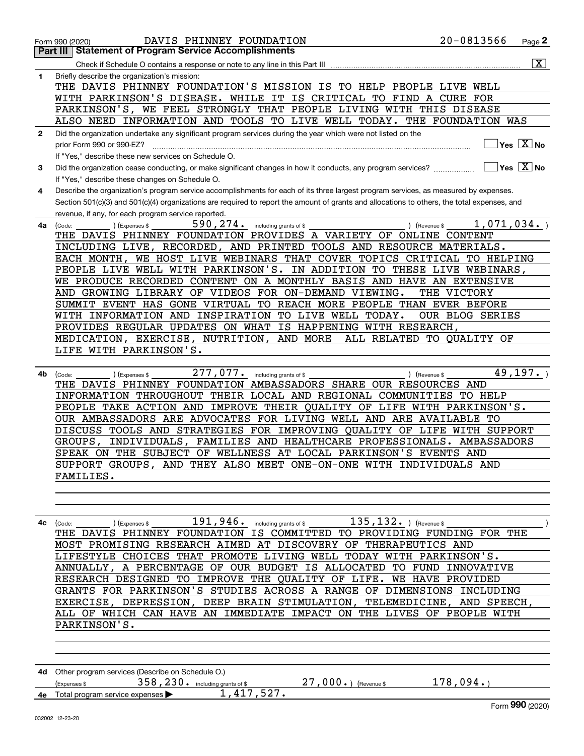|              |                                                                                                                                              | 20-0813566        |                                        |  |  |  |
|--------------|----------------------------------------------------------------------------------------------------------------------------------------------|-------------------|----------------------------------------|--|--|--|
|              | DAVIS PHINNEY FOUNDATION<br>Form 990 (2020)<br><b>Statement of Program Service Accomplishments</b><br>Part III                               |                   | Page $2$                               |  |  |  |
|              |                                                                                                                                              |                   | - X I                                  |  |  |  |
|              | Check if Schedule O contains a response or note to any line in this Part III                                                                 |                   |                                        |  |  |  |
| 1            | Briefly describe the organization's mission:<br>THE DAVIS PHINNEY FOUNDATION'S MISSION IS TO HELP PEOPLE LIVE WELL                           |                   |                                        |  |  |  |
|              | WITH PARKINSON'S DISEASE. WHILE<br>IT<br>IS CRITICAL<br>TO FIND A CURE FOR                                                                   |                   |                                        |  |  |  |
|              | PARKINSON'S, WE FEEL STRONGLY THAT PEOPLE LIVING WITH THIS DISEASE                                                                           |                   |                                        |  |  |  |
|              | ALSO NEED INFORMATION AND TOOLS TO LIVE WELL TODAY. THE FOUNDATION WAS                                                                       |                   |                                        |  |  |  |
| $\mathbf{2}$ | Did the organization undertake any significant program services during the year which were not listed on the                                 |                   |                                        |  |  |  |
|              | prior Form 990 or 990-EZ?                                                                                                                    |                   | $Yes \top X$ No                        |  |  |  |
|              | If "Yes," describe these new services on Schedule O.                                                                                         |                   |                                        |  |  |  |
| З            | Did the organization cease conducting, or make significant changes in how it conducts, any program services?                                 |                   | $\sqrt{}$ Yes $\sqrt{}$ X $\sqrt{}$ No |  |  |  |
|              | If "Yes," describe these changes on Schedule O.                                                                                              |                   |                                        |  |  |  |
| 4            | Describe the organization's program service accomplishments for each of its three largest program services, as measured by expenses.         |                   |                                        |  |  |  |
|              | Section 501(c)(3) and 501(c)(4) organizations are required to report the amount of grants and allocations to others, the total expenses, and |                   |                                        |  |  |  |
|              | revenue, if any, for each program service reported.                                                                                          |                   |                                        |  |  |  |
| 4а           | 590,274.<br>including grants of \$<br>(Code:<br>(Expenses \$<br>) (Revenue \$                                                                | 1,071,034.        |                                        |  |  |  |
|              | THE DAVIS PHINNEY FOUNDATION PROVIDES A VARIETY OF ONLINE CONTENT                                                                            |                   |                                        |  |  |  |
|              | INCLUDING LIVE, RECORDED, AND PRINTED<br>TOOLS AND RESOURCE MATERIALS.                                                                       |                   |                                        |  |  |  |
|              | WE HOST LIVE WEBINARS THAT COVER TOPICS CRITICAL TO HELPING<br>EACH MONTH,                                                                   |                   |                                        |  |  |  |
|              | PEOPLE LIVE WELL WITH PARKINSON'S.<br>IN ADDITION TO THESE                                                                                   | LIVE WEBINARS,    |                                        |  |  |  |
|              | PRODUCE RECORDED CONTENT ON A MONTHLY BASIS AND HAVE AN EXTENSIVE<br>WE.                                                                     |                   |                                        |  |  |  |
|              | THE VICTORY<br>AND GROWING LIBRARY OF VIDEOS FOR ON-DEMAND VIEWING.                                                                          |                   |                                        |  |  |  |
|              | TO REACH MORE PEOPLE THAN EVER BEFORE<br>SUMMIT EVENT HAS GONE VIRTUAL                                                                       |                   |                                        |  |  |  |
|              | WITH INFORMATION AND INSPIRATION TO LIVE WELL TODAY.<br>OUR BLOG SERIES                                                                      |                   |                                        |  |  |  |
|              | PROVIDES REGULAR UPDATES ON WHAT IS HAPPENING WITH RESEARCH                                                                                  |                   |                                        |  |  |  |
|              | MEDICATION, EXERCISE, NUTRITION,<br>AND MORE<br>ALL RELATED TO QUALITY OF                                                                    |                   |                                        |  |  |  |
|              | LIFE WITH PARKINSON'S.                                                                                                                       |                   |                                        |  |  |  |
|              |                                                                                                                                              |                   |                                        |  |  |  |
| 4b           | 277,077.<br>including grants of \$<br>) (Revenue \$<br>(Code:<br>(Expenses \$                                                                |                   | 49, 197.                               |  |  |  |
|              | THE DAVIS PHINNEY FOUNDATION AMBASSADORS SHARE OUR RESOURCES AND                                                                             |                   |                                        |  |  |  |
|              | INFORMATION THROUGHOUT THEIR LOCAL AND REGIONAL COMMUNITIES TO HELP                                                                          |                   |                                        |  |  |  |
|              | PEOPLE TAKE ACTION AND IMPROVE THEIR QUALITY OF LIFE                                                                                         | WITH PARKINSON'S. |                                        |  |  |  |
|              | OUR AMBASSADORS ARE ADVOCATES FOR LIVING WELL AND ARE AVAILABLE                                                                              | TО                |                                        |  |  |  |
|              | DISCUSS TOOLS AND STRATEGIES FOR IMPROVING QUALITY OF LIFE WITH SUPPORT                                                                      |                   |                                        |  |  |  |
|              | FAMILIES AND HEALTHCARE PROFESSIONALS. AMBASSADORS<br>INDIVIDUALS,<br>GROUPS ,                                                               |                   |                                        |  |  |  |
|              | SPEAK ON THE SUBJECT OF WELLNESS AT LOCAL PARKINSON'S EVENTS AND                                                                             |                   |                                        |  |  |  |
|              | SUPPORT GROUPS,<br>AND THEY ALSO MEET ONE-ON-ONE WITH INDIVIDUALS AND                                                                        |                   |                                        |  |  |  |
|              | FAMILIES.                                                                                                                                    |                   |                                        |  |  |  |
|              |                                                                                                                                              |                   |                                        |  |  |  |
|              |                                                                                                                                              |                   |                                        |  |  |  |
|              | .                                                                                                                                            |                   |                                        |  |  |  |

Code:**4c**((Code: ) (Expenses \$ 191,946. including grants of \$ 135,132. ) (Revenue \$ ) THE DAVIS PHINNEY FOUNDATION IS COMMITTED TO PROVIDING FUNDING FOR THE MOST PROMISING RESEARCH AIMED AT DISCOVERY OF THERAPEUTICS AND LIFESTYLE CHOICES THAT PROMOTE LIVING WELL TODAY WITH PARKINSON'S. ANNUALLY, A PERCENTAGE OF OUR BUDGET IS ALLOCATED TO FUND INNOVATIVE RESEARCH DESIGNED TO IMPROVE THE QUALITY OF LIFE. WE HAVE PROVIDED GRANTS FOR PARKINSON'S STUDIES ACROSS A RANGE OF DIMENSIONS INCLUDING EXERCISE, DEPRESSION, DEEP BRAIN STIMULATION, TELEMEDICINE, AND SPEECH, ALL OF WHICH CAN HAVE AN IMMEDIATE IMPACT ON THE LIVES OF PEOPLE WITH PARKINSON'S.

| 4d Other program services (Describe on Schedule O.)            |          |                     |          |  |  |
|----------------------------------------------------------------|----------|---------------------|----------|--|--|
| $358, 230$ $\cdot$ including grants of \$<br>(Expenses \$      |          | 000.<br>(Revenue \$ | 178.094. |  |  |
| <b>4e</b> Total program service expenses $\blacktriangleright$ | 417,527. |                     |          |  |  |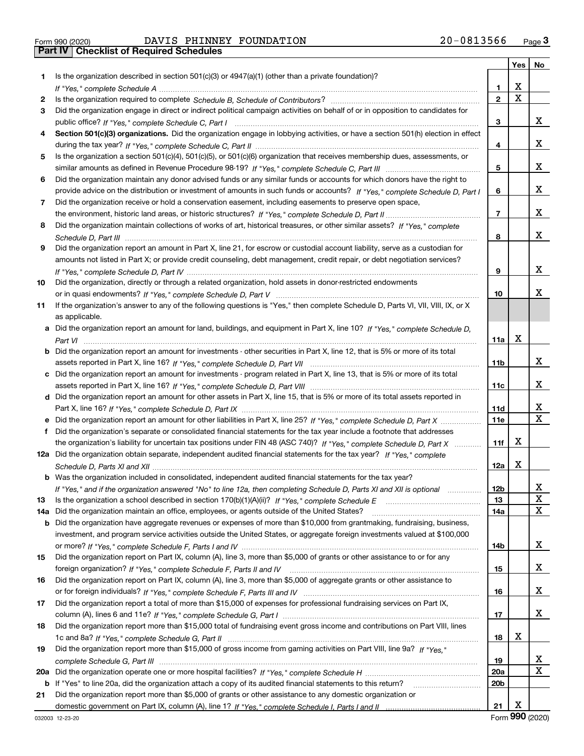|  | Form 990 (2020) |
|--|-----------------|

|     |                                                                                                                                  |                 | Yes | No.    |
|-----|----------------------------------------------------------------------------------------------------------------------------------|-----------------|-----|--------|
| 1.  | Is the organization described in section $501(c)(3)$ or $4947(a)(1)$ (other than a private foundation)?                          |                 |     |        |
|     |                                                                                                                                  | 1               | x   |        |
| 2   |                                                                                                                                  | $\mathbf{2}$    | x   |        |
| 3   | Did the organization engage in direct or indirect political campaign activities on behalf of or in opposition to candidates for  |                 |     |        |
|     |                                                                                                                                  | 3               |     | х      |
| 4   | Section 501(c)(3) organizations. Did the organization engage in lobbying activities, or have a section 501(h) election in effect |                 |     |        |
|     |                                                                                                                                  | 4               |     | x      |
| 5   | Is the organization a section 501(c)(4), 501(c)(5), or 501(c)(6) organization that receives membership dues, assessments, or     |                 |     |        |
|     |                                                                                                                                  | 5               |     | x      |
| 6   | Did the organization maintain any donor advised funds or any similar funds or accounts for which donors have the right to        |                 |     |        |
|     | provide advice on the distribution or investment of amounts in such funds or accounts? If "Yes," complete Schedule D, Part I     | 6               |     | x      |
| 7   | Did the organization receive or hold a conservation easement, including easements to preserve open space,                        |                 |     |        |
|     |                                                                                                                                  | 7               |     | x      |
| 8   | Did the organization maintain collections of works of art, historical treasures, or other similar assets? If "Yes," complete     |                 |     |        |
|     |                                                                                                                                  | 8               |     | х      |
| 9   | Did the organization report an amount in Part X, line 21, for escrow or custodial account liability, serve as a custodian for    |                 |     |        |
|     | amounts not listed in Part X; or provide credit counseling, debt management, credit repair, or debt negotiation services?        |                 |     |        |
|     |                                                                                                                                  | 9               |     | x      |
| 10  | Did the organization, directly or through a related organization, hold assets in donor-restricted endowments                     |                 |     |        |
|     |                                                                                                                                  | 10              |     | x      |
| 11  | If the organization's answer to any of the following questions is "Yes," then complete Schedule D, Parts VI, VII, VIII, IX, or X |                 |     |        |
|     | as applicable.                                                                                                                   |                 |     |        |
|     | a Did the organization report an amount for land, buildings, and equipment in Part X, line 10? If "Yes," complete Schedule D,    |                 |     |        |
|     |                                                                                                                                  | 11a             | X   |        |
| b   | Did the organization report an amount for investments - other securities in Part X, line 12, that is 5% or more of its total     |                 |     |        |
|     |                                                                                                                                  | 11 <sub>b</sub> |     | x      |
|     | c Did the organization report an amount for investments - program related in Part X, line 13, that is 5% or more of its total    |                 |     |        |
|     |                                                                                                                                  | 11c             |     | х      |
|     | d Did the organization report an amount for other assets in Part X, line 15, that is 5% or more of its total assets reported in  |                 |     |        |
|     |                                                                                                                                  | 11d             |     | x      |
|     |                                                                                                                                  | 11e             |     | x      |
| f   | Did the organization's separate or consolidated financial statements for the tax year include a footnote that addresses          |                 |     |        |
|     | the organization's liability for uncertain tax positions under FIN 48 (ASC 740)? If "Yes," complete Schedule D, Part X           | 11f             | х   |        |
|     | 12a Did the organization obtain separate, independent audited financial statements for the tax year? If "Yes," complete          |                 |     |        |
|     |                                                                                                                                  | 12a             | x   |        |
|     | <b>b</b> Was the organization included in consolidated, independent audited financial statements for the tax year?               |                 |     |        |
|     | If "Yes," and if the organization answered "No" to line 12a, then completing Schedule D, Parts XI and XII is optional            | 12 <sub>b</sub> |     | х<br>X |
| 13  | Is the organization a school described in section $170(b)(1)(A)(ii)?$ If "Yes," complete Schedule E                              | 13              |     | x      |
| 14a | Did the organization maintain an office, employees, or agents outside of the United States?                                      | 14a             |     |        |
| b   | Did the organization have aggregate revenues or expenses of more than \$10,000 from grantmaking, fundraising, business,          |                 |     |        |
|     | investment, and program service activities outside the United States, or aggregate foreign investments valued at \$100,000       | 14b             |     | x      |
| 15  | Did the organization report on Part IX, column (A), line 3, more than \$5,000 of grants or other assistance to or for any        |                 |     |        |
|     |                                                                                                                                  | 15              |     | X.     |
|     | Did the organization report on Part IX, column (A), line 3, more than \$5,000 of aggregate grants or other assistance to         |                 |     |        |
| 16  |                                                                                                                                  | 16              |     | x      |
| 17  | Did the organization report a total of more than \$15,000 of expenses for professional fundraising services on Part IX,          |                 |     |        |
|     |                                                                                                                                  | 17              |     | X.     |
| 18  | Did the organization report more than \$15,000 total of fundraising event gross income and contributions on Part VIII, lines     |                 |     |        |
|     |                                                                                                                                  | 18              | х   |        |
| 19  | Did the organization report more than \$15,000 of gross income from gaming activities on Part VIII, line 9a? If "Yes."           |                 |     |        |
|     |                                                                                                                                  | 19              |     | x      |
| 20a |                                                                                                                                  | 20a             |     | x      |
| b   | If "Yes" to line 20a, did the organization attach a copy of its audited financial statements to this return?                     | 20 <sub>b</sub> |     |        |
| 21  | Did the organization report more than \$5,000 of grants or other assistance to any domestic organization or                      |                 |     |        |
|     |                                                                                                                                  | 21              | Χ   |        |
|     |                                                                                                                                  |                 |     |        |

Form (2020) **990**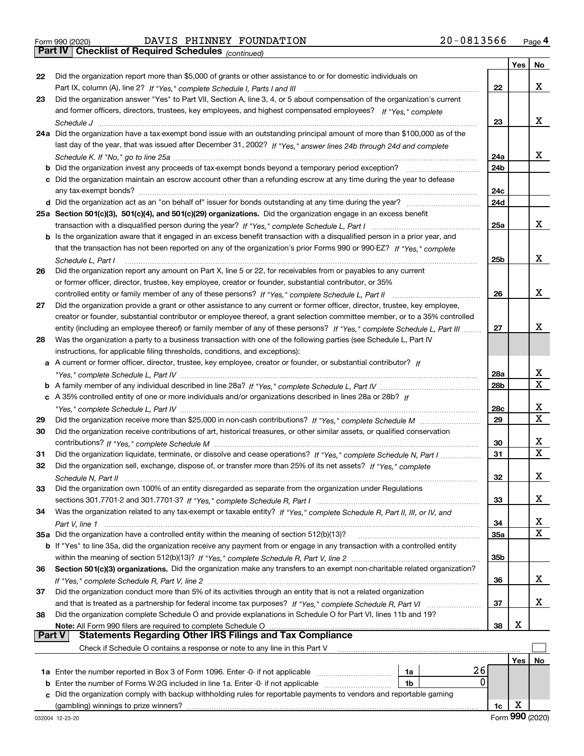|  | Form 990 (2020) |
|--|-----------------|
|  |                 |

*(continued)*

|    |                                                                                                                                                    |                        | Yes | No |
|----|----------------------------------------------------------------------------------------------------------------------------------------------------|------------------------|-----|----|
| 22 | Did the organization report more than \$5,000 of grants or other assistance to or for domestic individuals on                                      |                        |     |    |
|    |                                                                                                                                                    | 22                     |     | x  |
| 23 | Did the organization answer "Yes" to Part VII, Section A, line 3, 4, or 5 about compensation of the organization's current                         |                        |     |    |
|    | and former officers, directors, trustees, key employees, and highest compensated employees? If "Yes," complete                                     |                        |     |    |
|    |                                                                                                                                                    | 23                     |     | х  |
|    | 24a Did the organization have a tax-exempt bond issue with an outstanding principal amount of more than \$100,000 as of the                        |                        |     |    |
|    | last day of the year, that was issued after December 31, 2002? If "Yes," answer lines 24b through 24d and complete                                 |                        |     | х  |
|    | <b>b</b> Did the organization invest any proceeds of tax-exempt bonds beyond a temporary period exception?                                         | 24a<br>24b             |     |    |
|    | c Did the organization maintain an escrow account other than a refunding escrow at any time during the year to defease                             |                        |     |    |
|    | any tax-exempt bonds?                                                                                                                              | 24c                    |     |    |
|    |                                                                                                                                                    | 24d                    |     |    |
|    | 25a Section 501(c)(3), 501(c)(4), and 501(c)(29) organizations. Did the organization engage in an excess benefit                                   |                        |     |    |
|    |                                                                                                                                                    | 25a                    |     | х  |
|    | b Is the organization aware that it engaged in an excess benefit transaction with a disqualified person in a prior year, and                       |                        |     |    |
|    | that the transaction has not been reported on any of the organization's prior Forms 990 or 990-EZ? If "Yes," complete                              |                        |     |    |
|    | Schedule L, Part I                                                                                                                                 | 25b                    |     | х  |
| 26 | Did the organization report any amount on Part X, line 5 or 22, for receivables from or payables to any current                                    |                        |     |    |
|    | or former officer, director, trustee, key employee, creator or founder, substantial contributor, or 35%                                            |                        |     |    |
|    | controlled entity or family member of any of these persons? If "Yes," complete Schedule L, Part II                                                 | 26                     |     | х  |
| 27 | Did the organization provide a grant or other assistance to any current or former officer, director, trustee, key employee,                        |                        |     |    |
|    | creator or founder, substantial contributor or employee thereof, a grant selection committee member, or to a 35% controlled                        |                        |     |    |
|    | entity (including an employee thereof) or family member of any of these persons? If "Yes," complete Schedule L, Part III                           | 27                     |     | х  |
| 28 | Was the organization a party to a business transaction with one of the following parties (see Schedule L, Part IV                                  |                        |     |    |
|    | instructions, for applicable filing thresholds, conditions, and exceptions):                                                                       |                        |     |    |
|    | a A current or former officer, director, trustee, key employee, creator or founder, or substantial contributor? If                                 |                        |     | x  |
|    |                                                                                                                                                    | 28a<br>28 <sub>b</sub> |     | X  |
|    | c A 35% controlled entity of one or more individuals and/or organizations described in lines 28a or 28b? If                                        |                        |     |    |
|    |                                                                                                                                                    | 28c                    |     | х  |
| 29 |                                                                                                                                                    | 29                     |     | X  |
| 30 | Did the organization receive contributions of art, historical treasures, or other similar assets, or qualified conservation                        |                        |     |    |
|    |                                                                                                                                                    | 30                     |     | х  |
| 31 | Did the organization liquidate, terminate, or dissolve and cease operations? If "Yes," complete Schedule N, Part I                                 | 31                     |     | X  |
| 32 | Did the organization sell, exchange, dispose of, or transfer more than 25% of its net assets? If "Yes," complete                                   |                        |     |    |
|    | Schedule N. Part II                                                                                                                                | 32                     |     | х  |
| 33 | Did the organization own 100% of an entity disregarded as separate from the organization under Regulations                                         |                        |     |    |
|    |                                                                                                                                                    | 33                     |     | х  |
| 34 | Was the organization related to any tax-exempt or taxable entity? If "Yes," complete Schedule R, Part II, III, or IV, and                          |                        |     |    |
|    |                                                                                                                                                    | 34                     |     | x  |
|    | 35a Did the organization have a controlled entity within the meaning of section 512(b)(13)?                                                        | <b>35a</b>             |     | x  |
|    | <b>b</b> If "Yes" to line 35a, did the organization receive any payment from or engage in any transaction with a controlled entity                 |                        |     |    |
|    |                                                                                                                                                    | 35 <sub>b</sub>        |     |    |
| 36 | Section 501(c)(3) organizations. Did the organization make any transfers to an exempt non-charitable related organization?                         |                        |     |    |
|    |                                                                                                                                                    | 36                     |     | x  |
| 37 | Did the organization conduct more than 5% of its activities through an entity that is not a related organization                                   |                        |     |    |
|    |                                                                                                                                                    | 37                     |     | x  |
| 38 | Did the organization complete Schedule O and provide explanations in Schedule O for Part VI, lines 11b and 19?                                     | 38                     | х   |    |
|    | Note: All Form 990 filers are required to complete Schedule O<br><b>Statements Regarding Other IRS Filings and Tax Compliance</b><br><b>Part V</b> |                        |     |    |
|    | Check if Schedule O contains a response or note to any line in this Part V                                                                         |                        |     |    |
|    |                                                                                                                                                    |                        | Yes | No |
|    | 26<br>1a                                                                                                                                           |                        |     |    |
|    | 0<br>1b                                                                                                                                            |                        |     |    |
|    | c Did the organization comply with backup withholding rules for reportable payments to vendors and reportable gaming                               |                        |     |    |
|    |                                                                                                                                                    | 1c                     | х   |    |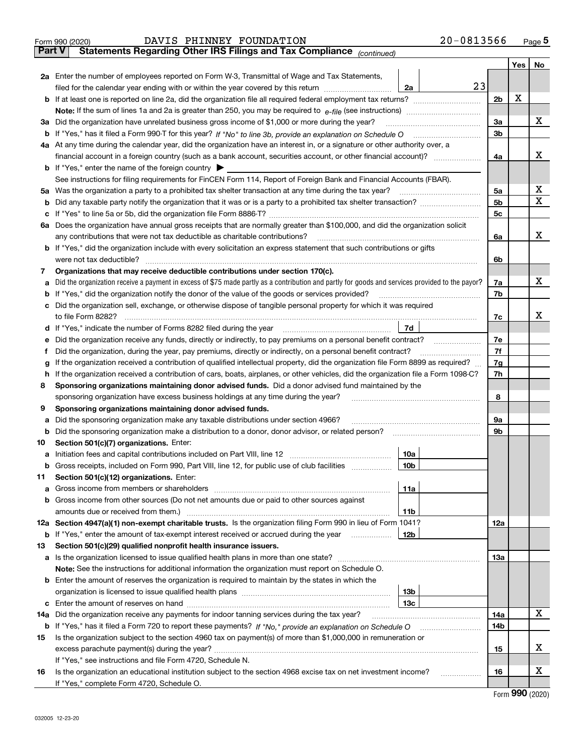|               | 20-0813566<br>DAVIS PHINNEY FOUNDATION<br>Form 990 (2020)                                                                                       |     |            | $Page$ <sup>5</sup> |  |  |  |
|---------------|-------------------------------------------------------------------------------------------------------------------------------------------------|-----|------------|---------------------|--|--|--|
| <b>Part V</b> | Statements Regarding Other IRS Filings and Tax Compliance (continued)                                                                           |     |            |                     |  |  |  |
|               |                                                                                                                                                 |     | Yes        | No                  |  |  |  |
|               | 2a Enter the number of employees reported on Form W-3, Transmittal of Wage and Tax Statements,                                                  |     |            |                     |  |  |  |
|               | 23<br>filed for the calendar year ending with or within the year covered by this return <i>manumumumum</i><br>2a                                |     |            |                     |  |  |  |
|               |                                                                                                                                                 |     |            |                     |  |  |  |
|               |                                                                                                                                                 |     |            |                     |  |  |  |
| За            | Did the organization have unrelated business gross income of \$1,000 or more during the year?                                                   |     |            |                     |  |  |  |
|               |                                                                                                                                                 | 3b  |            |                     |  |  |  |
|               | 4a At any time during the calendar year, did the organization have an interest in, or a signature or other authority over, a                    |     |            |                     |  |  |  |
|               |                                                                                                                                                 | 4a  |            | x                   |  |  |  |
|               | <b>b</b> If "Yes," enter the name of the foreign country $\blacktriangleright$                                                                  |     |            |                     |  |  |  |
|               | See instructions for filing requirements for FinCEN Form 114, Report of Foreign Bank and Financial Accounts (FBAR).                             |     |            |                     |  |  |  |
| 5a            | Was the organization a party to a prohibited tax shelter transaction at any time during the tax year?                                           | 5а  |            | X                   |  |  |  |
| b             |                                                                                                                                                 | 5b  |            | X                   |  |  |  |
| с             |                                                                                                                                                 | 5c  |            |                     |  |  |  |
|               | 6a Does the organization have annual gross receipts that are normally greater than \$100,000, and did the organization solicit                  |     |            |                     |  |  |  |
|               | any contributions that were not tax deductible as charitable contributions?                                                                     | 6a  |            | х                   |  |  |  |
|               | <b>b</b> If "Yes," did the organization include with every solicitation an express statement that such contributions or gifts                   |     |            |                     |  |  |  |
|               | were not tax deductible?                                                                                                                        | 6b  |            |                     |  |  |  |
| 7             | Organizations that may receive deductible contributions under section 170(c).                                                                   |     |            |                     |  |  |  |
| а             | Did the organization receive a payment in excess of \$75 made partly as a contribution and partly for goods and services provided to the payor? | 7a  |            | х                   |  |  |  |
| b             | If "Yes," did the organization notify the donor of the value of the goods or services provided?                                                 | 7b  |            |                     |  |  |  |
| с             | Did the organization sell, exchange, or otherwise dispose of tangible personal property for which it was required                               |     |            |                     |  |  |  |
|               |                                                                                                                                                 | 7c  |            | x                   |  |  |  |
| d             | 7d                                                                                                                                              |     |            |                     |  |  |  |
| е             | Did the organization receive any funds, directly or indirectly, to pay premiums on a personal benefit contract?                                 | 7e  |            |                     |  |  |  |
| f             | Did the organization, during the year, pay premiums, directly or indirectly, on a personal benefit contract?                                    | 7f  |            |                     |  |  |  |
| g             | If the organization received a contribution of qualified intellectual property, did the organization file Form 8899 as required?                | 7g  |            |                     |  |  |  |
| h             | If the organization received a contribution of cars, boats, airplanes, or other vehicles, did the organization file a Form 1098-C?              | 7h  |            |                     |  |  |  |
| 8             | Sponsoring organizations maintaining donor advised funds. Did a donor advised fund maintained by the                                            |     |            |                     |  |  |  |
|               | sponsoring organization have excess business holdings at any time during the year?                                                              | 8   |            |                     |  |  |  |
| 9             | Sponsoring organizations maintaining donor advised funds.                                                                                       |     |            |                     |  |  |  |
| а             | Did the sponsoring organization make any taxable distributions under section 4966?                                                              | 9а  |            |                     |  |  |  |
| b             | Did the sponsoring organization make a distribution to a donor, donor advisor, or related person?                                               | 9b  |            |                     |  |  |  |
| 10            | Section 501(c)(7) organizations. Enter:                                                                                                         |     |            |                     |  |  |  |
| а             | 10a<br>Initiation fees and capital contributions included on Part VIII, line 12 [111] [11] [11] [12] [11] [11] [12] [<br> 10b                   |     |            |                     |  |  |  |
|               | Gross receipts, included on Form 990, Part VIII, line 12, for public use of club facilities                                                     |     |            |                     |  |  |  |
| 11            | Section 501(c)(12) organizations. Enter:                                                                                                        |     |            |                     |  |  |  |
| a<br>b        | Gross income from members or shareholders<br>11a<br>Gross income from other sources (Do not net amounts due or paid to other sources against    |     |            |                     |  |  |  |
|               | amounts due or received from them.)<br>11b                                                                                                      |     |            |                     |  |  |  |
|               | 12a Section 4947(a)(1) non-exempt charitable trusts. Is the organization filing Form 990 in lieu of Form 1041?                                  | 12a |            |                     |  |  |  |
|               | 12b<br><b>b</b> If "Yes," enter the amount of tax-exempt interest received or accrued during the year <i>manument</i>                           |     |            |                     |  |  |  |
| 13            | Section 501(c)(29) qualified nonprofit health insurance issuers.                                                                                |     |            |                     |  |  |  |
|               | a Is the organization licensed to issue qualified health plans in more than one state?                                                          | 13a |            |                     |  |  |  |
|               | Note: See the instructions for additional information the organization must report on Schedule O.                                               |     |            |                     |  |  |  |
|               | <b>b</b> Enter the amount of reserves the organization is required to maintain by the states in which the                                       |     |            |                     |  |  |  |
|               | 13b                                                                                                                                             |     |            |                     |  |  |  |
| с             | 13с                                                                                                                                             |     |            |                     |  |  |  |
| 14a           | Did the organization receive any payments for indoor tanning services during the tax year?                                                      | 14a |            | x                   |  |  |  |
|               | <b>b</b> If "Yes," has it filed a Form 720 to report these payments? If "No," provide an explanation on Schedule O                              | 14b |            |                     |  |  |  |
| 15            | Is the organization subject to the section 4960 tax on payment(s) of more than \$1,000,000 in remuneration or                                   |     |            |                     |  |  |  |
|               |                                                                                                                                                 | 15  |            | х                   |  |  |  |
|               | If "Yes," see instructions and file Form 4720, Schedule N.                                                                                      |     |            |                     |  |  |  |
| 16            | Is the organization an educational institution subject to the section 4968 excise tax on net investment income?                                 | 16  |            | х                   |  |  |  |
|               | If "Yes," complete Form 4720, Schedule O.                                                                                                       |     |            |                     |  |  |  |
|               |                                                                                                                                                 |     | <u>nnn</u> |                     |  |  |  |

Form (2020) **990**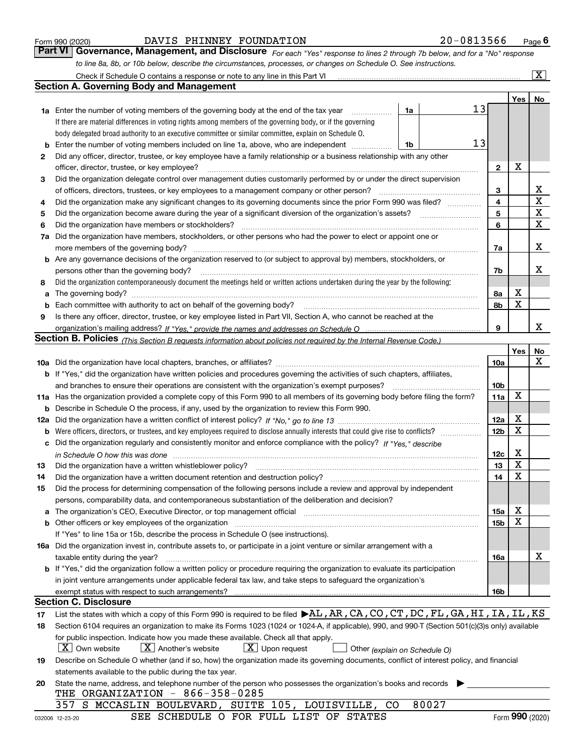|  | Form 990 (2020) |
|--|-----------------|
|  |                 |

### DAVIS PHINNEY FOUNDATION

|  | 20-0813566 |  | Page I |
|--|------------|--|--------|
|  |            |  |        |

*For each "Yes" response to lines 2 through 7b below, and for a "No" response to line 8a, 8b, or 10b below, describe the circumstances, processes, or changes on Schedule O. See instructions.* Form 990 (2020) **CONDATION** DAVIS PHINNEY FOUNDATION **1990 1-800 1-813566** Page 6<br>**Part VI Governance, Management, and Disclosure** For each "Yes" response to lines 2 through 7b below, and for a "No" response

|     | Check if Schedule O contains a response or note to any line in this Part VI                                                                                                                                                    |                 |     | x               |
|-----|--------------------------------------------------------------------------------------------------------------------------------------------------------------------------------------------------------------------------------|-----------------|-----|-----------------|
|     | <b>Section A. Governing Body and Management</b>                                                                                                                                                                                |                 |     |                 |
|     |                                                                                                                                                                                                                                |                 | Yes | No              |
|     | 13<br><b>1a</b> Enter the number of voting members of the governing body at the end of the tax year<br>1a                                                                                                                      |                 |     |                 |
|     | If there are material differences in voting rights among members of the governing body, or if the governing                                                                                                                    |                 |     |                 |
|     | body delegated broad authority to an executive committee or similar committee, explain on Schedule O.                                                                                                                          |                 |     |                 |
| b   | 13<br>Enter the number of voting members included on line 1a, above, who are independent<br>1b                                                                                                                                 |                 |     |                 |
| 2   | Did any officer, director, trustee, or key employee have a family relationship or a business relationship with any other                                                                                                       |                 |     |                 |
|     | officer, director, trustee, or key employee?                                                                                                                                                                                   | $\mathbf{2}$    | X   |                 |
| 3   | Did the organization delegate control over management duties customarily performed by or under the direct supervision                                                                                                          |                 |     |                 |
|     | of officers, directors, trustees, or key employees to a management company or other person?                                                                                                                                    | 3               |     | х               |
| 4   | Did the organization make any significant changes to its governing documents since the prior Form 990 was filed?                                                                                                               | 4               |     | $\mathbf X$     |
| 5   |                                                                                                                                                                                                                                | 5               |     | $\mathbf X$     |
| 6   | Did the organization have members or stockholders?                                                                                                                                                                             | 6               |     | $\mathbf X$     |
| 7a  | Did the organization have members, stockholders, or other persons who had the power to elect or appoint one or                                                                                                                 |                 |     |                 |
|     | more members of the governing body?                                                                                                                                                                                            | 7a              |     | х               |
|     | <b>b</b> Are any governance decisions of the organization reserved to (or subject to approval by) members, stockholders, or                                                                                                    |                 |     |                 |
|     | persons other than the governing body?                                                                                                                                                                                         | 7b              |     | х               |
| 8   | Did the organization contemporaneously document the meetings held or written actions undertaken during the year by the following:                                                                                              |                 |     |                 |
| a   |                                                                                                                                                                                                                                | 8a              | X   |                 |
| b   |                                                                                                                                                                                                                                | 8b              | X   |                 |
| 9   | Is there any officer, director, trustee, or key employee listed in Part VII, Section A, who cannot be reached at the                                                                                                           |                 |     |                 |
|     |                                                                                                                                                                                                                                | 9               |     | x               |
|     | <b>Section B. Policies</b> (This Section B requests information about policies not required by the Internal Revenue Code.)                                                                                                     |                 |     |                 |
|     |                                                                                                                                                                                                                                |                 | Yes | No              |
|     |                                                                                                                                                                                                                                | 10a             |     | х               |
|     | <b>b</b> If "Yes," did the organization have written policies and procedures governing the activities of such chapters, affiliates,                                                                                            |                 |     |                 |
|     | and branches to ensure their operations are consistent with the organization's exempt purposes?                                                                                                                                | 10 <sub>b</sub> |     |                 |
|     | 11a Has the organization provided a complete copy of this Form 990 to all members of its governing body before filing the form?                                                                                                | 11a             | X   |                 |
| b   | Describe in Schedule O the process, if any, used by the organization to review this Form 990.                                                                                                                                  |                 |     |                 |
| 12a |                                                                                                                                                                                                                                | 12a             | X   |                 |
| b   |                                                                                                                                                                                                                                | 12 <sub>b</sub> | X   |                 |
|     | c Did the organization regularly and consistently monitor and enforce compliance with the policy? If "Yes." describe                                                                                                           |                 |     |                 |
|     | in Schedule O how this was done measured and the control of the control of the state of the control of the control of the control of the control of the control of the control of the control of the control of the control of | 12c             | X   |                 |
| 13  | Did the organization have a written whistleblower policy?                                                                                                                                                                      | 13              | X   |                 |
| 14  | Did the organization have a written document retention and destruction policy? manufactured and the organization have a written document retention and destruction policy?                                                     | 14              | X   |                 |
| 15  | Did the process for determining compensation of the following persons include a review and approval by independent                                                                                                             |                 |     |                 |
|     | persons, comparability data, and contemporaneous substantiation of the deliberation and decision?                                                                                                                              |                 |     |                 |
|     | a The organization's CEO, Executive Director, or top management official manufactured content content of the organization's CEO, Executive Director, or top management official manufactured content of the state of the state | 15a             | х   |                 |
|     |                                                                                                                                                                                                                                | 15 <sub>b</sub> | X   |                 |
|     | If "Yes" to line 15a or 15b, describe the process in Schedule O (see instructions).                                                                                                                                            |                 |     |                 |
|     | 16a Did the organization invest in, contribute assets to, or participate in a joint venture or similar arrangement with a                                                                                                      |                 |     |                 |
|     | taxable entity during the year?                                                                                                                                                                                                | 16a             |     | х               |
|     | b If "Yes," did the organization follow a written policy or procedure requiring the organization to evaluate its participation                                                                                                 |                 |     |                 |
|     | in joint venture arrangements under applicable federal tax law, and take steps to safeguard the organization's                                                                                                                 |                 |     |                 |
|     | exempt status with respect to such arrangements?                                                                                                                                                                               | 16b             |     |                 |
|     | <b>Section C. Disclosure</b>                                                                                                                                                                                                   |                 |     |                 |
| 17  | List the states with which a copy of this Form 990 is required to be filed $\blacktriangleright$ AL, AR, CA, CO, CT, DC, FL, GA, HI, IA, IL, KS                                                                                |                 |     |                 |
| 18  | Section 6104 requires an organization to make its Forms 1023 (1024 or 1024-A, if applicable), 990, and 990-T (Section 501(c)(3)s only) available                                                                               |                 |     |                 |
|     | for public inspection. Indicate how you made these available. Check all that apply.                                                                                                                                            |                 |     |                 |
|     | $X$ Own website<br>$X$ Another's website<br>$X$ Upon request<br>Other (explain on Schedule O)                                                                                                                                  |                 |     |                 |
| 19  | Describe on Schedule O whether (and if so, how) the organization made its governing documents, conflict of interest policy, and financial                                                                                      |                 |     |                 |
|     | statements available to the public during the tax year.                                                                                                                                                                        |                 |     |                 |
| 20  | State the name, address, and telephone number of the person who possesses the organization's books and records                                                                                                                 |                 |     |                 |
|     | THE ORGANIZATION - 866-358-0285                                                                                                                                                                                                |                 |     |                 |
|     | 357 S MCCASLIN BOULEVARD, SUITE 105, LOUISVILLE,<br>80027<br>CO                                                                                                                                                                |                 |     |                 |
|     | SEE SCHEDULE O FOR FULL LIST OF STATES<br>032006 12-23-20                                                                                                                                                                      |                 |     | Form 990 (2020) |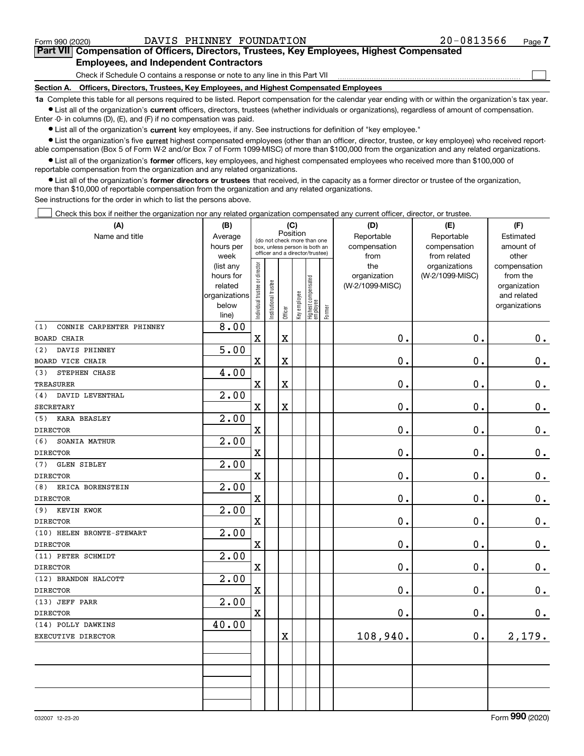$\mathcal{L}^{\text{max}}$ 

# **7Part VII Compensation of Officers, Directors, Trustees, Key Employees, Highest Compensated Employees, and Independent Contractors**

Check if Schedule O contains a response or note to any line in this Part VII

**Section A. Officers, Directors, Trustees, Key Employees, and Highest Compensated Employees**

**1a**  Complete this table for all persons required to be listed. Report compensation for the calendar year ending with or within the organization's tax year. **•** List all of the organization's current officers, directors, trustees (whether individuals or organizations), regardless of amount of compensation.

Enter -0- in columns (D), (E), and (F) if no compensation was paid.

 $\bullet$  List all of the organization's  $\,$ current key employees, if any. See instructions for definition of "key employee."

**•** List the organization's five current highest compensated employees (other than an officer, director, trustee, or key employee) who received reportable compensation (Box 5 of Form W-2 and/or Box 7 of Form 1099-MISC) of more than \$100,000 from the organization and any related organizations.

**•** List all of the organization's former officers, key employees, and highest compensated employees who received more than \$100,000 of reportable compensation from the organization and any related organizations.

**former directors or trustees**  ¥ List all of the organization's that received, in the capacity as a former director or trustee of the organization, more than \$10,000 of reportable compensation from the organization and any related organizations.

See instructions for the order in which to list the persons above.

Check this box if neither the organization nor any related organization compensated any current officer, director, or trustee.  $\mathcal{L}^{\text{max}}$ 

| (A)                             | (B)                  | (C)                                     |                                                                  |                         |              |                                 |        | (D)             | (E)             | (F)                         |
|---------------------------------|----------------------|-----------------------------------------|------------------------------------------------------------------|-------------------------|--------------|---------------------------------|--------|-----------------|-----------------|-----------------------------|
| Name and title                  | Average              | Position<br>(do not check more than one |                                                                  |                         |              |                                 |        | Reportable      | Reportable      | Estimated                   |
|                                 | hours per            |                                         | box, unless person is both an<br>officer and a director/trustee) |                         |              |                                 |        | compensation    | compensation    | amount of                   |
|                                 | week                 |                                         |                                                                  |                         |              |                                 |        | from            | from related    | other                       |
|                                 | (list any            |                                         |                                                                  |                         |              |                                 |        | the             | organizations   | compensation                |
|                                 | hours for<br>related |                                         |                                                                  |                         |              |                                 |        | organization    | (W-2/1099-MISC) | from the                    |
|                                 | organizations        |                                         |                                                                  |                         |              |                                 |        | (W-2/1099-MISC) |                 | organization<br>and related |
|                                 | below                |                                         |                                                                  |                         |              |                                 |        |                 |                 | organizations               |
|                                 | line)                | Individual trustee or director          | In stitutional trustee                                           | Officer                 | Key employee | Highest compensated<br>employee | Former |                 |                 |                             |
| CONNIE CARPENTER PHINNEY<br>(1) | 8.00                 |                                         |                                                                  |                         |              |                                 |        |                 |                 |                             |
| <b>BOARD CHAIR</b>              |                      | $\mathbf x$                             |                                                                  | $\mathbf X$             |              |                                 |        | 0.              | $\mathbf 0$ .   | $0_{.}$                     |
| DAVIS PHINNEY<br>(2)            | 5.00                 |                                         |                                                                  |                         |              |                                 |        |                 |                 |                             |
| BOARD VICE CHAIR                |                      | $\mathbf X$                             |                                                                  | $\mathbf X$             |              |                                 |        | 0.              | 0.              | $\mathbf 0$ .               |
| STEPHEN CHASE<br>(3)            | 4.00                 |                                         |                                                                  |                         |              |                                 |        |                 |                 |                             |
| <b>TREASURER</b>                |                      | $\mathbf X$                             |                                                                  | $\rm X$                 |              |                                 |        | 0.              | $\mathbf 0$ .   | $\mathbf 0$ .               |
| (4) DAVID LEVENTHAL             | 2.00                 |                                         |                                                                  |                         |              |                                 |        |                 |                 |                             |
| <b>SECRETARY</b>                |                      | $\mathbf x$                             |                                                                  | $\overline{\mathbf{X}}$ |              |                                 |        | 0.              | 0.              | $\mathbf 0$ .               |
| (5) KARA BEASLEY                | 2.00                 |                                         |                                                                  |                         |              |                                 |        |                 |                 |                             |
| <b>DIRECTOR</b>                 |                      | $\mathbf X$                             |                                                                  |                         |              |                                 |        | 0.              | $\mathbf 0$ .   | $0_{.}$                     |
| (6)<br>SOANIA MATHUR            | 2.00                 |                                         |                                                                  |                         |              |                                 |        |                 |                 |                             |
| <b>DIRECTOR</b>                 |                      | $\mathbf X$                             |                                                                  |                         |              |                                 |        | 0.              | $\mathbf 0$ .   | $0_{.}$                     |
| (7)<br><b>GLEN SIBLEY</b>       | 2.00                 |                                         |                                                                  |                         |              |                                 |        |                 |                 |                             |
| <b>DIRECTOR</b>                 |                      | $\mathbf x$                             |                                                                  |                         |              |                                 |        | 0.              | $\mathbf 0$ .   | $0_{.}$                     |
| (8) ERICA BORENSTEIN            | 2.00                 |                                         |                                                                  |                         |              |                                 |        |                 |                 |                             |
| <b>DIRECTOR</b>                 |                      | $\mathbf x$                             |                                                                  |                         |              |                                 |        | 0.              | 0.              | $\mathbf 0$ .               |
| (9) KEVIN KWOK                  | 2.00                 |                                         |                                                                  |                         |              |                                 |        |                 |                 |                             |
| <b>DIRECTOR</b>                 |                      | $\mathbf x$                             |                                                                  |                         |              |                                 |        | $0$ .           | 0.              | $0_{.}$                     |
| (10) HELEN BRONTE-STEWART       | 2.00                 |                                         |                                                                  |                         |              |                                 |        |                 |                 |                             |
| <b>DIRECTOR</b>                 |                      | $\mathbf x$                             |                                                                  |                         |              |                                 |        | 0.              | 0.              | $0_{.}$                     |
| (11) PETER SCHMIDT              | 2.00                 |                                         |                                                                  |                         |              |                                 |        |                 |                 |                             |
| <b>DIRECTOR</b>                 |                      | $\mathbf x$                             |                                                                  |                         |              |                                 |        | $\mathbf 0$ .   | $\mathbf 0$ .   | $0_{.}$                     |
| (12) BRANDON HALCOTT            | 2.00                 |                                         |                                                                  |                         |              |                                 |        |                 |                 |                             |
| <b>DIRECTOR</b>                 |                      | $\mathbf x$                             |                                                                  |                         |              |                                 |        | 0.              | 0.              | $0_{.}$                     |
| (13) JEFF PARR                  | 2.00                 |                                         |                                                                  |                         |              |                                 |        |                 |                 |                             |
| <b>DIRECTOR</b>                 |                      | $\mathbf X$                             |                                                                  |                         |              |                                 |        | 0.              | 0.              | $\mathbf 0$ .               |
| (14) POLLY DAWKINS              | 40.00                |                                         |                                                                  |                         |              |                                 |        |                 |                 |                             |
| EXECUTIVE DIRECTOR              |                      |                                         |                                                                  | $\overline{\textbf{X}}$ |              |                                 |        | 108,940.        | 0.              | 2,179.                      |
|                                 |                      |                                         |                                                                  |                         |              |                                 |        |                 |                 |                             |
|                                 |                      |                                         |                                                                  |                         |              |                                 |        |                 |                 |                             |
|                                 |                      |                                         |                                                                  |                         |              |                                 |        |                 |                 |                             |
|                                 |                      |                                         |                                                                  |                         |              |                                 |        |                 |                 |                             |
|                                 |                      |                                         |                                                                  |                         |              |                                 |        |                 |                 |                             |
|                                 |                      |                                         |                                                                  |                         |              |                                 |        |                 |                 |                             |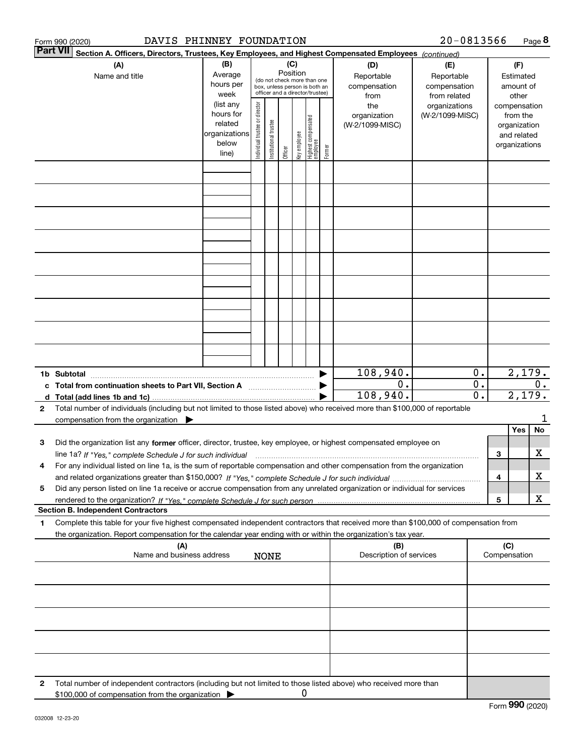|              | DAVIS PHINNEY FOUNDATION<br>Form 990 (2020)                                                                                                                                                                                                                         |  |                                                                                                                           |                       |         |              |                                 |        |                                           | 20-0813566                                        |                                        |     |                                                                          | Page 8  |
|--------------|---------------------------------------------------------------------------------------------------------------------------------------------------------------------------------------------------------------------------------------------------------------------|--|---------------------------------------------------------------------------------------------------------------------------|-----------------------|---------|--------------|---------------------------------|--------|-------------------------------------------|---------------------------------------------------|----------------------------------------|-----|--------------------------------------------------------------------------|---------|
|              | <b>Part VII</b><br>Section A. Officers, Directors, Trustees, Key Employees, and Highest Compensated Employees (continued)                                                                                                                                           |  |                                                                                                                           |                       |         |              |                                 |        |                                           |                                                   |                                        |     |                                                                          |         |
|              | (A)<br>Average<br>Name and title<br>hours per<br>week                                                                                                                                                                                                               |  | (B)<br>(C)<br>Position<br>(do not check more than one<br>box, unless person is both an<br>officer and a director/trustee) |                       |         |              |                                 |        | (D)<br>Reportable<br>compensation<br>from | (E)<br>Reportable<br>compensation<br>from related | (F)<br>Estimated<br>amount of<br>other |     |                                                                          |         |
|              | (list any<br>hours for<br>related<br>organizations<br>below<br>line)                                                                                                                                                                                                |  |                                                                                                                           | Institutional trustee | Officer | Key employee | Highest compensated<br>employee | Former | the<br>organization<br>(W-2/1099-MISC)    | organizations<br>(W-2/1099-MISC)                  |                                        |     | compensation<br>from the<br>organization<br>and related<br>organizations |         |
|              |                                                                                                                                                                                                                                                                     |  |                                                                                                                           |                       |         |              |                                 |        |                                           |                                                   |                                        |     |                                                                          |         |
|              |                                                                                                                                                                                                                                                                     |  |                                                                                                                           |                       |         |              |                                 |        |                                           |                                                   |                                        |     |                                                                          |         |
|              |                                                                                                                                                                                                                                                                     |  |                                                                                                                           |                       |         |              |                                 |        |                                           |                                                   |                                        |     |                                                                          |         |
|              |                                                                                                                                                                                                                                                                     |  |                                                                                                                           |                       |         |              |                                 |        |                                           |                                                   |                                        |     |                                                                          |         |
|              |                                                                                                                                                                                                                                                                     |  |                                                                                                                           |                       |         |              |                                 |        |                                           |                                                   |                                        |     |                                                                          |         |
|              |                                                                                                                                                                                                                                                                     |  |                                                                                                                           |                       |         |              |                                 |        |                                           |                                                   |                                        |     |                                                                          |         |
|              |                                                                                                                                                                                                                                                                     |  |                                                                                                                           |                       |         |              |                                 |        |                                           |                                                   |                                        |     |                                                                          |         |
|              | 1b Subtotal                                                                                                                                                                                                                                                         |  |                                                                                                                           |                       |         |              |                                 |        | 108,940.                                  |                                                   | 0.                                     |     |                                                                          | 2,179.  |
| c<br>d       | Total from continuation sheets to Part VII, Section A<br>Total (add lines 1b and 1c).                                                                                                                                                                               |  |                                                                                                                           |                       |         |              |                                 |        | $0$ .<br>108,940.                         |                                                   | $\overline{0}$ .<br>$\overline{0}$ .   |     | 2,179.                                                                   | 0.      |
| $\mathbf{2}$ | Total number of individuals (including but not limited to those listed above) who received more than \$100,000 of reportable<br>compensation from the organization $\blacktriangleright$                                                                            |  |                                                                                                                           |                       |         |              |                                 |        |                                           |                                                   |                                        |     |                                                                          | l       |
| з            | Did the organization list any former officer, director, trustee, key employee, or highest compensated employee on                                                                                                                                                   |  |                                                                                                                           |                       |         |              |                                 |        |                                           |                                                   |                                        | З   | Yes                                                                      | No<br>x |
| 4            | line 1a? If "Yes," complete Schedule J for such individual manufactured contained and the Yes," complete Schedule J for such individual<br>For any individual listed on line 1a, is the sum of reportable compensation and other compensation from the organization |  |                                                                                                                           |                       |         |              |                                 |        |                                           |                                                   |                                        | 4   |                                                                          | x       |
| 5            | Did any person listed on line 1a receive or accrue compensation from any unrelated organization or individual for services                                                                                                                                          |  |                                                                                                                           |                       |         |              |                                 |        |                                           |                                                   |                                        | 5   |                                                                          | x       |
|              | <b>Section B. Independent Contractors</b>                                                                                                                                                                                                                           |  |                                                                                                                           |                       |         |              |                                 |        |                                           |                                                   |                                        |     |                                                                          |         |
| 1            | Complete this table for your five highest compensated independent contractors that received more than \$100,000 of compensation from<br>the organization. Report compensation for the calendar year ending with or within the organization's tax year.<br>(A)       |  |                                                                                                                           |                       |         |              |                                 |        | (B)                                       |                                                   |                                        | (C) |                                                                          |         |
|              | Name and business address<br>Description of services<br><b>NONE</b>                                                                                                                                                                                                 |  |                                                                                                                           |                       |         |              |                                 |        |                                           |                                                   | Compensation                           |     |                                                                          |         |
|              |                                                                                                                                                                                                                                                                     |  |                                                                                                                           |                       |         |              |                                 |        |                                           |                                                   |                                        |     |                                                                          |         |
|              |                                                                                                                                                                                                                                                                     |  |                                                                                                                           |                       |         |              |                                 |        |                                           |                                                   |                                        |     |                                                                          |         |
|              |                                                                                                                                                                                                                                                                     |  |                                                                                                                           |                       |         |              |                                 |        |                                           |                                                   |                                        |     |                                                                          |         |
|              |                                                                                                                                                                                                                                                                     |  |                                                                                                                           |                       |         |              |                                 |        |                                           |                                                   |                                        |     |                                                                          |         |
| 2            | Total number of independent contractors (including but not limited to those listed above) who received more than<br>\$100,000 of compensation from the organization                                                                                                 |  |                                                                                                                           |                       |         | 0            |                                 |        |                                           |                                                   |                                        |     |                                                                          |         |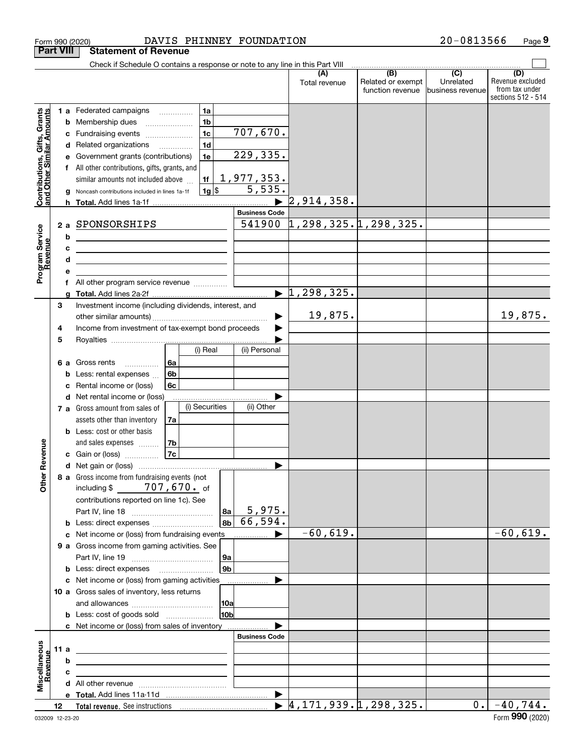|                                                           |    |     | Form 990 (2020)                                                                                                      |    |                 | DAVIS PHINNEY FOUNDATION |                                                 |                                              | 20-0813566                                        | Page 9                                                          |
|-----------------------------------------------------------|----|-----|----------------------------------------------------------------------------------------------------------------------|----|-----------------|--------------------------|-------------------------------------------------|----------------------------------------------|---------------------------------------------------|-----------------------------------------------------------------|
| <b>Part VIII</b>                                          |    |     | <b>Statement of Revenue</b>                                                                                          |    |                 |                          |                                                 |                                              |                                                   |                                                                 |
|                                                           |    |     | Check if Schedule O contains a response or note to any line in this Part VIII                                        |    |                 |                          |                                                 |                                              |                                                   |                                                                 |
|                                                           |    |     |                                                                                                                      |    |                 |                          | (A)<br>Total revenue                            | (B)<br>Related or exempt<br>function revenue | $\overline{(C)}$<br>Unrelated<br>business revenue | (D)<br>Revenue excluded<br>from tax under<br>sections 512 - 514 |
|                                                           |    |     | 1 a Federated campaigns                                                                                              |    | 1a              |                          |                                                 |                                              |                                                   |                                                                 |
| Contributions, Gifts, Grants<br>and Other Similar Amounts |    | b   | Membership dues                                                                                                      |    | 1 <sub>b</sub>  |                          |                                                 |                                              |                                                   |                                                                 |
|                                                           |    | c   | Fundraising events                                                                                                   |    | 1 <sub>c</sub>  | 707,670.                 |                                                 |                                              |                                                   |                                                                 |
|                                                           |    |     | d Related organizations                                                                                              |    | 1 <sub>d</sub>  |                          |                                                 |                                              |                                                   |                                                                 |
|                                                           |    |     | Government grants (contributions)                                                                                    |    | 1e              | $\overline{229, 335}$ .  |                                                 |                                              |                                                   |                                                                 |
|                                                           |    |     | All other contributions, gifts, grants, and                                                                          |    |                 |                          |                                                 |                                              |                                                   |                                                                 |
|                                                           |    |     | similar amounts not included above                                                                                   |    | 1f              | 1,977,353.               |                                                 |                                              |                                                   |                                                                 |
|                                                           |    | g   | Noncash contributions included in lines 1a-1f                                                                        |    | $1g$ \$         | $\overline{5,535}$ .     |                                                 |                                              |                                                   |                                                                 |
|                                                           |    |     |                                                                                                                      |    |                 |                          | 2,914,358.                                      |                                              |                                                   |                                                                 |
|                                                           |    |     |                                                                                                                      |    |                 | <b>Business Code</b>     |                                                 |                                              |                                                   |                                                                 |
|                                                           |    |     | 2 a SPONSORSHIPS                                                                                                     |    |                 | 541900                   | 1, 298, 325.1, 298, 325.                        |                                              |                                                   |                                                                 |
| Program Service<br>Revenue                                |    | b   |                                                                                                                      |    |                 |                          |                                                 |                                              |                                                   |                                                                 |
|                                                           |    | c   | <u> 1989 - Johann John Stein, markin fizzar eta idazlea (</u>                                                        |    |                 |                          |                                                 |                                              |                                                   |                                                                 |
|                                                           |    | d   | <u> 1989 - Johann Barbara, martin amerikan basar dan berasal dalam basa dan berasal dalam basar dalam basa dalam</u> |    |                 |                          |                                                 |                                              |                                                   |                                                                 |
|                                                           |    |     |                                                                                                                      |    |                 |                          |                                                 |                                              |                                                   |                                                                 |
|                                                           |    |     | f All other program service revenue                                                                                  |    |                 |                          |                                                 |                                              |                                                   |                                                                 |
|                                                           |    |     |                                                                                                                      |    |                 |                          | $\blacktriangleright$ 1,298,325.                |                                              |                                                   |                                                                 |
|                                                           | 3  |     | Investment income (including dividends, interest, and                                                                |    |                 |                          |                                                 |                                              |                                                   |                                                                 |
|                                                           |    |     |                                                                                                                      |    |                 |                          | 19,875.                                         |                                              |                                                   | 19,875.                                                         |
|                                                           | 4  |     | Income from investment of tax-exempt bond proceeds                                                                   |    |                 |                          |                                                 |                                              |                                                   |                                                                 |
|                                                           | 5  |     |                                                                                                                      |    |                 |                          |                                                 |                                              |                                                   |                                                                 |
|                                                           |    |     |                                                                                                                      |    | (i) Real        | (ii) Personal            |                                                 |                                              |                                                   |                                                                 |
|                                                           |    |     | 6 a Gross rents                                                                                                      | 6a |                 |                          |                                                 |                                              |                                                   |                                                                 |
|                                                           |    | b   | Less: rental expenses                                                                                                | 6b |                 |                          |                                                 |                                              |                                                   |                                                                 |
|                                                           |    | c   | Rental income or (loss)                                                                                              | 6с |                 |                          |                                                 |                                              |                                                   |                                                                 |
|                                                           |    |     | d Net rental income or (loss)                                                                                        |    |                 |                          |                                                 |                                              |                                                   |                                                                 |
|                                                           |    |     | 7 a Gross amount from sales of                                                                                       |    | (i) Securities  | (ii) Other               |                                                 |                                              |                                                   |                                                                 |
|                                                           |    |     | assets other than inventory                                                                                          | 7a |                 |                          |                                                 |                                              |                                                   |                                                                 |
|                                                           |    |     | <b>b</b> Less: cost or other basis                                                                                   |    |                 |                          |                                                 |                                              |                                                   |                                                                 |
|                                                           |    |     | and sales expenses                                                                                                   | 7b |                 |                          |                                                 |                                              |                                                   |                                                                 |
| evenue                                                    |    |     | c Gain or (loss)                                                                                                     | 7c |                 |                          |                                                 |                                              |                                                   |                                                                 |
|                                                           |    |     |                                                                                                                      |    |                 |                          |                                                 |                                              |                                                   |                                                                 |
| Œ                                                         |    |     | 8 a Gross income from fundraising events (not                                                                        |    |                 |                          |                                                 |                                              |                                                   |                                                                 |
| Other                                                     |    |     | including \$ $707,670$ of                                                                                            |    |                 |                          |                                                 |                                              |                                                   |                                                                 |
|                                                           |    |     | contributions reported on line 1c). See                                                                              |    |                 |                          |                                                 |                                              |                                                   |                                                                 |
|                                                           |    |     |                                                                                                                      |    | 8a              | 5,975.                   |                                                 |                                              |                                                   |                                                                 |
|                                                           |    |     | <b>b</b> Less: direct expenses <i></i>                                                                               |    | 8 <sub>b</sub>  | 66,594.                  |                                                 |                                              |                                                   |                                                                 |
|                                                           |    |     | c Net income or (loss) from fundraising events                                                                       |    |                 | .                        | $-60,619.$                                      |                                              |                                                   | $-60,619.$                                                      |
|                                                           |    |     | 9 a Gross income from gaming activities. See                                                                         |    |                 |                          |                                                 |                                              |                                                   |                                                                 |
|                                                           |    |     |                                                                                                                      |    | 9a              |                          |                                                 |                                              |                                                   |                                                                 |
|                                                           |    |     |                                                                                                                      |    | 9 <sub>b</sub>  |                          |                                                 |                                              |                                                   |                                                                 |
|                                                           |    |     | c Net income or (loss) from gaming activities                                                                        |    |                 |                          |                                                 |                                              |                                                   |                                                                 |
|                                                           |    |     | 10 a Gross sales of inventory, less returns                                                                          |    |                 |                          |                                                 |                                              |                                                   |                                                                 |
|                                                           |    |     |                                                                                                                      |    | 10a             |                          |                                                 |                                              |                                                   |                                                                 |
|                                                           |    |     | <b>b</b> Less: cost of goods sold                                                                                    |    | 10 <sub>b</sub> |                          |                                                 |                                              |                                                   |                                                                 |
|                                                           |    |     | c Net income or (loss) from sales of inventory                                                                       |    |                 |                          |                                                 |                                              |                                                   |                                                                 |
|                                                           |    |     |                                                                                                                      |    |                 | <b>Business Code</b>     |                                                 |                                              |                                                   |                                                                 |
|                                                           |    | 11a | <u> 1989 - Johann Barbara, martxa alemaniar amerikan a</u>                                                           |    |                 |                          |                                                 |                                              |                                                   |                                                                 |
|                                                           |    | b   | the control of the control of the control of the control of the control of the control of                            |    |                 |                          |                                                 |                                              |                                                   |                                                                 |
| Revenue                                                   |    | с   | the contract of the contract of the contract of the contract of the contract of                                      |    |                 |                          |                                                 |                                              |                                                   |                                                                 |
| Miscellaneous                                             |    |     |                                                                                                                      |    |                 |                          |                                                 |                                              |                                                   |                                                                 |
|                                                           |    |     |                                                                                                                      |    |                 |                          |                                                 |                                              |                                                   |                                                                 |
|                                                           | 12 |     |                                                                                                                      |    |                 |                          | $\blacktriangleright$ 4, 171, 939. 1, 298, 325. |                                              | 0.1                                               | $-40,744$ .                                                     |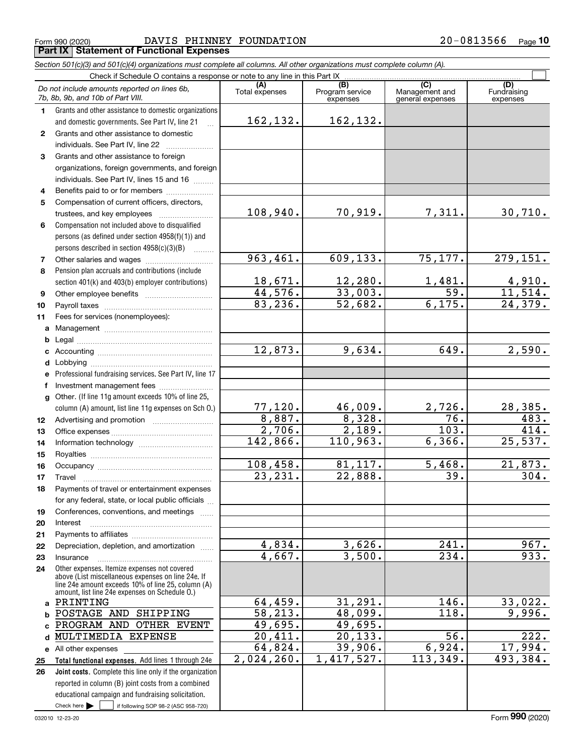Form 990 (2020) Page **Part IX Statement of Functional Expenses** DAVIS PHINNEY FOUNDATION 20-0813566

*Section 501(c)(3) and 501(c)(4) organizations must complete all columns. All other organizations must complete column (A).*

|              | Do not include amounts reported on lines 6b,<br>7b, 8b, 9b, and 10b of Part VIII.                                                                                                                          | (A)<br>Total expenses | (B)<br>Program service<br>expenses | $\overline{C}$<br>Management and<br>general expenses | (D)<br>Fundraising<br>expenses |
|--------------|------------------------------------------------------------------------------------------------------------------------------------------------------------------------------------------------------------|-----------------------|------------------------------------|------------------------------------------------------|--------------------------------|
| 1            | Grants and other assistance to domestic organizations                                                                                                                                                      |                       |                                    |                                                      |                                |
|              | and domestic governments. See Part IV, line 21                                                                                                                                                             | 162,132.              | 162,132.                           |                                                      |                                |
| $\mathbf{2}$ | Grants and other assistance to domestic                                                                                                                                                                    |                       |                                    |                                                      |                                |
|              | individuals. See Part IV, line 22<br>.                                                                                                                                                                     |                       |                                    |                                                      |                                |
| 3            | Grants and other assistance to foreign                                                                                                                                                                     |                       |                                    |                                                      |                                |
|              | organizations, foreign governments, and foreign                                                                                                                                                            |                       |                                    |                                                      |                                |
|              | individuals. See Part IV, lines 15 and 16                                                                                                                                                                  |                       |                                    |                                                      |                                |
| 4            | Benefits paid to or for members                                                                                                                                                                            |                       |                                    |                                                      |                                |
| 5            | Compensation of current officers, directors,                                                                                                                                                               |                       |                                    |                                                      |                                |
|              |                                                                                                                                                                                                            | 108,940.              | 70,919.                            | 7,311.                                               | 30,710.                        |
| 6            | Compensation not included above to disqualified                                                                                                                                                            |                       |                                    |                                                      |                                |
|              | persons (as defined under section 4958(f)(1)) and                                                                                                                                                          |                       |                                    |                                                      |                                |
|              | persons described in section 4958(c)(3)(B)                                                                                                                                                                 |                       |                                    |                                                      |                                |
| 7            |                                                                                                                                                                                                            | 963,461.              | 609,133.                           | 75, 177.                                             | 279, 151.                      |
| 8            | Pension plan accruals and contributions (include                                                                                                                                                           |                       |                                    |                                                      |                                |
|              | section 401(k) and 403(b) employer contributions)                                                                                                                                                          | 18,671.               | 12,280.                            | 1,481.                                               |                                |
| 9            |                                                                                                                                                                                                            | 44,576.               | 33,003.                            | $\overline{59}$ .                                    | $\frac{4,910}{11,514}$         |
| 10           |                                                                                                                                                                                                            | 83, 236.              | $\overline{52}$ , 682.             | 6,175.                                               | 24,379.                        |
| 11           | Fees for services (nonemployees):                                                                                                                                                                          |                       |                                    |                                                      |                                |
| a            |                                                                                                                                                                                                            |                       |                                    |                                                      |                                |
|              |                                                                                                                                                                                                            |                       |                                    |                                                      |                                |
|              |                                                                                                                                                                                                            | 12,873.               | 9,634.                             | 649.                                                 | 2,590.                         |
|              |                                                                                                                                                                                                            |                       |                                    |                                                      |                                |
|              | e Professional fundraising services. See Part IV, line 17                                                                                                                                                  |                       |                                    |                                                      |                                |
| f            | Investment management fees                                                                                                                                                                                 |                       |                                    |                                                      |                                |
|              | g Other. (If line 11g amount exceeds 10% of line 25,                                                                                                                                                       |                       |                                    |                                                      |                                |
|              | column (A) amount, list line 11g expenses on Sch O.)                                                                                                                                                       | 77,120.               | 46,009.                            | 2,726.                                               | 28,385.                        |
| 12           |                                                                                                                                                                                                            | 8,887.                | 8,328.                             | 76.                                                  | 483.                           |
| 13           |                                                                                                                                                                                                            | 2,706.                | 2,189.                             | 103.                                                 | 414.                           |
| 14           |                                                                                                                                                                                                            | 142,866.              | 110,963.                           | 6, 366.                                              | 25,537.                        |
| 15           |                                                                                                                                                                                                            |                       |                                    |                                                      |                                |
| 16           |                                                                                                                                                                                                            | 108,458.              | 81,117.                            | 5,468.                                               | 21,873.                        |
| 17           |                                                                                                                                                                                                            | $\overline{23,231}$ . | $\overline{22}$ , 888.             | 39.                                                  | 304.                           |
| 18           | Payments of travel or entertainment expenses                                                                                                                                                               |                       |                                    |                                                      |                                |
|              | for any federal, state, or local public officials                                                                                                                                                          |                       |                                    |                                                      |                                |
| 19           | Conferences, conventions, and meetings                                                                                                                                                                     |                       |                                    |                                                      |                                |
| 20           | Interest                                                                                                                                                                                                   |                       |                                    |                                                      |                                |
| 21           |                                                                                                                                                                                                            |                       |                                    |                                                      |                                |
| 22           | Depreciation, depletion, and amortization                                                                                                                                                                  | 4,834.                | 3,626.                             | 241.                                                 | 967.                           |
| 23           | Insurance                                                                                                                                                                                                  | 4,667.                | 3,500.                             | 234.                                                 | 933.                           |
| 24           | Other expenses. Itemize expenses not covered<br>above (List miscellaneous expenses on line 24e. If<br>line 24e amount exceeds 10% of line 25, column (A)<br>amount, list line 24e expenses on Schedule 0.) |                       |                                    |                                                      |                                |
| a            | PRINTING                                                                                                                                                                                                   | 64,459.               | 31, 291.                           | 146.                                                 | 33,022.                        |
| b            | POSTAGE AND<br>SHIPPING                                                                                                                                                                                    | 58, 213.              | 48,099.                            | 118.                                                 | 9,996.                         |
| c            | PROGRAM AND OTHER EVENT                                                                                                                                                                                    | 49,695.               | 49,695.                            |                                                      |                                |
| d            | MULTIMEDIA EXPENSE                                                                                                                                                                                         | 20,411.               | 20, 133.                           | 56.                                                  | 222.                           |
|              | e All other expenses                                                                                                                                                                                       | 64,824.               | 39,906.                            | 6,924.                                               | 17,994.                        |
| 25           | Total functional expenses. Add lines 1 through 24e                                                                                                                                                         | 2,024,260.            | 1,417,527.                         | 113,349.                                             | 493,384.                       |
| 26           | <b>Joint costs.</b> Complete this line only if the organization                                                                                                                                            |                       |                                    |                                                      |                                |
|              | reported in column (B) joint costs from a combined                                                                                                                                                         |                       |                                    |                                                      |                                |
|              | educational campaign and fundraising solicitation.                                                                                                                                                         |                       |                                    |                                                      |                                |
|              | Check here $\blacktriangleright$<br>if following SOP 98-2 (ASC 958-720)                                                                                                                                    |                       |                                    |                                                      |                                |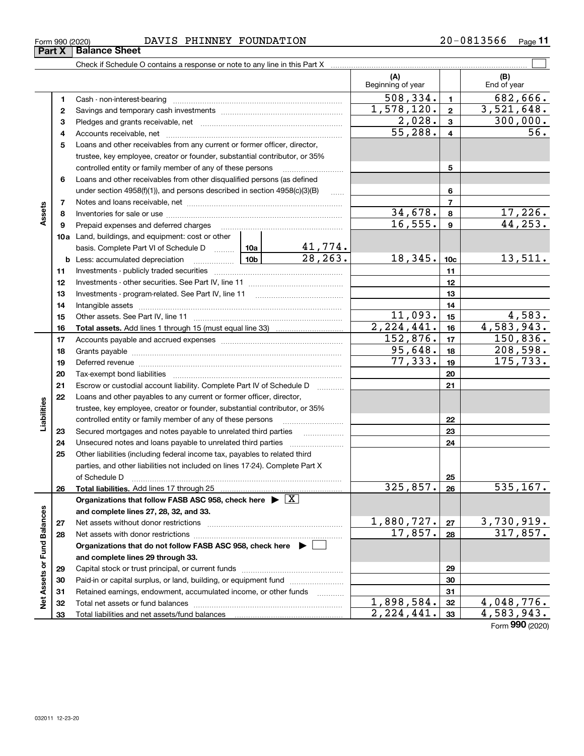**32 33**

Total liabilities and net assets/fund balances

| Form 990 (2020) |                               |  | DAVIS PHINNEY FOUNDATION | 20-0813566 | Page |
|-----------------|-------------------------------|--|--------------------------|------------|------|
|                 | <b>Part X   Balance Sheet</b> |  |                          |            |      |

|                             |              | Check if Schedule O contains a response or note to any line in this Part X                                                                                                                                                     |                 |                           |                          |                |                    |
|-----------------------------|--------------|--------------------------------------------------------------------------------------------------------------------------------------------------------------------------------------------------------------------------------|-----------------|---------------------------|--------------------------|----------------|--------------------|
|                             |              |                                                                                                                                                                                                                                |                 |                           | (A)<br>Beginning of year |                | (B)<br>End of year |
|                             | 1            | Cash - non-interest-bearing                                                                                                                                                                                                    |                 |                           | 508,334.                 | $\mathbf{1}$   | 682,666.           |
|                             | $\mathbf{2}$ |                                                                                                                                                                                                                                |                 |                           | 1,578,120.               | $\mathbf{2}$   | 3,521,648.         |
|                             | з            |                                                                                                                                                                                                                                |                 |                           | 2,028.                   | $\mathbf{3}$   | 300,000.           |
|                             | 4            |                                                                                                                                                                                                                                |                 | 55,288.                   | 4                        | 56.            |                    |
|                             | 5            | Loans and other receivables from any current or former officer, director,                                                                                                                                                      |                 |                           |                          |                |                    |
|                             |              | trustee, key employee, creator or founder, substantial contributor, or 35%                                                                                                                                                     |                 |                           |                          |                |                    |
|                             |              | controlled entity or family member of any of these persons                                                                                                                                                                     |                 |                           | 5                        |                |                    |
|                             | 6            | Loans and other receivables from other disqualified persons (as defined                                                                                                                                                        |                 |                           |                          |                |                    |
|                             |              | under section $4958(f)(1)$ , and persons described in section $4958(c)(3)(B)$                                                                                                                                                  |                 | $\ldots$                  |                          | 6              |                    |
|                             | 7            |                                                                                                                                                                                                                                |                 |                           |                          | $\overline{7}$ |                    |
| Assets                      | 8            |                                                                                                                                                                                                                                |                 |                           | 34,678.                  | 8              | 17,226.            |
|                             | 9            | Prepaid expenses and deferred charges                                                                                                                                                                                          |                 |                           | 16, 555.                 | 9              | 44,253.            |
|                             |              | 10a Land, buildings, and equipment: cost or other                                                                                                                                                                              |                 |                           |                          |                |                    |
|                             |              | basis. Complete Part VI of Schedule D  [10a ]                                                                                                                                                                                  |                 | $\frac{41,774.}{28,263.}$ |                          |                |                    |
|                             |              | <b>b</b> Less: accumulated depreciation                                                                                                                                                                                        | 10 <sub>b</sub> | 18,345.                   | 10 <sub>c</sub>          | 13,511.        |                    |
|                             | 11           |                                                                                                                                                                                                                                |                 |                           | 11                       |                |                    |
|                             | 12           |                                                                                                                                                                                                                                |                 | 12                        |                          |                |                    |
|                             | 13           |                                                                                                                                                                                                                                |                 | 13                        |                          |                |                    |
|                             | 14           |                                                                                                                                                                                                                                |                 | 14                        |                          |                |                    |
|                             | 15           |                                                                                                                                                                                                                                |                 |                           | 11,093.                  | 15             | 4,583.             |
|                             | 16           |                                                                                                                                                                                                                                |                 |                           | $\overline{2,224,441}$ . | 16             | 4,583,943.         |
|                             | 17           |                                                                                                                                                                                                                                |                 | 152,876.                  | 17                       | 150,836.       |                    |
|                             | 18           |                                                                                                                                                                                                                                |                 | 95,648.                   | 18                       | 208,598.       |                    |
|                             | 19           | Deferred revenue material contracts and a contract of the contract of the contract of the contract of the contract of the contract of the contract of the contract of the contract of the contract of the contract of the cont |                 |                           | 77, 333.                 | 19             | 175,733.           |
|                             | 20           |                                                                                                                                                                                                                                |                 |                           | 20                       |                |                    |
|                             | 21           | Escrow or custodial account liability. Complete Part IV of Schedule D                                                                                                                                                          |                 |                           |                          | 21             |                    |
|                             | 22           | Loans and other payables to any current or former officer, director,                                                                                                                                                           |                 |                           |                          |                |                    |
|                             |              | trustee, key employee, creator or founder, substantial contributor, or 35%                                                                                                                                                     |                 |                           |                          |                |                    |
| Liabilities                 |              | controlled entity or family member of any of these persons                                                                                                                                                                     |                 |                           |                          | 22             |                    |
|                             | 23           | Secured mortgages and notes payable to unrelated third parties                                                                                                                                                                 |                 | $\overline{\phantom{a}}$  |                          | 23             |                    |
|                             | 24           | Unsecured notes and loans payable to unrelated third parties                                                                                                                                                                   |                 |                           |                          | 24             |                    |
|                             | 25           | Other liabilities (including federal income tax, payables to related third                                                                                                                                                     |                 |                           |                          |                |                    |
|                             |              | parties, and other liabilities not included on lines 17-24). Complete Part X                                                                                                                                                   |                 |                           |                          |                |                    |
|                             |              | of Schedule D                                                                                                                                                                                                                  |                 |                           |                          | 25             |                    |
|                             | 26           | Total liabilities. Add lines 17 through 25                                                                                                                                                                                     |                 |                           | 325,857.                 | 26             | 535, 167.          |
|                             |              | Organizations that follow FASB ASC 958, check here $\blacktriangleright \boxed{X}$                                                                                                                                             |                 |                           |                          |                |                    |
|                             |              | and complete lines 27, 28, 32, and 33.                                                                                                                                                                                         |                 |                           |                          |                |                    |
|                             | 27           | Net assets without donor restrictions                                                                                                                                                                                          |                 |                           | 1,880,727.               | 27             | 3,730,919.         |
|                             | 28           | Net assets with donor restrictions                                                                                                                                                                                             |                 |                           | 17,857.                  | 28             | 317,857.           |
|                             |              | Organizations that do not follow FASB ASC 958, check here $\blacktriangleright$                                                                                                                                                |                 |                           |                          |                |                    |
| Net Assets or Fund Balances |              | and complete lines 29 through 33.                                                                                                                                                                                              |                 |                           |                          |                |                    |
|                             | 29           |                                                                                                                                                                                                                                |                 |                           | 29                       |                |                    |
|                             | 30           | Paid-in or capital surplus, or land, building, or equipment fund                                                                                                                                                               |                 |                           |                          | 30             |                    |
|                             | 31           | Retained earnings, endowment, accumulated income, or other funds                                                                                                                                                               |                 |                           |                          | 31             |                    |
|                             | 32           |                                                                                                                                                                                                                                |                 |                           | 1,898,584.               | 32             | 4,048,776.         |

Form (2020) **990**

**33**

 $2,224,441.$   $|33|$  4,583,943.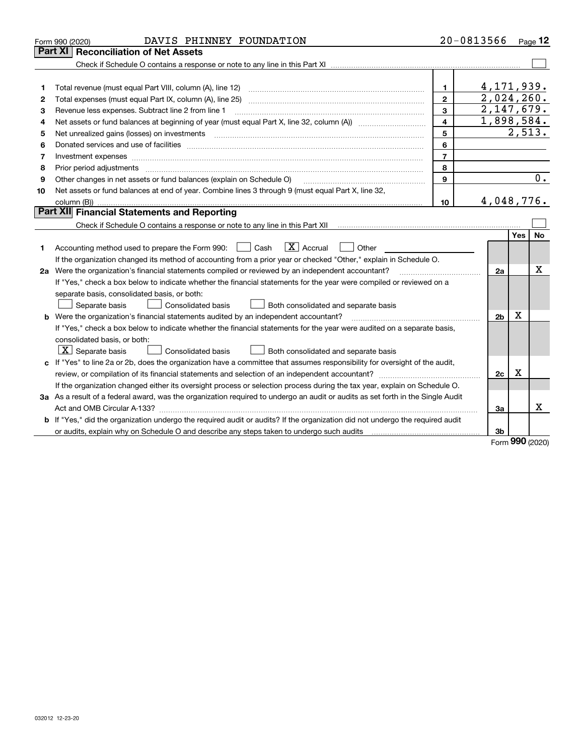|    | DAVIS PHINNEY FOUNDATION<br>Form 990 (2020)                                                                                     | 20-0813566     |                |            | Page 12   |
|----|---------------------------------------------------------------------------------------------------------------------------------|----------------|----------------|------------|-----------|
|    | Part XI<br><b>Reconciliation of Net Assets</b>                                                                                  |                |                |            |           |
|    |                                                                                                                                 |                |                |            |           |
|    |                                                                                                                                 |                |                |            |           |
| 1  |                                                                                                                                 | $\mathbf{1}$   | 4,171,939.     |            |           |
| 2  |                                                                                                                                 | $\mathbf{2}$   | 2,024,260.     |            |           |
| З  | Revenue less expenses. Subtract line 2 from line 1                                                                              | 3              | 2,147,679.     |            |           |
| 4  |                                                                                                                                 | 4              | 1,898,584.     |            |           |
| 5  | Net unrealized gains (losses) on investments                                                                                    | 5              |                | 2,513.     |           |
| 6  |                                                                                                                                 | 6              |                |            |           |
| 7  | Investment expenses www.communication.com/www.communication.com/www.communication.com/www.communication.com                     | $\overline{7}$ |                |            |           |
| 8  | Prior period adjustments                                                                                                        | 8              |                |            |           |
| 9  | Other changes in net assets or fund balances (explain on Schedule O)                                                            | 9              |                |            | 0.        |
| 10 | Net assets or fund balances at end of year. Combine lines 3 through 9 (must equal Part X, line 32,                              |                |                |            |           |
|    | column (B))                                                                                                                     | 10             | 4,048,776.     |            |           |
|    | Part XII Financial Statements and Reporting                                                                                     |                |                |            |           |
|    |                                                                                                                                 |                |                |            |           |
|    |                                                                                                                                 |                |                | <b>Yes</b> | <b>No</b> |
| 1  | $\boxed{\mathbf{X}}$ Accrual<br>Accounting method used to prepare the Form 990: <u>[</u> Cash<br>Other                          |                |                |            |           |
|    | If the organization changed its method of accounting from a prior year or checked "Other," explain in Schedule O.               |                |                |            |           |
|    | 2a Were the organization's financial statements compiled or reviewed by an independent accountant?                              |                | 2a             |            | x         |
|    | If "Yes," check a box below to indicate whether the financial statements for the year were compiled or reviewed on a            |                |                |            |           |
|    | separate basis, consolidated basis, or both:                                                                                    |                |                |            |           |
|    | Separate basis<br>Consolidated basis<br>Both consolidated and separate basis                                                    |                |                |            |           |
| b  | Were the organization's financial statements audited by an independent accountant?                                              |                | 2 <sub>b</sub> | х          |           |
|    | If "Yes," check a box below to indicate whether the financial statements for the year were audited on a separate basis,         |                |                |            |           |
|    | consolidated basis, or both:                                                                                                    |                |                |            |           |
|    | $X$ Separate basis<br>Consolidated basis<br>Both consolidated and separate basis                                                |                |                |            |           |
| c  | If "Yes" to line 2a or 2b, does the organization have a committee that assumes responsibility for oversight of the audit,       |                |                |            |           |
|    |                                                                                                                                 |                | 2c             | х          |           |
|    | If the organization changed either its oversight process or selection process during the tax year, explain on Schedule O.       |                |                |            |           |
|    | 3a As a result of a federal award, was the organization required to undergo an audit or audits as set forth in the Single Audit |                |                |            |           |
|    |                                                                                                                                 |                | За             |            | Х         |
|    | b If "Yes," did the organization undergo the required audit or audits? If the organization did not undergo the required audit   |                |                |            |           |
|    |                                                                                                                                 |                | 3b             |            |           |

Form (2020) **990**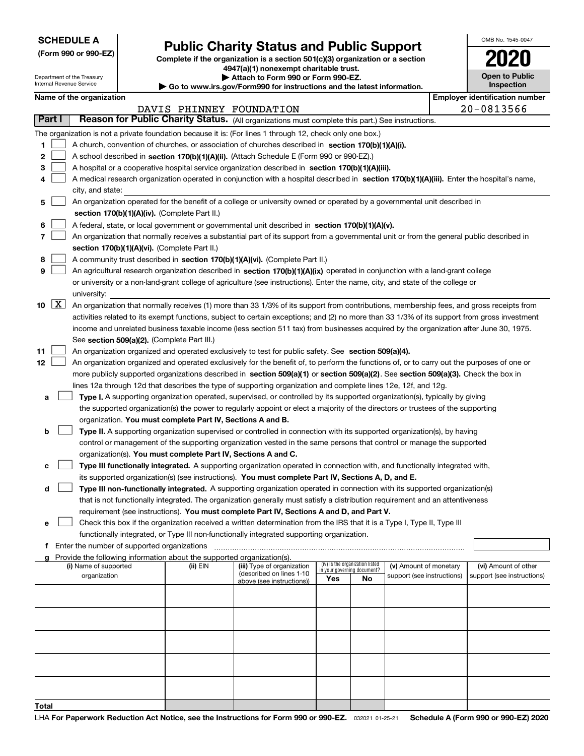Department of the Treasury Internal Revenue Service

**(Form 990 or 990-EZ)**

# **Public Charity Status and Public Support**

**Complete if the organization is a section 501(c)(3) organization or a section 4947(a)(1) nonexempt charitable trust.**

**| Attach to Form 990 or Form 990-EZ.** 

**| Go to www.irs.gov/Form990 for instructions and the latest information.**

| OMB No. 1545-0047                   |
|-------------------------------------|
| 1120                                |
| <b>Open to Public</b><br>Inspection |

|    |                      | Name of the organization                                                                                                                     |                          |                            |                                    |                                 |                            |  | <b>Employer identification number</b> |  |  |
|----|----------------------|----------------------------------------------------------------------------------------------------------------------------------------------|--------------------------|----------------------------|------------------------------------|---------------------------------|----------------------------|--|---------------------------------------|--|--|
|    | Part I               | Reason for Public Charity Status. (All organizations must complete this part.) See instructions.                                             | DAVIS PHINNEY FOUNDATION |                            |                                    |                                 |                            |  | 20-0813566                            |  |  |
|    |                      |                                                                                                                                              |                          |                            |                                    |                                 |                            |  |                                       |  |  |
|    |                      | The organization is not a private foundation because it is: (For lines 1 through 12, check only one box.)                                    |                          |                            |                                    |                                 |                            |  |                                       |  |  |
| 1  |                      | A church, convention of churches, or association of churches described in section 170(b)(1)(A)(i).                                           |                          |                            |                                    |                                 |                            |  |                                       |  |  |
| 2  |                      | A school described in section 170(b)(1)(A)(ii). (Attach Schedule E (Form 990 or 990-EZ).)                                                    |                          |                            |                                    |                                 |                            |  |                                       |  |  |
| з  |                      | A hospital or a cooperative hospital service organization described in section $170(b)(1)(A)(iii)$ .                                         |                          |                            |                                    |                                 |                            |  |                                       |  |  |
| 4  |                      | A medical research organization operated in conjunction with a hospital described in section 170(b)(1)(A)(iii). Enter the hospital's name,   |                          |                            |                                    |                                 |                            |  |                                       |  |  |
|    |                      | city, and state:                                                                                                                             |                          |                            |                                    |                                 |                            |  |                                       |  |  |
| 5  |                      | An organization operated for the benefit of a college or university owned or operated by a governmental unit described in                    |                          |                            |                                    |                                 |                            |  |                                       |  |  |
|    |                      | section 170(b)(1)(A)(iv). (Complete Part II.)                                                                                                |                          |                            |                                    |                                 |                            |  |                                       |  |  |
| 6  |                      | A federal, state, or local government or governmental unit described in section 170(b)(1)(A)(v).                                             |                          |                            |                                    |                                 |                            |  |                                       |  |  |
| 7  |                      | An organization that normally receives a substantial part of its support from a governmental unit or from the general public described in    |                          |                            |                                    |                                 |                            |  |                                       |  |  |
|    |                      | section 170(b)(1)(A)(vi). (Complete Part II.)                                                                                                |                          |                            |                                    |                                 |                            |  |                                       |  |  |
| 8  |                      | A community trust described in section 170(b)(1)(A)(vi). (Complete Part II.)                                                                 |                          |                            |                                    |                                 |                            |  |                                       |  |  |
| 9  |                      | An agricultural research organization described in section 170(b)(1)(A)(ix) operated in conjunction with a land-grant college                |                          |                            |                                    |                                 |                            |  |                                       |  |  |
|    |                      | or university or a non-land-grant college of agriculture (see instructions). Enter the name, city, and state of the college or               |                          |                            |                                    |                                 |                            |  |                                       |  |  |
|    |                      | university:                                                                                                                                  |                          |                            |                                    |                                 |                            |  |                                       |  |  |
|    | $10 \quad \boxed{X}$ | An organization that normally receives (1) more than 33 1/3% of its support from contributions, membership fees, and gross receipts from     |                          |                            |                                    |                                 |                            |  |                                       |  |  |
|    |                      | activities related to its exempt functions, subject to certain exceptions; and (2) no more than 33 1/3% of its support from gross investment |                          |                            |                                    |                                 |                            |  |                                       |  |  |
|    |                      | income and unrelated business taxable income (less section 511 tax) from businesses acquired by the organization after June 30, 1975.        |                          |                            |                                    |                                 |                            |  |                                       |  |  |
|    |                      | See section 509(a)(2). (Complete Part III.)                                                                                                  |                          |                            |                                    |                                 |                            |  |                                       |  |  |
| 11 |                      | An organization organized and operated exclusively to test for public safety. See section 509(a)(4).                                         |                          |                            |                                    |                                 |                            |  |                                       |  |  |
| 12 |                      | An organization organized and operated exclusively for the benefit of, to perform the functions of, or to carry out the purposes of one or   |                          |                            |                                    |                                 |                            |  |                                       |  |  |
|    |                      | more publicly supported organizations described in section 509(a)(1) or section 509(a)(2). See section 509(a)(3). Check the box in           |                          |                            |                                    |                                 |                            |  |                                       |  |  |
|    |                      | lines 12a through 12d that describes the type of supporting organization and complete lines 12e, 12f, and 12g.                               |                          |                            |                                    |                                 |                            |  |                                       |  |  |
| а  |                      | Type I. A supporting organization operated, supervised, or controlled by its supported organization(s), typically by giving                  |                          |                            |                                    |                                 |                            |  |                                       |  |  |
|    |                      | the supported organization(s) the power to regularly appoint or elect a majority of the directors or trustees of the supporting              |                          |                            |                                    |                                 |                            |  |                                       |  |  |
|    |                      | organization. You must complete Part IV, Sections A and B.                                                                                   |                          |                            |                                    |                                 |                            |  |                                       |  |  |
| b  |                      | Type II. A supporting organization supervised or controlled in connection with its supported organization(s), by having                      |                          |                            |                                    |                                 |                            |  |                                       |  |  |
|    |                      | control or management of the supporting organization vested in the same persons that control or manage the supported                         |                          |                            |                                    |                                 |                            |  |                                       |  |  |
|    |                      | organization(s). You must complete Part IV, Sections A and C.                                                                                |                          |                            |                                    |                                 |                            |  |                                       |  |  |
| с  |                      | Type III functionally integrated. A supporting organization operated in connection with, and functionally integrated with,                   |                          |                            |                                    |                                 |                            |  |                                       |  |  |
|    |                      | its supported organization(s) (see instructions). You must complete Part IV, Sections A, D, and E.                                           |                          |                            |                                    |                                 |                            |  |                                       |  |  |
| d  |                      | Type III non-functionally integrated. A supporting organization operated in connection with its supported organization(s)                    |                          |                            |                                    |                                 |                            |  |                                       |  |  |
|    |                      | that is not functionally integrated. The organization generally must satisfy a distribution requirement and an attentiveness                 |                          |                            |                                    |                                 |                            |  |                                       |  |  |
|    |                      | requirement (see instructions). You must complete Part IV, Sections A and D, and Part V.                                                     |                          |                            |                                    |                                 |                            |  |                                       |  |  |
|    |                      | Check this box if the organization received a written determination from the IRS that it is a Type I, Type II, Type III                      |                          |                            |                                    |                                 |                            |  |                                       |  |  |
|    |                      | functionally integrated, or Type III non-functionally integrated supporting organization.                                                    |                          |                            |                                    |                                 |                            |  |                                       |  |  |
|    |                      | f Enter the number of supported organizations                                                                                                |                          |                            |                                    |                                 |                            |  |                                       |  |  |
|    |                      | g Provide the following information about the supported organization(s).                                                                     |                          |                            |                                    |                                 |                            |  |                                       |  |  |
|    |                      | (i) Name of supported                                                                                                                        | (ii) EIN                 | (iii) Type of organization |                                    | (iv) Is the organization listed | (v) Amount of monetary     |  | (vi) Amount of other                  |  |  |
|    |                      | organization                                                                                                                                 |                          | (described on lines 1-10   | in your governing document?<br>Yes | No                              | support (see instructions) |  | support (see instructions)            |  |  |
|    |                      |                                                                                                                                              |                          | above (see instructions))  |                                    |                                 |                            |  |                                       |  |  |
|    |                      |                                                                                                                                              |                          |                            |                                    |                                 |                            |  |                                       |  |  |
|    |                      |                                                                                                                                              |                          |                            |                                    |                                 |                            |  |                                       |  |  |
|    |                      |                                                                                                                                              |                          |                            |                                    |                                 |                            |  |                                       |  |  |
|    |                      |                                                                                                                                              |                          |                            |                                    |                                 |                            |  |                                       |  |  |
|    |                      |                                                                                                                                              |                          |                            |                                    |                                 |                            |  |                                       |  |  |
|    |                      |                                                                                                                                              |                          |                            |                                    |                                 |                            |  |                                       |  |  |
|    |                      |                                                                                                                                              |                          |                            |                                    |                                 |                            |  |                                       |  |  |
|    |                      |                                                                                                                                              |                          |                            |                                    |                                 |                            |  |                                       |  |  |
|    |                      |                                                                                                                                              |                          |                            |                                    |                                 |                            |  |                                       |  |  |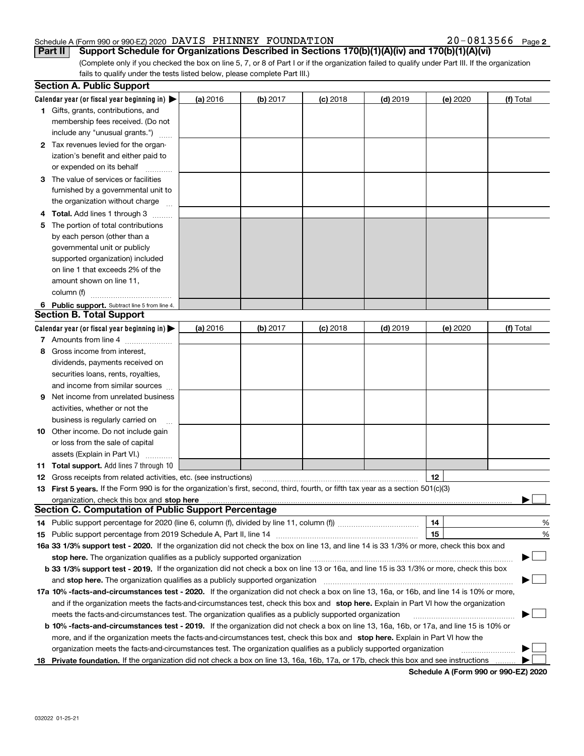**2**

(Complete only if you checked the box on line 5, 7, or 8 of Part I or if the organization failed to qualify under Part III. If the organization fails to qualify under the tests listed below, please complete Part III.) **Part II Support Schedule for Organizations Described in Sections 170(b)(1)(A)(iv) and 170(b)(1)(A)(vi)**

|     | <b>Section A. Public Support</b>                                                                                                               |          |            |            |            |          |                          |
|-----|------------------------------------------------------------------------------------------------------------------------------------------------|----------|------------|------------|------------|----------|--------------------------|
|     | Calendar year (or fiscal year beginning in) $\blacktriangleright$                                                                              | (a) 2016 | $(b)$ 2017 | $(c)$ 2018 | $(d)$ 2019 | (e) 2020 | (f) Total                |
|     | <b>1</b> Gifts, grants, contributions, and                                                                                                     |          |            |            |            |          |                          |
|     | membership fees received. (Do not                                                                                                              |          |            |            |            |          |                          |
|     | include any "unusual grants.")                                                                                                                 |          |            |            |            |          |                          |
|     | 2 Tax revenues levied for the organ-                                                                                                           |          |            |            |            |          |                          |
|     | ization's benefit and either paid to                                                                                                           |          |            |            |            |          |                          |
|     | or expended on its behalf                                                                                                                      |          |            |            |            |          |                          |
|     | 3 The value of services or facilities                                                                                                          |          |            |            |            |          |                          |
|     | furnished by a governmental unit to                                                                                                            |          |            |            |            |          |                          |
|     | the organization without charge                                                                                                                |          |            |            |            |          |                          |
|     | 4 Total. Add lines 1 through 3                                                                                                                 |          |            |            |            |          |                          |
| 5.  | The portion of total contributions                                                                                                             |          |            |            |            |          |                          |
|     | by each person (other than a                                                                                                                   |          |            |            |            |          |                          |
|     | governmental unit or publicly                                                                                                                  |          |            |            |            |          |                          |
|     | supported organization) included                                                                                                               |          |            |            |            |          |                          |
|     | on line 1 that exceeds 2% of the                                                                                                               |          |            |            |            |          |                          |
|     | amount shown on line 11,                                                                                                                       |          |            |            |            |          |                          |
|     | column (f)                                                                                                                                     |          |            |            |            |          |                          |
|     | 6 Public support. Subtract line 5 from line 4.                                                                                                 |          |            |            |            |          |                          |
|     | <b>Section B. Total Support</b>                                                                                                                |          |            |            |            |          |                          |
|     | Calendar year (or fiscal year beginning in) $\blacktriangleright$                                                                              | (a) 2016 | (b) 2017   | $(c)$ 2018 | $(d)$ 2019 | (e) 2020 | (f) Total                |
|     | 7 Amounts from line 4                                                                                                                          |          |            |            |            |          |                          |
|     | 8 Gross income from interest,                                                                                                                  |          |            |            |            |          |                          |
|     | dividends, payments received on                                                                                                                |          |            |            |            |          |                          |
|     | securities loans, rents, royalties,                                                                                                            |          |            |            |            |          |                          |
|     | and income from similar sources                                                                                                                |          |            |            |            |          |                          |
| 9.  | Net income from unrelated business                                                                                                             |          |            |            |            |          |                          |
|     | activities, whether or not the                                                                                                                 |          |            |            |            |          |                          |
|     | business is regularly carried on                                                                                                               |          |            |            |            |          |                          |
|     | <b>10</b> Other income. Do not include gain                                                                                                    |          |            |            |            |          |                          |
|     | or loss from the sale of capital                                                                                                               |          |            |            |            |          |                          |
|     | assets (Explain in Part VI.)                                                                                                                   |          |            |            |            |          |                          |
|     | 11 Total support. Add lines 7 through 10                                                                                                       |          |            |            |            |          |                          |
|     | <b>12</b> Gross receipts from related activities, etc. (see instructions)                                                                      |          |            |            |            | 12       |                          |
|     | 13 First 5 years. If the Form 990 is for the organization's first, second, third, fourth, or fifth tax year as a section 501(c)(3)             |          |            |            |            |          |                          |
|     |                                                                                                                                                |          |            |            |            |          |                          |
|     | <b>Section C. Computation of Public Support Percentage</b>                                                                                     |          |            |            |            |          |                          |
|     | 14 Public support percentage for 2020 (line 6, column (f), divided by line 11, column (f) <i>manumumumumum</i>                                 |          |            |            |            | 14       | %                        |
|     |                                                                                                                                                |          |            |            |            | 15       | %                        |
|     | 16a 33 1/3% support test - 2020. If the organization did not check the box on line 13, and line 14 is 33 1/3% or more, check this box and      |          |            |            |            |          |                          |
|     | stop here. The organization qualifies as a publicly supported organization                                                                     |          |            |            |            |          | $\overline{\phantom{a}}$ |
|     | b 33 1/3% support test - 2019. If the organization did not check a box on line 13 or 16a, and line 15 is 33 1/3% or more, check this box       |          |            |            |            |          |                          |
|     | and stop here. The organization qualifies as a publicly supported organization                                                                 |          |            |            |            |          |                          |
|     | 17a 10% -facts-and-circumstances test - 2020. If the organization did not check a box on line 13, 16a, or 16b, and line 14 is 10% or more,     |          |            |            |            |          |                          |
|     | and if the organization meets the facts-and-circumstances test, check this box and stop here. Explain in Part VI how the organization          |          |            |            |            |          |                          |
|     | meets the facts-and-circumstances test. The organization qualifies as a publicly supported organization                                        |          |            |            |            |          |                          |
|     | <b>b 10% -facts-and-circumstances test - 2019.</b> If the organization did not check a box on line 13, 16a, 16b, or 17a, and line 15 is 10% or |          |            |            |            |          |                          |
|     | more, and if the organization meets the facts-and-circumstances test, check this box and stop here. Explain in Part VI how the                 |          |            |            |            |          |                          |
|     | organization meets the facts-and-circumstances test. The organization qualifies as a publicly supported organization                           |          |            |            |            |          |                          |
| 18. | Private foundation. If the organization did not check a box on line 13, 16a, 16b, 17a, or 17b, check this box and see instructions             |          |            |            |            |          |                          |
|     |                                                                                                                                                |          |            |            |            |          |                          |

**Schedule A (Form 990 or 990-EZ) 2020**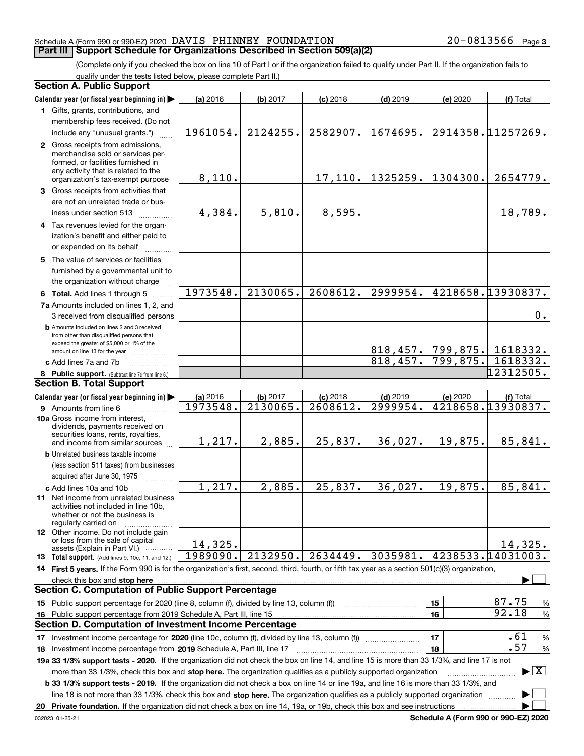### **Part III Support Schedule for Organizations Described in Section 509(a)(2)**

**3**

(Complete only if you checked the box on line 10 of Part I or if the organization failed to qualify under Part II. If the organization fails to qualify under the tests listed below, please complete Part II.)

| <b>Section A. Public Support</b>                                                                                                                 |                      |                      |                        |                        |                                |                                          |
|--------------------------------------------------------------------------------------------------------------------------------------------------|----------------------|----------------------|------------------------|------------------------|--------------------------------|------------------------------------------|
| Calendar year (or fiscal year beginning in)                                                                                                      | (a) 2016             | (b) 2017             | $(c)$ 2018             | $(d)$ 2019             | (e) 2020                       | (f) Total                                |
| 1 Gifts, grants, contributions, and                                                                                                              |                      |                      |                        |                        |                                |                                          |
| membership fees received. (Do not                                                                                                                |                      |                      |                        |                        |                                |                                          |
| include any "unusual grants.")                                                                                                                   | 1961054.             | 2124255.             | 2582907.               | 1674695.               |                                | 2914358.11257269.                        |
| 2 Gross receipts from admissions,                                                                                                                |                      |                      |                        |                        |                                |                                          |
| merchandise sold or services per-                                                                                                                |                      |                      |                        |                        |                                |                                          |
| formed, or facilities furnished in<br>any activity that is related to the                                                                        |                      |                      |                        |                        |                                |                                          |
| organization's tax-exempt purpose                                                                                                                | 8,110.               |                      | 17,110.                | 1325259.               | 1304300.                       | 2654779.                                 |
| 3 Gross receipts from activities that                                                                                                            |                      |                      |                        |                        |                                |                                          |
| are not an unrelated trade or bus-                                                                                                               |                      |                      |                        |                        |                                |                                          |
| iness under section 513                                                                                                                          | 4,384.               | 5,810.               | 8,595.                 |                        |                                | 18,789.                                  |
| 4 Tax revenues levied for the organ-                                                                                                             |                      |                      |                        |                        |                                |                                          |
| ization's benefit and either paid to                                                                                                             |                      |                      |                        |                        |                                |                                          |
| or expended on its behalf                                                                                                                        |                      |                      |                        |                        |                                |                                          |
| 5 The value of services or facilities                                                                                                            |                      |                      |                        |                        |                                |                                          |
| furnished by a governmental unit to                                                                                                              |                      |                      |                        |                        |                                |                                          |
| the organization without charge                                                                                                                  |                      |                      |                        |                        |                                |                                          |
| 6 Total. Add lines 1 through 5                                                                                                                   | 1973548.             | 2130065.             | 2608612.               | 2999954.               |                                | 4218658.13930837.                        |
| 7a Amounts included on lines 1, 2, and                                                                                                           |                      |                      |                        |                        |                                |                                          |
| 3 received from disqualified persons                                                                                                             |                      |                      |                        |                        |                                | $0$ .                                    |
| <b>b</b> Amounts included on lines 2 and 3 received                                                                                              |                      |                      |                        |                        |                                |                                          |
| from other than disqualified persons that                                                                                                        |                      |                      |                        |                        |                                |                                          |
| exceed the greater of \$5,000 or 1% of the                                                                                                       |                      |                      |                        |                        | $818, 457.$ 799, 875. 1618332. |                                          |
| amount on line 13 for the year                                                                                                                   |                      |                      |                        | 818,457.               | 799,875.                       | 1618332.                                 |
| c Add lines 7a and 7b                                                                                                                            |                      |                      |                        |                        |                                | 12312505.                                |
| 8 Public support. (Subtract line 7c from line 6.)<br><b>Section B. Total Support</b>                                                             |                      |                      |                        |                        |                                |                                          |
|                                                                                                                                                  |                      |                      |                        |                        |                                |                                          |
| Calendar year (or fiscal year beginning in)                                                                                                      | (a) 2016<br>1973548. | (b) 2017<br>2130065. | $(c)$ 2018<br>2608612. | $(d)$ 2019<br>2999954. | (e) 2020                       | (f) Total<br>4218658.13930837.           |
| <b>9</b> Amounts from line 6<br>10a Gross income from interest,                                                                                  |                      |                      |                        |                        |                                |                                          |
| dividends, payments received on                                                                                                                  |                      |                      |                        |                        |                                |                                          |
| securities loans, rents, royalties,                                                                                                              |                      |                      |                        |                        | 19,875.                        | 85,841.                                  |
| and income from similar sources                                                                                                                  | 1,217.               | 2,885.               | 25,837.                | 36,027.                |                                |                                          |
| <b>b</b> Unrelated business taxable income                                                                                                       |                      |                      |                        |                        |                                |                                          |
| (less section 511 taxes) from businesses                                                                                                         |                      |                      |                        |                        |                                |                                          |
| acquired after June 30, 1975                                                                                                                     |                      |                      |                        |                        |                                |                                          |
| c Add lines 10a and 10b                                                                                                                          | 1,217.               | $\overline{2,885}$ . | 25,837.                | 36,027.                | 19,875.                        | 85,841.                                  |
| 11 Net income from unrelated business<br>activities not included in line 10b.                                                                    |                      |                      |                        |                        |                                |                                          |
| whether or not the business is                                                                                                                   |                      |                      |                        |                        |                                |                                          |
| regularly carried on                                                                                                                             |                      |                      |                        |                        |                                |                                          |
| <b>12</b> Other income. Do not include gain<br>or loss from the sale of capital                                                                  |                      |                      |                        |                        |                                |                                          |
| assets (Explain in Part VI.)                                                                                                                     | 14,325.              |                      |                        |                        |                                | 14,325.                                  |
| 13 Total support. (Add lines 9, 10c, 11, and 12.)                                                                                                | 1989090.             | 2132950.             | 2634449.               | 3035981.               |                                | 4238533.14031003.                        |
| 14 First 5 years. If the Form 990 is for the organization's first, second, third, fourth, or fifth tax year as a section 501(c)(3) organization, |                      |                      |                        |                        |                                |                                          |
| check this box and stop here                                                                                                                     |                      |                      |                        |                        |                                |                                          |
| <b>Section C. Computation of Public Support Percentage</b>                                                                                       |                      |                      |                        |                        |                                |                                          |
| 15 Public support percentage for 2020 (line 8, column (f), divided by line 13, column (f))                                                       |                      |                      |                        |                        | 15                             | 87.75<br>%                               |
| 16 Public support percentage from 2019 Schedule A, Part III, line 15                                                                             |                      |                      |                        |                        | 16                             | 92.18<br>$\%$                            |
| <b>Section D. Computation of Investment Income Percentage</b>                                                                                    |                      |                      |                        |                        |                                |                                          |
| 17 Investment income percentage for 2020 (line 10c, column (f), divided by line 13, column (f))                                                  |                      |                      |                        |                        | 17                             | .61<br>$\%$                              |
| 18 Investment income percentage from 2019 Schedule A, Part III, line 17                                                                          |                      |                      |                        |                        | 18                             | .57<br>%                                 |
| 19a 33 1/3% support tests - 2020. If the organization did not check the box on line 14, and line 15 is more than 33 1/3%, and line 17 is not     |                      |                      |                        |                        |                                |                                          |
| more than 33 1/3%, check this box and stop here. The organization qualifies as a publicly supported organization                                 |                      |                      |                        |                        |                                | $\blacktriangleright$ $\boxed{\text{X}}$ |
| <b>b 33 1/3% support tests - 2019.</b> If the organization did not check a box on line 14 or line 19a, and line 16 is more than 33 1/3%, and     |                      |                      |                        |                        |                                |                                          |
| line 18 is not more than 33 1/3%, check this box and stop here. The organization qualifies as a publicly supported organization                  |                      |                      |                        |                        |                                |                                          |
| 20 Private foundation. If the organization did not check a box on line 14, 19a, or 19b, check this box and see instructions                      |                      |                      |                        |                        |                                |                                          |

**Schedule A (Form 990 or 990-EZ) 2020**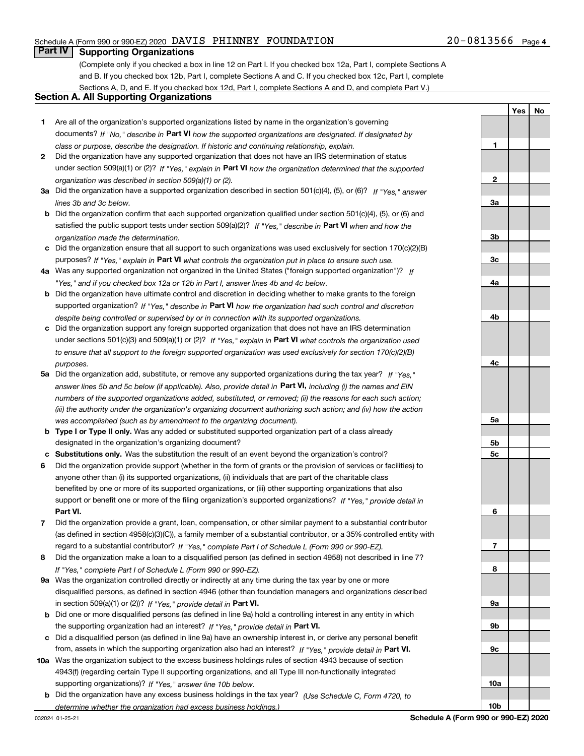### **Part IV Supporting Organizations**

(Complete only if you checked a box in line 12 on Part I. If you checked box 12a, Part I, complete Sections A and B. If you checked box 12b, Part I, complete Sections A and C. If you checked box 12c, Part I, complete Sections A, D, and E. If you checked box 12d, Part I, complete Sections A and D, and complete Part V.)

### **Section A. All Supporting Organizations**

- **1** Are all of the organization's supported organizations listed by name in the organization's governing documents? If "No," describe in **Part VI** how the supported organizations are designated. If designated by *class or purpose, describe the designation. If historic and continuing relationship, explain.*
- **2** Did the organization have any supported organization that does not have an IRS determination of status under section 509(a)(1) or (2)? If "Yes," explain in Part VI how the organization determined that the supported *organization was described in section 509(a)(1) or (2).*
- **3a** Did the organization have a supported organization described in section 501(c)(4), (5), or (6)? If "Yes," answer *lines 3b and 3c below.*
- **b** Did the organization confirm that each supported organization qualified under section 501(c)(4), (5), or (6) and satisfied the public support tests under section 509(a)(2)? If "Yes," describe in **Part VI** when and how the *organization made the determination.*
- **c**Did the organization ensure that all support to such organizations was used exclusively for section 170(c)(2)(B) purposes? If "Yes," explain in **Part VI** what controls the organization put in place to ensure such use.
- **4a***If* Was any supported organization not organized in the United States ("foreign supported organization")? *"Yes," and if you checked box 12a or 12b in Part I, answer lines 4b and 4c below.*
- **b** Did the organization have ultimate control and discretion in deciding whether to make grants to the foreign supported organization? If "Yes," describe in **Part VI** how the organization had such control and discretion *despite being controlled or supervised by or in connection with its supported organizations.*
- **c** Did the organization support any foreign supported organization that does not have an IRS determination under sections 501(c)(3) and 509(a)(1) or (2)? If "Yes," explain in **Part VI** what controls the organization used *to ensure that all support to the foreign supported organization was used exclusively for section 170(c)(2)(B) purposes.*
- **5a***If "Yes,"* Did the organization add, substitute, or remove any supported organizations during the tax year? answer lines 5b and 5c below (if applicable). Also, provide detail in **Part VI,** including (i) the names and EIN *numbers of the supported organizations added, substituted, or removed; (ii) the reasons for each such action; (iii) the authority under the organization's organizing document authorizing such action; and (iv) how the action was accomplished (such as by amendment to the organizing document).*
- **b** Type I or Type II only. Was any added or substituted supported organization part of a class already designated in the organization's organizing document?
- **cSubstitutions only.**  Was the substitution the result of an event beyond the organization's control?
- **6** Did the organization provide support (whether in the form of grants or the provision of services or facilities) to **Part VI.** *If "Yes," provide detail in* support or benefit one or more of the filing organization's supported organizations? anyone other than (i) its supported organizations, (ii) individuals that are part of the charitable class benefited by one or more of its supported organizations, or (iii) other supporting organizations that also
- **7**Did the organization provide a grant, loan, compensation, or other similar payment to a substantial contributor *If "Yes," complete Part I of Schedule L (Form 990 or 990-EZ).* regard to a substantial contributor? (as defined in section 4958(c)(3)(C)), a family member of a substantial contributor, or a 35% controlled entity with
- **8** Did the organization make a loan to a disqualified person (as defined in section 4958) not described in line 7? *If "Yes," complete Part I of Schedule L (Form 990 or 990-EZ).*
- **9a** Was the organization controlled directly or indirectly at any time during the tax year by one or more in section 509(a)(1) or (2))? If "Yes," *provide detail in* <code>Part VI.</code> disqualified persons, as defined in section 4946 (other than foundation managers and organizations described
- **b** Did one or more disqualified persons (as defined in line 9a) hold a controlling interest in any entity in which the supporting organization had an interest? If "Yes," provide detail in P**art VI**.
- **c**Did a disqualified person (as defined in line 9a) have an ownership interest in, or derive any personal benefit from, assets in which the supporting organization also had an interest? If "Yes," provide detail in P**art VI.**
- **10a** Was the organization subject to the excess business holdings rules of section 4943 because of section supporting organizations)? If "Yes," answer line 10b below. 4943(f) (regarding certain Type II supporting organizations, and all Type III non-functionally integrated
- **b** Did the organization have any excess business holdings in the tax year? (Use Schedule C, Form 4720, to *determine whether the organization had excess business holdings.)*

032024 01-25-21

**Schedule A (Form 990 or 990-EZ) 2020**

**1**

**2**

**3a**

**3b**

**3c**

**4a**

**4b**

**4c**

**5a**

**5b5c**

**6**

**7**

**8**

**9a**

**9b**

**9c**

**10a**

**10b**

**YesNo**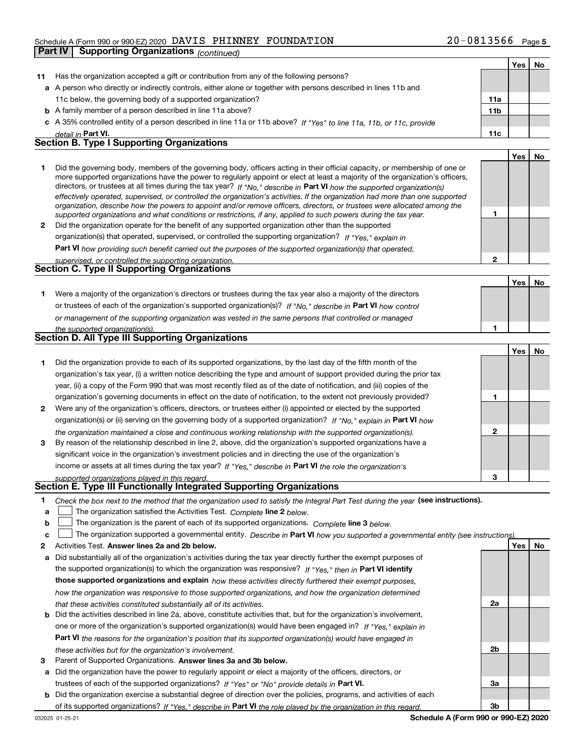|              | Part IV<br><b>Supporting Organizations (continued)</b>                                                                                                                                                                                                                                                                                                                                                                                                                                                                                                                                                                                               |                 |            |    |
|--------------|------------------------------------------------------------------------------------------------------------------------------------------------------------------------------------------------------------------------------------------------------------------------------------------------------------------------------------------------------------------------------------------------------------------------------------------------------------------------------------------------------------------------------------------------------------------------------------------------------------------------------------------------------|-----------------|------------|----|
|              |                                                                                                                                                                                                                                                                                                                                                                                                                                                                                                                                                                                                                                                      |                 | Yes        | No |
| 11           | Has the organization accepted a gift or contribution from any of the following persons?                                                                                                                                                                                                                                                                                                                                                                                                                                                                                                                                                              |                 |            |    |
|              | a A person who directly or indirectly controls, either alone or together with persons described in lines 11b and                                                                                                                                                                                                                                                                                                                                                                                                                                                                                                                                     |                 |            |    |
|              | 11c below, the governing body of a supported organization?                                                                                                                                                                                                                                                                                                                                                                                                                                                                                                                                                                                           | 11a             |            |    |
|              | <b>b</b> A family member of a person described in line 11a above?                                                                                                                                                                                                                                                                                                                                                                                                                                                                                                                                                                                    | 11 <sub>b</sub> |            |    |
|              | c A 35% controlled entity of a person described in line 11a or 11b above? If "Yes" to line 11a, 11b, or 11c, provide                                                                                                                                                                                                                                                                                                                                                                                                                                                                                                                                 |                 |            |    |
|              | detail in Part VI.                                                                                                                                                                                                                                                                                                                                                                                                                                                                                                                                                                                                                                   | 11c             |            |    |
|              | Section B. Type I Supporting Organizations                                                                                                                                                                                                                                                                                                                                                                                                                                                                                                                                                                                                           |                 |            |    |
|              |                                                                                                                                                                                                                                                                                                                                                                                                                                                                                                                                                                                                                                                      |                 | <b>Yes</b> | No |
| 1.           | Did the governing body, members of the governing body, officers acting in their official capacity, or membership of one or<br>more supported organizations have the power to regularly appoint or elect at least a majority of the organization's officers,<br>directors, or trustees at all times during the tax year? If "No," describe in Part VI how the supported organization(s)<br>effectively operated, supervised, or controlled the organization's activities. If the organization had more than one supported<br>organization, describe how the powers to appoint and/or remove officers, directors, or trustees were allocated among the |                 |            |    |
|              | supported organizations and what conditions or restrictions, if any, applied to such powers during the tax year.                                                                                                                                                                                                                                                                                                                                                                                                                                                                                                                                     | 1               |            |    |
| $\mathbf{2}$ | Did the organization operate for the benefit of any supported organization other than the supported                                                                                                                                                                                                                                                                                                                                                                                                                                                                                                                                                  |                 |            |    |
|              | organization(s) that operated, supervised, or controlled the supporting organization? If "Yes," explain in                                                                                                                                                                                                                                                                                                                                                                                                                                                                                                                                           |                 |            |    |
|              | Part VI how providing such benefit carried out the purposes of the supported organization(s) that operated,                                                                                                                                                                                                                                                                                                                                                                                                                                                                                                                                          |                 |            |    |
|              | supervised, or controlled the supporting organization.                                                                                                                                                                                                                                                                                                                                                                                                                                                                                                                                                                                               | $\overline{2}$  |            |    |
|              | Section C. Type II Supporting Organizations                                                                                                                                                                                                                                                                                                                                                                                                                                                                                                                                                                                                          |                 |            |    |
|              |                                                                                                                                                                                                                                                                                                                                                                                                                                                                                                                                                                                                                                                      |                 | Yes        | No |
| 1.           | Were a majority of the organization's directors or trustees during the tax year also a majority of the directors                                                                                                                                                                                                                                                                                                                                                                                                                                                                                                                                     |                 |            |    |
|              | or trustees of each of the organization's supported organization(s)? If "No," describe in Part VI how control                                                                                                                                                                                                                                                                                                                                                                                                                                                                                                                                        |                 |            |    |
|              | or management of the supporting organization was vested in the same persons that controlled or managed                                                                                                                                                                                                                                                                                                                                                                                                                                                                                                                                               |                 |            |    |
|              | the supported organization(s).                                                                                                                                                                                                                                                                                                                                                                                                                                                                                                                                                                                                                       |                 |            |    |
|              | Section D. All Type III Supporting Organizations                                                                                                                                                                                                                                                                                                                                                                                                                                                                                                                                                                                                     |                 |            |    |
|              |                                                                                                                                                                                                                                                                                                                                                                                                                                                                                                                                                                                                                                                      |                 | Yes        | No |
| 1            | Did the organization provide to each of its supported organizations, by the last day of the fifth month of the                                                                                                                                                                                                                                                                                                                                                                                                                                                                                                                                       |                 |            |    |
|              | organization's tax year, (i) a written notice describing the type and amount of support provided during the prior tax                                                                                                                                                                                                                                                                                                                                                                                                                                                                                                                                |                 |            |    |
|              | year, (ii) a copy of the Form 990 that was most recently filed as of the date of notification, and (iii) copies of the                                                                                                                                                                                                                                                                                                                                                                                                                                                                                                                               |                 |            |    |
|              | organization's governing documents in effect on the date of notification, to the extent not previously provided?                                                                                                                                                                                                                                                                                                                                                                                                                                                                                                                                     | 1               |            |    |
| $\mathbf{2}$ | Were any of the organization's officers, directors, or trustees either (i) appointed or elected by the supported                                                                                                                                                                                                                                                                                                                                                                                                                                                                                                                                     |                 |            |    |
|              | organization(s) or (ii) serving on the governing body of a supported organization? If "No," explain in Part VI how                                                                                                                                                                                                                                                                                                                                                                                                                                                                                                                                   |                 |            |    |
|              | the organization maintained a close and continuous working relationship with the supported organization(s).                                                                                                                                                                                                                                                                                                                                                                                                                                                                                                                                          | 2               |            |    |
| 3            | By reason of the relationship described in line 2, above, did the organization's supported organizations have a                                                                                                                                                                                                                                                                                                                                                                                                                                                                                                                                      |                 |            |    |
|              | significant voice in the organization's investment policies and in directing the use of the organization's                                                                                                                                                                                                                                                                                                                                                                                                                                                                                                                                           |                 |            |    |
|              | income or assets at all times during the tax year? If "Yes," describe in Part VI the role the organization's                                                                                                                                                                                                                                                                                                                                                                                                                                                                                                                                         |                 |            |    |
|              | supported organizations played in this regard.                                                                                                                                                                                                                                                                                                                                                                                                                                                                                                                                                                                                       | 3               |            |    |
|              | Section E. Type III Functionally Integrated Supporting Organizations                                                                                                                                                                                                                                                                                                                                                                                                                                                                                                                                                                                 |                 |            |    |
| 1.           | Check the box next to the method that the organization used to satisfy the Integral Part Test during the year (see instructions).                                                                                                                                                                                                                                                                                                                                                                                                                                                                                                                    |                 |            |    |

- **alinupy** The organization satisfied the Activities Test. Complete line 2 below.
- **bThe organization is the parent of each of its supported organizations. Complete line 3 below.**

|  |  |  | c $\Box$ The organization supported a governmental entity. Describe in Part VI how you supported a governmental entity (see instructions) |  |
|--|--|--|-------------------------------------------------------------------------------------------------------------------------------------------|--|
|--|--|--|-------------------------------------------------------------------------------------------------------------------------------------------|--|

- **2Answer lines 2a and 2b below. Yes No** Activities Test.
- **a** Did substantially all of the organization's activities during the tax year directly further the exempt purposes of the supported organization(s) to which the organization was responsive? If "Yes," then in **Part VI identify those supported organizations and explain**  *how these activities directly furthered their exempt purposes, how the organization was responsive to those supported organizations, and how the organization determined that these activities constituted substantially all of its activities.*
- **b** Did the activities described in line 2a, above, constitute activities that, but for the organization's involvement, **Part VI**  *the reasons for the organization's position that its supported organization(s) would have engaged in* one or more of the organization's supported organization(s) would have been engaged in? If "Yes," e*xplain in these activities but for the organization's involvement.*
- **3** Parent of Supported Organizations. Answer lines 3a and 3b below.

**a** Did the organization have the power to regularly appoint or elect a majority of the officers, directors, or trustees of each of the supported organizations? If "Yes" or "No" provide details in **Part VI.** 

**b** Did the organization exercise a substantial degree of direction over the policies, programs, and activities of each of its supported organizations? If "Yes," describe in Part VI the role played by the organization in this regard.

**2a**

**2b**

**3a**

**3b**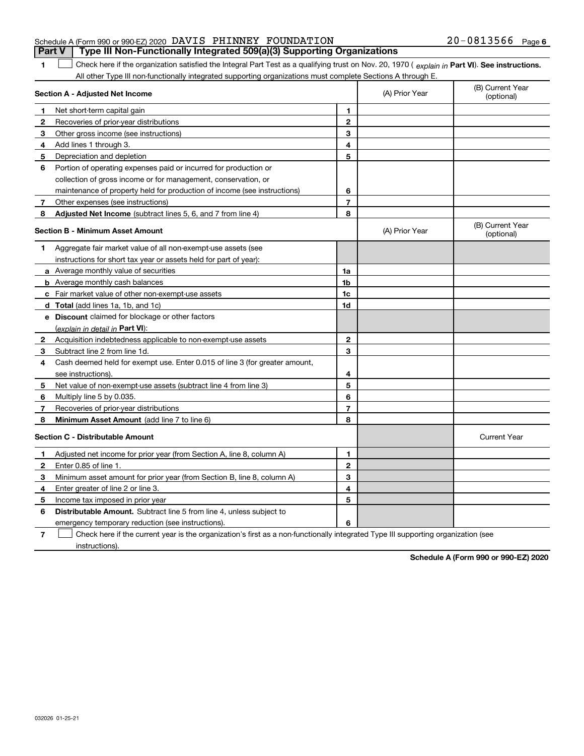### Schedule A (Form 990 or 990-EZ) 2020  $\,$  DAVIS PHINNEY FOUNDATION  $20-0813566$  Page **Part V Type III Non-Functionally Integrated 509(a)(3) Supporting Organizations**

**1**

1 Check here if the organization satisfied the Integral Part Test as a qualifying trust on Nov. 20, 1970 (explain in Part VI). See instructions. All other Type III non-functionally integrated supporting organizations must complete Sections A through E.

|                                         | Section A - Adjusted Net Income                                             |                | (A) Prior Year | (B) Current Year<br>(optional) |
|-----------------------------------------|-----------------------------------------------------------------------------|----------------|----------------|--------------------------------|
| $\mathbf 1$                             | Net short-term capital gain                                                 | 1              |                |                                |
| $\mathbf{2}$                            | Recoveries of prior-year distributions                                      | $\overline{2}$ |                |                                |
| 3                                       | Other gross income (see instructions)                                       | 3              |                |                                |
| 4                                       | Add lines 1 through 3.                                                      | 4              |                |                                |
| 5                                       | Depreciation and depletion                                                  | 5              |                |                                |
| 6                                       | Portion of operating expenses paid or incurred for production or            |                |                |                                |
|                                         | collection of gross income or for management, conservation, or              |                |                |                                |
|                                         | maintenance of property held for production of income (see instructions)    | 6              |                |                                |
| 7                                       | Other expenses (see instructions)                                           | $\overline{7}$ |                |                                |
| 8                                       | <b>Adjusted Net Income</b> (subtract lines 5, 6, and 7 from line 4)         | 8              |                |                                |
| <b>Section B - Minimum Asset Amount</b> |                                                                             |                | (A) Prior Year | (B) Current Year<br>(optional) |
| 1                                       | Aggregate fair market value of all non-exempt-use assets (see               |                |                |                                |
|                                         | instructions for short tax year or assets held for part of year):           |                |                |                                |
|                                         | a Average monthly value of securities                                       | 1a             |                |                                |
|                                         | <b>b</b> Average monthly cash balances                                      | 1b             |                |                                |
|                                         | c Fair market value of other non-exempt-use assets                          | 1c             |                |                                |
|                                         | d Total (add lines 1a, 1b, and 1c)                                          | 1d             |                |                                |
|                                         | e Discount claimed for blockage or other factors                            |                |                |                                |
|                                         | (explain in detail in Part VI):                                             |                |                |                                |
| 2                                       | Acquisition indebtedness applicable to non-exempt-use assets                | $\overline{2}$ |                |                                |
| 3                                       | Subtract line 2 from line 1d.                                               | 3              |                |                                |
| 4                                       | Cash deemed held for exempt use. Enter 0.015 of line 3 (for greater amount, |                |                |                                |
|                                         | see instructions).                                                          | 4              |                |                                |
| 5                                       | Net value of non-exempt-use assets (subtract line 4 from line 3)            | 5              |                |                                |
| 6                                       | Multiply line 5 by 0.035.                                                   | 6              |                |                                |
| 7                                       | Recoveries of prior-year distributions                                      | $\overline{7}$ |                |                                |
| 8                                       | Minimum Asset Amount (add line 7 to line 6)                                 | 8              |                |                                |
|                                         | <b>Section C - Distributable Amount</b>                                     |                |                | <b>Current Year</b>            |
| $\mathbf 1$                             | Adjusted net income for prior year (from Section A, line 8, column A)       | 1              |                |                                |
| $\mathbf{2}$                            | Enter 0.85 of line 1.                                                       | $\overline{2}$ |                |                                |
| 3                                       | Minimum asset amount for prior year (from Section B, line 8, column A)      | 3              |                |                                |
| 4                                       | Enter greater of line 2 or line 3.                                          | 4              |                |                                |
| 5                                       | Income tax imposed in prior year                                            | 5              |                |                                |
| 6                                       | <b>Distributable Amount.</b> Subtract line 5 from line 4, unless subject to |                |                |                                |
|                                         | emergency temporary reduction (see instructions).                           | 6              |                |                                |
|                                         |                                                                             |                |                |                                |

**7**Check here if the current year is the organization's first as a non-functionally integrated Type III supporting organization (see instructions).

**Schedule A (Form 990 or 990-EZ) 2020**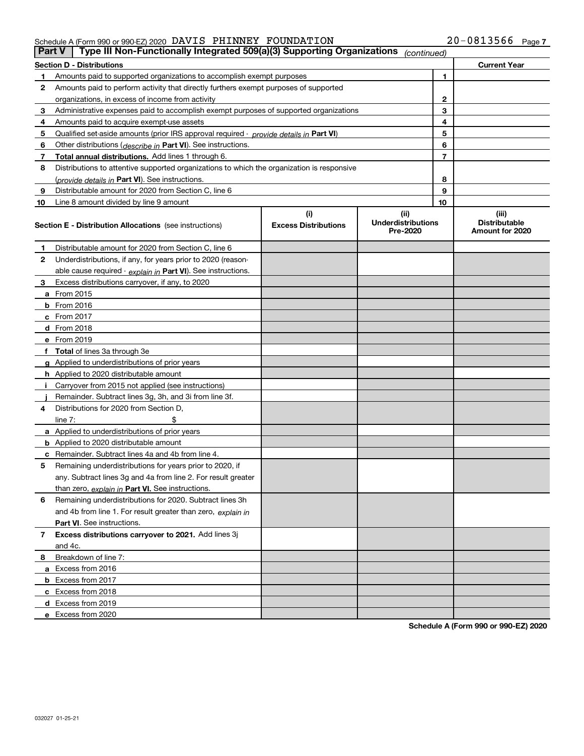### Schedule A (Form 990 or 990-EZ) 2020 DAVIS PHINNEY FOUNDATION 2 U – U 8 I 3 5 6 6 Page DAVIS PHINNEY FOUNDATION 20-0813566

| <b>Part V</b>        | Type III Non-Functionally Integrated 509(a)(3) Supporting Organizations                    |                             | (continued)                           |    |                                         |
|----------------------|--------------------------------------------------------------------------------------------|-----------------------------|---------------------------------------|----|-----------------------------------------|
|                      | <b>Section D - Distributions</b>                                                           |                             |                                       |    | <b>Current Year</b>                     |
| 1                    | Amounts paid to supported organizations to accomplish exempt purposes                      |                             |                                       | 1  |                                         |
| 2                    | Amounts paid to perform activity that directly furthers exempt purposes of supported       |                             |                                       |    |                                         |
|                      | organizations, in excess of income from activity                                           |                             |                                       | 2  |                                         |
| 3                    | Administrative expenses paid to accomplish exempt purposes of supported organizations      |                             |                                       | 3  |                                         |
| 4                    | Amounts paid to acquire exempt-use assets                                                  |                             |                                       |    |                                         |
| 5                    | Qualified set-aside amounts (prior IRS approval required - provide details in Part VI)     |                             |                                       | 5  |                                         |
| 6                    | Other distributions (describe in Part VI). See instructions.                               |                             |                                       |    |                                         |
| 7                    | Total annual distributions. Add lines 1 through 6.                                         |                             |                                       | 7  |                                         |
| 8                    | Distributions to attentive supported organizations to which the organization is responsive |                             |                                       |    |                                         |
|                      | (provide details in Part VI). See instructions.                                            |                             | 8                                     |    |                                         |
| 9                    | Distributable amount for 2020 from Section C, line 6                                       |                             | 9                                     |    |                                         |
| 10                   | Line 8 amount divided by line 9 amount                                                     |                             |                                       | 10 |                                         |
| (i)<br>(ii)<br>(iii) |                                                                                            |                             |                                       |    |                                         |
|                      | <b>Section E - Distribution Allocations</b> (see instructions)                             | <b>Excess Distributions</b> | <b>Underdistributions</b><br>Pre-2020 |    | <b>Distributable</b><br>Amount for 2020 |
| 1                    | Distributable amount for 2020 from Section C, line 6                                       |                             |                                       |    |                                         |
| 2                    | Underdistributions, if any, for years prior to 2020 (reason-                               |                             |                                       |    |                                         |
|                      | able cause required - explain in Part VI). See instructions.                               |                             |                                       |    |                                         |
| 3                    | Excess distributions carryover, if any, to 2020                                            |                             |                                       |    |                                         |
|                      | <b>a</b> From 2015                                                                         |                             |                                       |    |                                         |
|                      | <b>b</b> From 2016                                                                         |                             |                                       |    |                                         |
|                      | c From 2017                                                                                |                             |                                       |    |                                         |
|                      | <b>d</b> From 2018                                                                         |                             |                                       |    |                                         |
|                      | e From 2019                                                                                |                             |                                       |    |                                         |
|                      | f Total of lines 3a through 3e                                                             |                             |                                       |    |                                         |
|                      | g Applied to underdistributions of prior years                                             |                             |                                       |    |                                         |
|                      | <b>h</b> Applied to 2020 distributable amount                                              |                             |                                       |    |                                         |
|                      | Carryover from 2015 not applied (see instructions)                                         |                             |                                       |    |                                         |
|                      | Remainder. Subtract lines 3g, 3h, and 3i from line 3f.                                     |                             |                                       |    |                                         |
| 4                    | Distributions for 2020 from Section D,                                                     |                             |                                       |    |                                         |
|                      | line $7:$                                                                                  |                             |                                       |    |                                         |
|                      | a Applied to underdistributions of prior years                                             |                             |                                       |    |                                         |
|                      | <b>b</b> Applied to 2020 distributable amount                                              |                             |                                       |    |                                         |
|                      | c Remainder. Subtract lines 4a and 4b from line 4.                                         |                             |                                       |    |                                         |
| 5                    | Remaining underdistributions for years prior to 2020, if                                   |                             |                                       |    |                                         |
|                      | any. Subtract lines 3g and 4a from line 2. For result greater                              |                             |                                       |    |                                         |
|                      | than zero, explain in Part VI. See instructions.                                           |                             |                                       |    |                                         |
| 6                    | Remaining underdistributions for 2020. Subtract lines 3h                                   |                             |                                       |    |                                         |
|                      | and 4b from line 1. For result greater than zero, explain in                               |                             |                                       |    |                                         |
|                      | Part VI. See instructions.                                                                 |                             |                                       |    |                                         |
| 7                    | Excess distributions carryover to 2021. Add lines 3j                                       |                             |                                       |    |                                         |
|                      | and 4c.                                                                                    |                             |                                       |    |                                         |
| 8                    | Breakdown of line 7:                                                                       |                             |                                       |    |                                         |
|                      | a Excess from 2016                                                                         |                             |                                       |    |                                         |
|                      | <b>b</b> Excess from 2017                                                                  |                             |                                       |    |                                         |
|                      | c Excess from 2018                                                                         |                             |                                       |    |                                         |
|                      | d Excess from 2019                                                                         |                             |                                       |    |                                         |
|                      | e Excess from 2020                                                                         |                             |                                       |    |                                         |

**Schedule A (Form 990 or 990-EZ) 2020**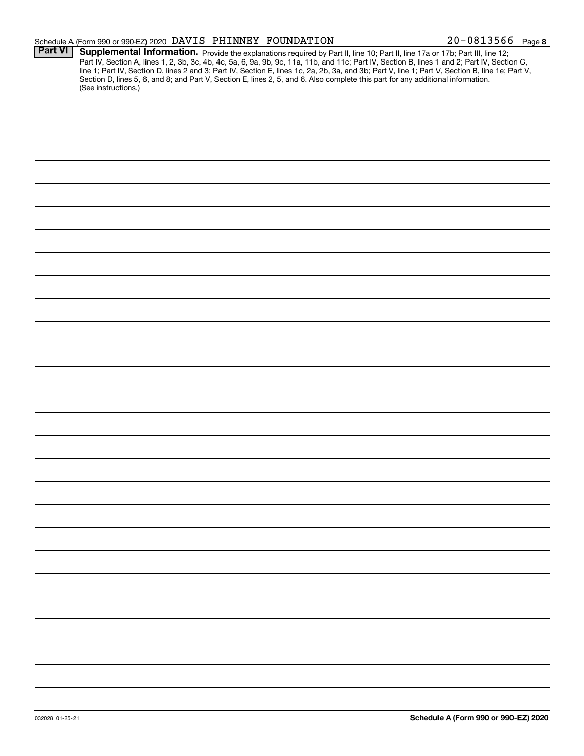|                | Schedule A (Form 990 or 990-EZ) 2020 DAVIS PHINNEY FOUNDATION |                                                                                                                                                                                                                                                                                                                                                                                                                                                                                                                                                                      | $20 - 0813566$ Page 8 |
|----------------|---------------------------------------------------------------|----------------------------------------------------------------------------------------------------------------------------------------------------------------------------------------------------------------------------------------------------------------------------------------------------------------------------------------------------------------------------------------------------------------------------------------------------------------------------------------------------------------------------------------------------------------------|-----------------------|
| <b>Part VI</b> | (See instructions.)                                           | Supplemental Information. Provide the explanations required by Part II, line 10; Part II, line 17a or 17b; Part III, line 12;<br>Part IV, Section A, lines 1, 2, 3b, 3c, 4b, 4c, 5a, 6, 9a, 9b, 9c, 11a, 11b, and 11c; Part IV, Section B, lines 1 and 2; Part IV, Section C,<br>line 1; Part IV, Section D, lines 2 and 3; Part IV, Section E, lines 1c, 2a, 2b, 3a, and 3b; Part V, line 1; Part V, Section B, line 1e; Part V,<br>Section D, lines 5, 6, and 8; and Part V, Section E, lines 2, 5, and 6. Also complete this part for any additional information. |                       |
|                |                                                               |                                                                                                                                                                                                                                                                                                                                                                                                                                                                                                                                                                      |                       |
|                |                                                               |                                                                                                                                                                                                                                                                                                                                                                                                                                                                                                                                                                      |                       |
|                |                                                               |                                                                                                                                                                                                                                                                                                                                                                                                                                                                                                                                                                      |                       |
|                |                                                               |                                                                                                                                                                                                                                                                                                                                                                                                                                                                                                                                                                      |                       |
|                |                                                               |                                                                                                                                                                                                                                                                                                                                                                                                                                                                                                                                                                      |                       |
|                |                                                               |                                                                                                                                                                                                                                                                                                                                                                                                                                                                                                                                                                      |                       |
|                |                                                               |                                                                                                                                                                                                                                                                                                                                                                                                                                                                                                                                                                      |                       |
|                |                                                               |                                                                                                                                                                                                                                                                                                                                                                                                                                                                                                                                                                      |                       |
|                |                                                               |                                                                                                                                                                                                                                                                                                                                                                                                                                                                                                                                                                      |                       |
|                |                                                               |                                                                                                                                                                                                                                                                                                                                                                                                                                                                                                                                                                      |                       |
|                |                                                               |                                                                                                                                                                                                                                                                                                                                                                                                                                                                                                                                                                      |                       |
|                |                                                               |                                                                                                                                                                                                                                                                                                                                                                                                                                                                                                                                                                      |                       |
|                |                                                               |                                                                                                                                                                                                                                                                                                                                                                                                                                                                                                                                                                      |                       |
|                |                                                               |                                                                                                                                                                                                                                                                                                                                                                                                                                                                                                                                                                      |                       |
|                |                                                               |                                                                                                                                                                                                                                                                                                                                                                                                                                                                                                                                                                      |                       |
|                |                                                               |                                                                                                                                                                                                                                                                                                                                                                                                                                                                                                                                                                      |                       |
|                |                                                               |                                                                                                                                                                                                                                                                                                                                                                                                                                                                                                                                                                      |                       |
|                |                                                               |                                                                                                                                                                                                                                                                                                                                                                                                                                                                                                                                                                      |                       |
|                |                                                               |                                                                                                                                                                                                                                                                                                                                                                                                                                                                                                                                                                      |                       |
|                |                                                               |                                                                                                                                                                                                                                                                                                                                                                                                                                                                                                                                                                      |                       |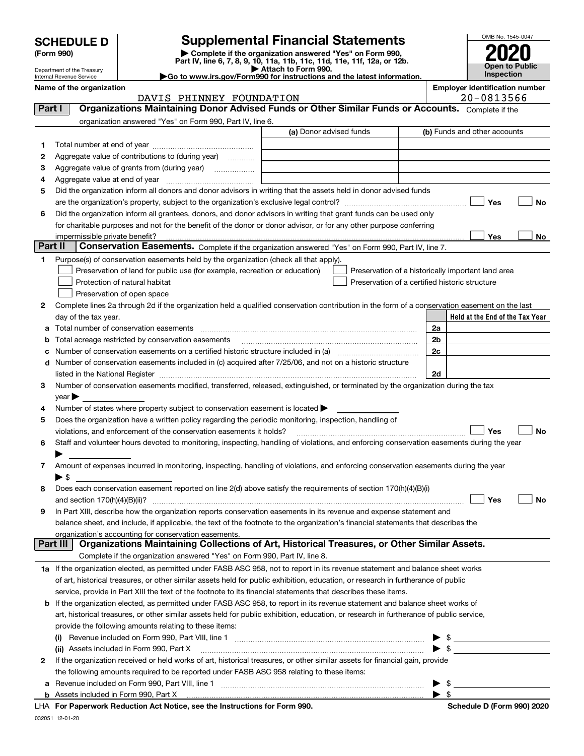| <b>SCHEDULE D</b>                                                                                                                                       |                                                                                                                    | <b>Supplemental Financial Statements</b>                                                                                             |  |  | OMB No. 1545-0047                     |                       |  |
|---------------------------------------------------------------------------------------------------------------------------------------------------------|--------------------------------------------------------------------------------------------------------------------|--------------------------------------------------------------------------------------------------------------------------------------|--|--|---------------------------------------|-----------------------|--|
| (Form 990)                                                                                                                                              |                                                                                                                    | Complete if the organization answered "Yes" on Form 990,<br>Part IV, line 6, 7, 8, 9, 10, 11a, 11b, 11c, 11d, 11e, 11f, 12a, or 12b. |  |  |                                       |                       |  |
| Attach to Form 990.<br>Department of the Treasury<br>Go to www.irs.gov/Form990 for instructions and the latest information.<br>Internal Revenue Service |                                                                                                                    |                                                                                                                                      |  |  | Inspection                            | <b>Open to Public</b> |  |
| Name of the organization                                                                                                                                |                                                                                                                    |                                                                                                                                      |  |  | <b>Employer identification number</b> |                       |  |
|                                                                                                                                                         | DAVIS PHINNEY FOUNDATION                                                                                           |                                                                                                                                      |  |  | 20-0813566                            |                       |  |
| <b>Part I</b>                                                                                                                                           | Organizations Maintaining Donor Advised Funds or Other Similar Funds or Accounts. Complete if the                  |                                                                                                                                      |  |  |                                       |                       |  |
|                                                                                                                                                         | organization answered "Yes" on Form 990, Part IV, line 6.                                                          |                                                                                                                                      |  |  |                                       |                       |  |
|                                                                                                                                                         |                                                                                                                    | (a) Donor advised funds                                                                                                              |  |  | (b) Funds and other accounts          |                       |  |
|                                                                                                                                                         |                                                                                                                    |                                                                                                                                      |  |  |                                       |                       |  |
|                                                                                                                                                         |                                                                                                                    |                                                                                                                                      |  |  |                                       |                       |  |
| 2                                                                                                                                                       | Aggregate value of contributions to (during year)                                                                  |                                                                                                                                      |  |  |                                       |                       |  |
| з                                                                                                                                                       | Aggregate value of grants from (during year) <i>mimimimimia</i>                                                    |                                                                                                                                      |  |  |                                       |                       |  |
| Aggregate value at end of year<br>4                                                                                                                     |                                                                                                                    |                                                                                                                                      |  |  |                                       |                       |  |
| 5                                                                                                                                                       | Did the organization inform all donors and donor advisors in writing that the assets held in donor advised funds   |                                                                                                                                      |  |  |                                       |                       |  |
|                                                                                                                                                         |                                                                                                                    |                                                                                                                                      |  |  | Yes                                   |                       |  |
| 6                                                                                                                                                       | Did the organization inform all grantees, donors, and donor advisors in writing that grant funds can be used only  |                                                                                                                                      |  |  |                                       |                       |  |
|                                                                                                                                                         | for charitable purposes and not for the benefit of the donor or donor advisor, or for any other purpose conferring |                                                                                                                                      |  |  |                                       | <b>No</b>             |  |

| Purpose(s) of conservation easements held by the organization (check all that apply).                                                       |                                                    |
|---------------------------------------------------------------------------------------------------------------------------------------------|----------------------------------------------------|
| Preservation of land for public use (for example, recreation or education)                                                                  | Preservation of a historically important land area |
| Protection of natural habitat                                                                                                               | Preservation of a certified historic structure     |
| Preservation of open space                                                                                                                  |                                                    |
| amplete lines On through Od if the experimetion hold a qualified concernation contribution in the form of a concernation coopment on the la |                                                    |

| Complete lines 2a through 2d if the organization held a qualified conservation contribution in the form of a conservation easement on the last |                |                                   |
|------------------------------------------------------------------------------------------------------------------------------------------------|----------------|-----------------------------------|
| day of the tax year.                                                                                                                           |                | l Held at the End of the Tax Year |
| a Total number of conservation easements                                                                                                       | 2a             |                                   |
| <b>b</b> Total acreage restricted by conservation easements                                                                                    | 2 <sub>b</sub> |                                   |
|                                                                                                                                                |                |                                   |

|    | c Number of conservation easements on a certified historic structure included in (a)                                             | 2с |  |
|----|----------------------------------------------------------------------------------------------------------------------------------|----|--|
|    | d Number of conservation easements included in (c) acquired after 7/25/06, and not on a historic structure                       |    |  |
|    | listed in the National Register                                                                                                  | 2d |  |
| 3. | Number of conservation easements modified, transferred, released, extinguished, or terminated by the organization during the tax |    |  |
|    | vear                                                                                                                             |    |  |
| 4  | Number of states where property subject to conservation easement is located >                                                    |    |  |

| $\blacksquare$                                                                                                                              |
|---------------------------------------------------------------------------------------------------------------------------------------------|
| 5 Does the organization have a written policy regarding the periodic monitoring, inspection, handling of                                    |
| │ ∣Yes<br>∣ No<br>violations, and enforcement of the conservation easements it holds?                                                       |
| 6 Staff and volunteer hours devoted to monitoring, inspecting, handling of violations, and enforcing conservation easements during the year |
|                                                                                                                                             |

| 7 Amount of expenses incurred in monitoring, inspecting, handling of violations, and enforcing conservation easements during the year |
|---------------------------------------------------------------------------------------------------------------------------------------|
|                                                                                                                                       |

|                               | 8 Does each conservation easement reported on line 2(d) above satisfy the requirements of section 170(h)(4)(B)(i) |    |
|-------------------------------|-------------------------------------------------------------------------------------------------------------------|----|
| and section 170(h)(4)(B)(ii)? |                                                                                                                   | No |

| 9 In Part XIII, describe how the organization reports conservation easements in its revenue and expense statement and             |
|-----------------------------------------------------------------------------------------------------------------------------------|
| balance sheet, and include, if applicable, the text of the footnote to the organization's financial statements that describes the |
| organization's accounting for conservation easements.                                                                             |

| properties to appointming for borroof vation babbitriorito.<br><b>Part III   Organizations Maintaining Collections of Art, Historical Treasures, or Other Similar Assets.</b> |                                                                           |  |  |  |  |
|-------------------------------------------------------------------------------------------------------------------------------------------------------------------------------|---------------------------------------------------------------------------|--|--|--|--|
|                                                                                                                                                                               | Complete if the organization answered "Yes" on Form 990, Part IV, line 8. |  |  |  |  |

| 1a If the organization elected, as permitted under FASB ASC 958, not to report in its revenue statement and balance sheet works   |
|-----------------------------------------------------------------------------------------------------------------------------------|
| of art, historical treasures, or other similar assets held for public exhibition, education, or research in furtherance of public |
| service, provide in Part XIII the text of the footnote to its financial statements that describes these items.                    |

| <b>b</b> If the organization elected, as permitted under FASB ASC 958, to report in its revenue statement and balance sheet works of    |
|-----------------------------------------------------------------------------------------------------------------------------------------|
| art, historical treasures, or other similar assets held for public exhibition, education, or research in furtherance of public service, |
| provide the following amounts relating to these items:                                                                                  |
|                                                                                                                                         |

| Revenue included on Form 990, Part VIII, line 1<br>(i)                                                                         |  |
|--------------------------------------------------------------------------------------------------------------------------------|--|
| (ii) Assets included in Form 990, Part X [2000] [2000] [2000] [3000] [3000] [3000] [3000] [3000] [3000] [3000                  |  |
| 2 If the organization received or held works of art, historical treasures, or other similar assets for financial gain, provide |  |
| the following amounts required to be reported under FASB ASC 958 relating to these items:                                      |  |
| <b>a</b> Revenue included on Form 990, Part VIII, line 1                                                                       |  |
|                                                                                                                                |  |

**No**

032051 12-01-20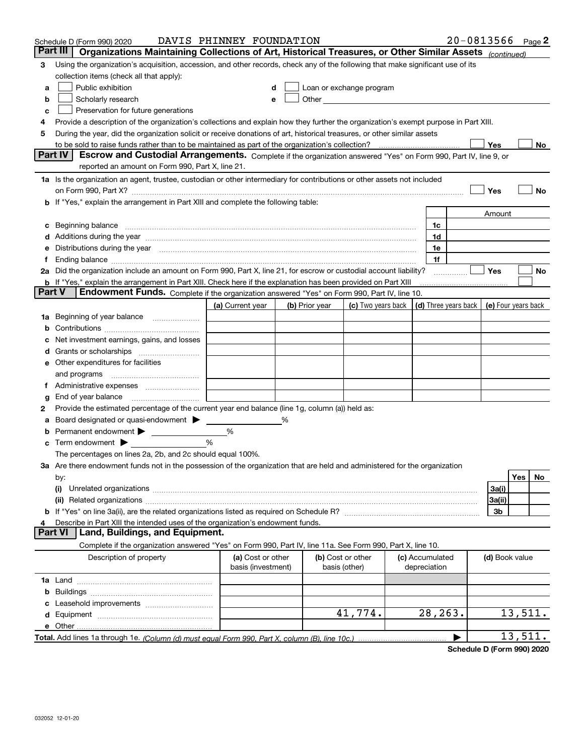|               | Schedule D (Form 990) 2020                                                                                                                                                                                                     | DAVIS PHINNEY FOUNDATION |  |                |                                                                                                                                                                                                                               |  |          | $20 - 0813566$ Page 2 |        |         |    |
|---------------|--------------------------------------------------------------------------------------------------------------------------------------------------------------------------------------------------------------------------------|--------------------------|--|----------------|-------------------------------------------------------------------------------------------------------------------------------------------------------------------------------------------------------------------------------|--|----------|-----------------------|--------|---------|----|
|               | Part III<br>Organizations Maintaining Collections of Art, Historical Treasures, or Other Similar Assets (continued)                                                                                                            |                          |  |                |                                                                                                                                                                                                                               |  |          |                       |        |         |    |
| 3             | Using the organization's acquisition, accession, and other records, check any of the following that make significant use of its                                                                                                |                          |  |                |                                                                                                                                                                                                                               |  |          |                       |        |         |    |
|               | collection items (check all that apply):                                                                                                                                                                                       |                          |  |                |                                                                                                                                                                                                                               |  |          |                       |        |         |    |
| a             | Public exhibition                                                                                                                                                                                                              | d                        |  |                | Loan or exchange program                                                                                                                                                                                                      |  |          |                       |        |         |    |
| b             | Scholarly research                                                                                                                                                                                                             |                          |  |                | Other and the contract of the contract of the contract of the contract of the contract of the contract of the contract of the contract of the contract of the contract of the contract of the contract of the contract of the |  |          |                       |        |         |    |
| c             | Preservation for future generations                                                                                                                                                                                            |                          |  |                |                                                                                                                                                                                                                               |  |          |                       |        |         |    |
| 4             | Provide a description of the organization's collections and explain how they further the organization's exempt purpose in Part XIII.                                                                                           |                          |  |                |                                                                                                                                                                                                                               |  |          |                       |        |         |    |
| 5             | During the year, did the organization solicit or receive donations of art, historical treasures, or other similar assets                                                                                                       |                          |  |                |                                                                                                                                                                                                                               |  |          |                       |        |         |    |
|               | to be sold to raise funds rather than to be maintained as part of the organization's collection?                                                                                                                               |                          |  |                |                                                                                                                                                                                                                               |  |          |                       | Yes    |         | No |
|               | <b>Part IV</b><br>Escrow and Custodial Arrangements. Complete if the organization answered "Yes" on Form 990, Part IV, line 9, or                                                                                              |                          |  |                |                                                                                                                                                                                                                               |  |          |                       |        |         |    |
|               | reported an amount on Form 990, Part X, line 21.                                                                                                                                                                               |                          |  |                |                                                                                                                                                                                                                               |  |          |                       |        |         |    |
|               | 1a Is the organization an agent, trustee, custodian or other intermediary for contributions or other assets not included                                                                                                       |                          |  |                |                                                                                                                                                                                                                               |  |          |                       |        |         |    |
|               | on Form 990, Part X? [11] matter contracts and contracts and contracts are contracted as a function of the set of the set of the set of the set of the set of the set of the set of the set of the set of the set of the set o |                          |  |                |                                                                                                                                                                                                                               |  |          |                       | Yes    |         | No |
|               | b If "Yes," explain the arrangement in Part XIII and complete the following table:                                                                                                                                             |                          |  |                |                                                                                                                                                                                                                               |  |          |                       |        |         |    |
|               |                                                                                                                                                                                                                                |                          |  |                |                                                                                                                                                                                                                               |  |          |                       | Amount |         |    |
| c             | Beginning balance                                                                                                                                                                                                              |                          |  |                |                                                                                                                                                                                                                               |  | 1c<br>1d |                       |        |         |    |
| е             | Additions during the year manufactured and an account of the year manufactured and account of the year manufactured and account of the year manufactured and account of the year manufactured and account of the year manufact |                          |  |                |                                                                                                                                                                                                                               |  | 1e       |                       |        |         |    |
|               | Distributions during the year manufactured and continuum control of the year manufactured and control of the year manufactured and control of the year manufactured and control of the year manufactured and control of the ye |                          |  |                |                                                                                                                                                                                                                               |  | 1f       |                       |        |         |    |
|               | 2a Did the organization include an amount on Form 990, Part X, line 21, for escrow or custodial account liability?                                                                                                             |                          |  |                |                                                                                                                                                                                                                               |  |          |                       | Yes    |         | No |
|               | b If "Yes," explain the arrangement in Part XIII. Check here if the explanation has been provided on Part XIII                                                                                                                 |                          |  |                |                                                                                                                                                                                                                               |  |          |                       |        |         |    |
| <b>Part V</b> | Endowment Funds. Complete if the organization answered "Yes" on Form 990, Part IV, line 10.                                                                                                                                    |                          |  |                |                                                                                                                                                                                                                               |  |          |                       |        |         |    |
|               |                                                                                                                                                                                                                                | (a) Current year         |  | (b) Prior year | (c) Two years back $\vert$ (d) Three years back $\vert$ (e) Four years back                                                                                                                                                   |  |          |                       |        |         |    |
| 1a            | Beginning of year balance                                                                                                                                                                                                      |                          |  |                |                                                                                                                                                                                                                               |  |          |                       |        |         |    |
|               |                                                                                                                                                                                                                                |                          |  |                |                                                                                                                                                                                                                               |  |          |                       |        |         |    |
|               | Net investment earnings, gains, and losses                                                                                                                                                                                     |                          |  |                |                                                                                                                                                                                                                               |  |          |                       |        |         |    |
|               |                                                                                                                                                                                                                                |                          |  |                |                                                                                                                                                                                                                               |  |          |                       |        |         |    |
| е             | Other expenditures for facilities                                                                                                                                                                                              |                          |  |                |                                                                                                                                                                                                                               |  |          |                       |        |         |    |
|               | and programs                                                                                                                                                                                                                   |                          |  |                |                                                                                                                                                                                                                               |  |          |                       |        |         |    |
|               |                                                                                                                                                                                                                                |                          |  |                |                                                                                                                                                                                                                               |  |          |                       |        |         |    |
| g             | End of year balance                                                                                                                                                                                                            |                          |  |                |                                                                                                                                                                                                                               |  |          |                       |        |         |    |
| 2             | Provide the estimated percentage of the current year end balance (line 1g, column (a)) held as:                                                                                                                                |                          |  |                |                                                                                                                                                                                                                               |  |          |                       |        |         |    |
|               | Board designated or quasi-endowment > _____                                                                                                                                                                                    |                          |  |                |                                                                                                                                                                                                                               |  |          |                       |        |         |    |
| b             | Permanent endowment > _______________                                                                                                                                                                                          | %                        |  |                |                                                                                                                                                                                                                               |  |          |                       |        |         |    |
| c             | Term endowment $\blacktriangleright$                                                                                                                                                                                           | %                        |  |                |                                                                                                                                                                                                                               |  |          |                       |        |         |    |
|               | The percentages on lines 2a, 2b, and 2c should equal 100%.                                                                                                                                                                     |                          |  |                |                                                                                                                                                                                                                               |  |          |                       |        |         |    |
|               | 3a Are there endowment funds not in the possession of the organization that are held and administered for the organization                                                                                                     |                          |  |                |                                                                                                                                                                                                                               |  |          |                       |        |         |    |
|               | by:                                                                                                                                                                                                                            |                          |  |                |                                                                                                                                                                                                                               |  |          |                       |        | Yes     | No |
|               | (i)                                                                                                                                                                                                                            |                          |  |                |                                                                                                                                                                                                                               |  |          |                       | 3a(i)  |         |    |
|               |                                                                                                                                                                                                                                |                          |  |                |                                                                                                                                                                                                                               |  |          |                       | 3a(ii) |         |    |
|               |                                                                                                                                                                                                                                |                          |  |                |                                                                                                                                                                                                                               |  |          |                       | 3b     |         |    |
| 4             | Describe in Part XIII the intended uses of the organization's endowment funds.                                                                                                                                                 |                          |  |                |                                                                                                                                                                                                                               |  |          |                       |        |         |    |
|               | Land, Buildings, and Equipment.<br><b>Part VI</b>                                                                                                                                                                              |                          |  |                |                                                                                                                                                                                                                               |  |          |                       |        |         |    |
|               | Complete if the organization answered "Yes" on Form 990, Part IV, line 11a. See Form 990, Part X, line 10.                                                                                                                     |                          |  |                |                                                                                                                                                                                                                               |  |          |                       |        |         |    |
|               | Description of property<br>(a) Cost or other<br>(b) Cost or other<br>(c) Accumulated<br>(d) Book value<br>basis (investment)<br>basis (other)<br>depreciation                                                                  |                          |  |                |                                                                                                                                                                                                                               |  |          |                       |        |         |    |
|               |                                                                                                                                                                                                                                |                          |  |                |                                                                                                                                                                                                                               |  |          |                       |        |         |    |
| b             |                                                                                                                                                                                                                                |                          |  |                |                                                                                                                                                                                                                               |  |          |                       |        |         |    |
| c             |                                                                                                                                                                                                                                |                          |  |                |                                                                                                                                                                                                                               |  |          |                       |        |         |    |
|               |                                                                                                                                                                                                                                |                          |  |                | 41,774.                                                                                                                                                                                                                       |  | 28,263.  |                       |        | 13,511. |    |
|               | e Other                                                                                                                                                                                                                        |                          |  |                |                                                                                                                                                                                                                               |  |          |                       |        |         |    |
|               |                                                                                                                                                                                                                                |                          |  |                |                                                                                                                                                                                                                               |  |          |                       |        | 13,511. |    |

**Schedule D (Form 990) 2020**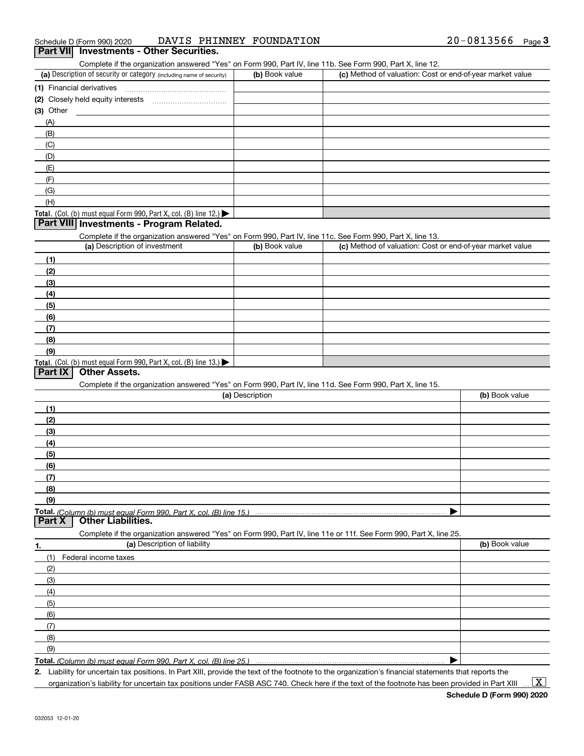Complete if the organization answered "Yes" on Form 990, Part IV, line 11b. See Form 990, Part X, line 12.

| (a) Description of security or category (including name of security)                          | (b) Book value | (c) Method of valuation: Cost or end-of-year market value |
|-----------------------------------------------------------------------------------------------|----------------|-----------------------------------------------------------|
| (1) Financial derivatives                                                                     |                |                                                           |
| (2) Closely held equity interests                                                             |                |                                                           |
| $(3)$ Other                                                                                   |                |                                                           |
| (A)                                                                                           |                |                                                           |
| (B)                                                                                           |                |                                                           |
| (C)                                                                                           |                |                                                           |
| (D)                                                                                           |                |                                                           |
| (E)                                                                                           |                |                                                           |
| (F)                                                                                           |                |                                                           |
| (G)                                                                                           |                |                                                           |
| (H)                                                                                           |                |                                                           |
| <b>Total.</b> (Col. (b) must equal Form 990, Part X, col. (B) line 12.) $\blacktriangleright$ |                |                                                           |

### **Part VIII Investments - Program Related.**

Complete if the organization answered "Yes" on Form 990, Part IV, line 11c. See Form 990, Part X, line 13.

| (a) Description of investment                                    | (b) Book value | (c) Method of valuation: Cost or end-of-year market value |
|------------------------------------------------------------------|----------------|-----------------------------------------------------------|
| (1)                                                              |                |                                                           |
| (2)                                                              |                |                                                           |
| $\frac{1}{2}$                                                    |                |                                                           |
| (4)                                                              |                |                                                           |
| $\frac{1}{2}$                                                    |                |                                                           |
| (6)                                                              |                |                                                           |
| (7)                                                              |                |                                                           |
| (8)                                                              |                |                                                           |
| (9)                                                              |                |                                                           |
| Total. (Col. (b) must equal Form 990, Part X, col. (B) line 13.) |                |                                                           |

### **Part IX Other Assets.**

Complete if the organization answered "Yes" on Form 990, Part IV, line 11d. See Form 990, Part X, line 15.

|        | (a) Description                                                                                                   | (b) Book value |
|--------|-------------------------------------------------------------------------------------------------------------------|----------------|
| (1)    |                                                                                                                   |                |
| (2)    |                                                                                                                   |                |
| (3)    |                                                                                                                   |                |
| (4)    |                                                                                                                   |                |
| (5)    |                                                                                                                   |                |
| (6)    |                                                                                                                   |                |
| (7)    |                                                                                                                   |                |
| (8)    |                                                                                                                   |                |
| (9)    |                                                                                                                   |                |
|        |                                                                                                                   |                |
| Part X | <b>Other Liabilities.</b>                                                                                         |                |
|        | Complete if the organization answered "Yes" on Form 990, Part IV, line 11e or 11f. See Form 990, Part X, line 25. |                |
| 1.     | (a) Description of liability                                                                                      | (b) Book value |
|        | Federal income taxes                                                                                              |                |
|        |                                                                                                                   |                |

| (3) |  |
|-----|--|
| (4) |  |
| (5) |  |
| (6) |  |
| (7) |  |
| (8) |  |
| (9) |  |
|     |  |

**Total.**  *(Column (b) must equal Form 990, Part X, col. (B) line 25.)* 

**2.** Liability for uncertain tax positions. In Part XIII, provide the text of the footnote to the organization's financial statements that reports the

organization's liability for uncertain tax positions under FASB ASC 740. Check here if the text of the footnote has been provided in Part XIII

 $\vert$  X  $\vert$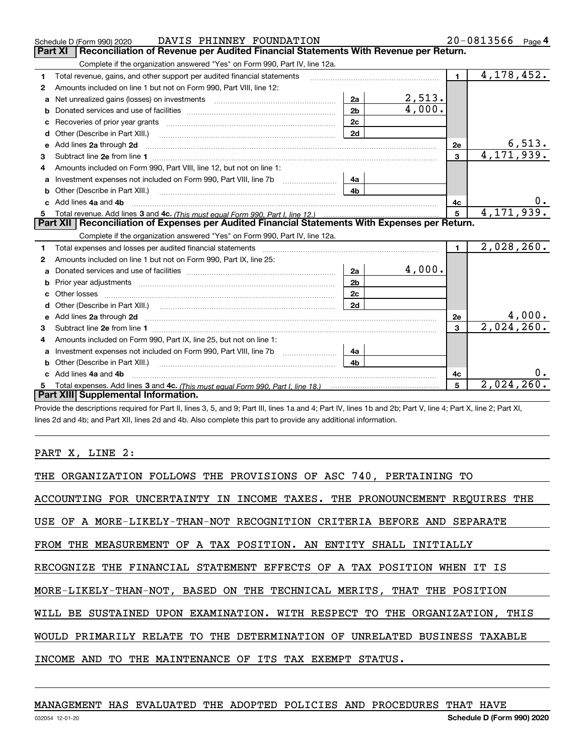|    | DAVIS PHINNEY FOUNDATION<br>Schedule D (Form 990) 2020                                                                                                                                                                              |                |        |              | $20 - 0813566$ Page 4       |
|----|-------------------------------------------------------------------------------------------------------------------------------------------------------------------------------------------------------------------------------------|----------------|--------|--------------|-----------------------------|
|    | Reconciliation of Revenue per Audited Financial Statements With Revenue per Return.<br>Part XI                                                                                                                                      |                |        |              |                             |
|    | Complete if the organization answered "Yes" on Form 990, Part IV, line 12a.                                                                                                                                                         |                |        |              |                             |
| 1  | Total revenue, gains, and other support per audited financial statements                                                                                                                                                            |                |        | $\mathbf{1}$ | 4, 178, 452.                |
| 2  | Amounts included on line 1 but not on Form 990, Part VIII, line 12:                                                                                                                                                                 |                |        |              |                             |
| a  |                                                                                                                                                                                                                                     | 2a             | 2,513. |              |                             |
| b  |                                                                                                                                                                                                                                     | 2 <sub>b</sub> | 4,000. |              |                             |
| c  |                                                                                                                                                                                                                                     | 2c             |        |              |                             |
| d  | Other (Describe in Part XIII.)                                                                                                                                                                                                      | 2d             |        |              |                             |
| е  | Add lines 2a through 2d                                                                                                                                                                                                             |                |        | <b>2e</b>    | $\frac{6,513.}{4,171,939.}$ |
| З  |                                                                                                                                                                                                                                     |                |        | $\mathbf{3}$ |                             |
|    | Amounts included on Form 990, Part VIII, line 12, but not on line 1:                                                                                                                                                                |                |        |              |                             |
| a  | Investment expenses not included on Form 990, Part VIII, line 7b                                                                                                                                                                    | 4a             |        |              |                             |
|    | <b>b</b> Other (Describe in Part XIII.)                                                                                                                                                                                             | 4b             |        |              |                             |
|    | Add lines 4a and 4b                                                                                                                                                                                                                 |                |        | 4c           |                             |
| 5  |                                                                                                                                                                                                                                     |                |        | 5            | 4, 171, 939.                |
|    |                                                                                                                                                                                                                                     |                |        |              |                             |
|    | Part XII   Reconciliation of Expenses per Audited Financial Statements With Expenses per Return.                                                                                                                                    |                |        |              |                             |
|    | Complete if the organization answered "Yes" on Form 990, Part IV, line 12a.                                                                                                                                                         |                |        |              |                             |
| 1. |                                                                                                                                                                                                                                     |                |        | $\mathbf{1}$ | 2,028,260.                  |
| 2  | Amounts included on line 1 but not on Form 990, Part IX, line 25:                                                                                                                                                                   |                |        |              |                             |
| a  |                                                                                                                                                                                                                                     | 2a             | 4,000. |              |                             |
| b  |                                                                                                                                                                                                                                     | 2 <sub>b</sub> |        |              |                             |
|    |                                                                                                                                                                                                                                     | 2c             |        |              |                             |
|    |                                                                                                                                                                                                                                     | 2d             |        |              |                             |
| e  | Add lines 2a through 2d <b>contained a contained a contained a contained a</b> contained a contained a contained a contained a contained a contained a contained a contained a contained a contained a contained a contained a cont |                |        | <b>2e</b>    | 4,000.                      |
| 3  |                                                                                                                                                                                                                                     |                |        | 3            | 2,024,260.                  |
| 4  | Amounts included on Form 990, Part IX, line 25, but not on line 1:                                                                                                                                                                  |                |        |              |                             |
| a  |                                                                                                                                                                                                                                     | 4a             |        |              |                             |
| b  | Other (Describe in Part XIII.) <b>Construction Contract Construction</b> Construction Construction Construction Const                                                                                                               | 4b             |        |              |                             |
|    | Add lines 4a and 4b                                                                                                                                                                                                                 |                |        | 4c           | 0.                          |
|    | Part XIII Supplemental Information.                                                                                                                                                                                                 |                |        | 5            | 2,024,260.                  |

Provide the descriptions required for Part II, lines 3, 5, and 9; Part III, lines 1a and 4; Part IV, lines 1b and 2b; Part V, line 4; Part X, line 2; Part XI, lines 2d and 4b; and Part XII, lines 2d and 4b. Also complete this part to provide any additional information.

### PART X, LINE 2:

| THE ORGANIZATION FOLLOWS THE PROVISIONS OF ASC 740, PERTAINING TO          |
|----------------------------------------------------------------------------|
| ACCOUNTING FOR UNCERTAINTY IN INCOME TAXES. THE PRONOUNCEMENT REQUIRES THE |
| USE OF A MORE-LIKELY-THAN-NOT RECOGNITION CRITERIA BEFORE AND SEPARATE     |
| FROM THE MEASUREMENT OF A TAX POSITION. AN ENTITY SHALL INITIALLY          |
| RECOGNIZE THE FINANCIAL STATEMENT EFFECTS OF A TAX POSITION WHEN IT IS     |
| MORE-LIKELY-THAN-NOT, BASED ON THE TECHNICAL MERITS, THAT THE POSITION     |
| WILL BE SUSTAINED UPON EXAMINATION. WITH RESPECT TO THE ORGANIZATION, THIS |
| WOULD PRIMARILY RELATE TO THE DETERMINATION OF UNRELATED BUSINESS TAXABLE  |
| INCOME AND TO THE MAINTENANCE OF ITS TAX EXEMPT STATUS.                    |
|                                                                            |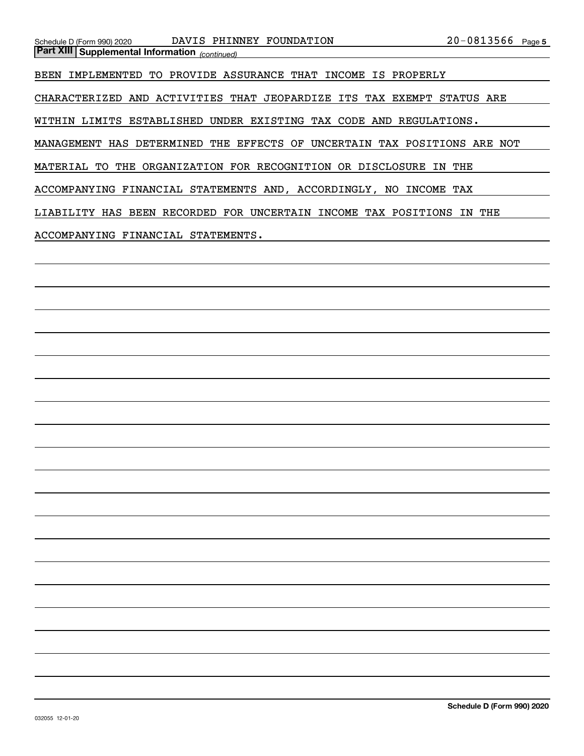*(continued)* **Part XIII Supplemental Information** 

BEEN IMPLEMENTED TO PROVIDE ASSURANCE THAT INCOME IS PROPERLY

CHARACTERIZED AND ACTIVITIES THAT JEOPARDIZE ITS TAX EXEMPT STATUS ARE

WITHIN LIMITS ESTABLISHED UNDER EXISTING TAX CODE AND REGULATIONS.

MANAGEMENT HAS DETERMINED THE EFFECTS OF UNCERTAIN TAX POSITIONS ARE NOT

MATERIAL TO THE ORGANIZATION FOR RECOGNITION OR DISCLOSURE IN THE

ACCOMPANYING FINANCIAL STATEMENTS AND, ACCORDINGLY, NO INCOME TAX

LIABILITY HAS BEEN RECORDED FOR UNCERTAIN INCOME TAX POSITIONS IN THE

ACCOMPANYING FINANCIAL STATEMENTS.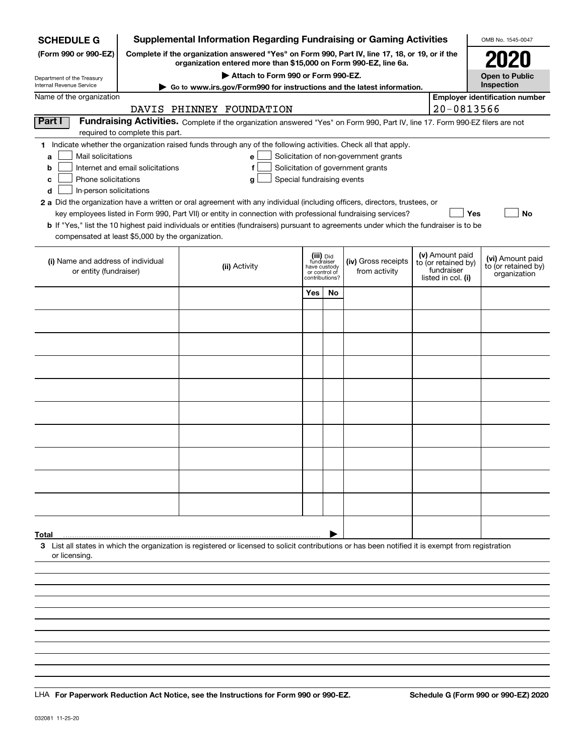| <b>SCHEDULE G</b>                                                                                                                                                                                 |                                                                  |                                    |                                                                            |     | <b>Supplemental Information Regarding Fundraising or Gaming Activities</b>                                                    |                                                                            | OMB No. 1545-0047                                       |
|---------------------------------------------------------------------------------------------------------------------------------------------------------------------------------------------------|------------------------------------------------------------------|------------------------------------|----------------------------------------------------------------------------|-----|-------------------------------------------------------------------------------------------------------------------------------|----------------------------------------------------------------------------|---------------------------------------------------------|
| (Form 990 or 990-EZ)                                                                                                                                                                              | organization entered more than \$15,000 on Form 990-EZ, line 6a. |                                    |                                                                            |     | Complete if the organization answered "Yes" on Form 990, Part IV, line 17, 18, or 19, or if the                               |                                                                            |                                                         |
| Department of the Treasury                                                                                                                                                                        |                                                                  | Attach to Form 990 or Form 990-EZ. |                                                                            |     |                                                                                                                               |                                                                            | <b>Open to Public</b>                                   |
| Internal Revenue Service                                                                                                                                                                          |                                                                  |                                    |                                                                            |     | ► Go to www.irs.gov/Form990 for instructions and the latest information.                                                      |                                                                            | Inspection                                              |
| Name of the organization                                                                                                                                                                          |                                                                  |                                    |                                                                            |     |                                                                                                                               | 20-0813566                                                                 | <b>Employer identification number</b>                   |
| Part I                                                                                                                                                                                            | DAVIS PHINNEY FOUNDATION                                         |                                    |                                                                            |     |                                                                                                                               |                                                                            |                                                         |
| required to complete this part.                                                                                                                                                                   |                                                                  |                                    |                                                                            |     | Fundraising Activities. Complete if the organization answered "Yes" on Form 990, Part IV, line 17. Form 990-EZ filers are not |                                                                            |                                                         |
| 1 Indicate whether the organization raised funds through any of the following activities. Check all that apply.                                                                                   |                                                                  |                                    |                                                                            |     |                                                                                                                               |                                                                            |                                                         |
| Mail solicitations<br>a                                                                                                                                                                           |                                                                  | e                                  |                                                                            |     | Solicitation of non-government grants                                                                                         |                                                                            |                                                         |
| Internet and email solicitations<br>b                                                                                                                                                             |                                                                  |                                    |                                                                            |     | Solicitation of government grants                                                                                             |                                                                            |                                                         |
| Phone solicitations<br>с                                                                                                                                                                          |                                                                  | Special fundraising events<br>g    |                                                                            |     |                                                                                                                               |                                                                            |                                                         |
| In-person solicitations<br>d                                                                                                                                                                      |                                                                  |                                    |                                                                            |     |                                                                                                                               |                                                                            |                                                         |
| 2 a Did the organization have a written or oral agreement with any individual (including officers, directors, trustees, or                                                                        |                                                                  |                                    |                                                                            |     |                                                                                                                               |                                                                            |                                                         |
| key employees listed in Form 990, Part VII) or entity in connection with professional fundraising services?                                                                                       |                                                                  |                                    |                                                                            |     |                                                                                                                               | Yes                                                                        | No                                                      |
| <b>b</b> If "Yes," list the 10 highest paid individuals or entities (fundraisers) pursuant to agreements under which the fundraiser is to be<br>compensated at least \$5,000 by the organization. |                                                                  |                                    |                                                                            |     |                                                                                                                               |                                                                            |                                                         |
|                                                                                                                                                                                                   |                                                                  |                                    |                                                                            |     |                                                                                                                               |                                                                            |                                                         |
| (i) Name and address of individual<br>or entity (fundraiser)                                                                                                                                      | (ii) Activity                                                    |                                    | (iii) Did<br>fundraiser<br>have custody<br>or control of<br>contributions? |     | (iv) Gross receipts<br>from activity                                                                                          | (v) Amount paid<br>to (or retained by)<br>fundraiser<br>listed in col. (i) | (vi) Amount paid<br>to (or retained by)<br>organization |
|                                                                                                                                                                                                   |                                                                  |                                    | Yes                                                                        | No. |                                                                                                                               |                                                                            |                                                         |
|                                                                                                                                                                                                   |                                                                  |                                    |                                                                            |     |                                                                                                                               |                                                                            |                                                         |
|                                                                                                                                                                                                   |                                                                  |                                    |                                                                            |     |                                                                                                                               |                                                                            |                                                         |
|                                                                                                                                                                                                   |                                                                  |                                    |                                                                            |     |                                                                                                                               |                                                                            |                                                         |
|                                                                                                                                                                                                   |                                                                  |                                    |                                                                            |     |                                                                                                                               |                                                                            |                                                         |
|                                                                                                                                                                                                   |                                                                  |                                    |                                                                            |     |                                                                                                                               |                                                                            |                                                         |
|                                                                                                                                                                                                   |                                                                  |                                    |                                                                            |     |                                                                                                                               |                                                                            |                                                         |
|                                                                                                                                                                                                   |                                                                  |                                    |                                                                            |     |                                                                                                                               |                                                                            |                                                         |
|                                                                                                                                                                                                   |                                                                  |                                    |                                                                            |     |                                                                                                                               |                                                                            |                                                         |
|                                                                                                                                                                                                   |                                                                  |                                    |                                                                            |     |                                                                                                                               |                                                                            |                                                         |
|                                                                                                                                                                                                   |                                                                  |                                    |                                                                            |     |                                                                                                                               |                                                                            |                                                         |
|                                                                                                                                                                                                   |                                                                  |                                    |                                                                            |     |                                                                                                                               |                                                                            |                                                         |
|                                                                                                                                                                                                   |                                                                  |                                    |                                                                            |     |                                                                                                                               |                                                                            |                                                         |
|                                                                                                                                                                                                   |                                                                  |                                    |                                                                            |     |                                                                                                                               |                                                                            |                                                         |
|                                                                                                                                                                                                   |                                                                  |                                    |                                                                            |     |                                                                                                                               |                                                                            |                                                         |
|                                                                                                                                                                                                   |                                                                  |                                    |                                                                            |     |                                                                                                                               |                                                                            |                                                         |
|                                                                                                                                                                                                   |                                                                  |                                    |                                                                            |     |                                                                                                                               |                                                                            |                                                         |
|                                                                                                                                                                                                   |                                                                  |                                    |                                                                            |     |                                                                                                                               |                                                                            |                                                         |
|                                                                                                                                                                                                   |                                                                  |                                    |                                                                            |     |                                                                                                                               |                                                                            |                                                         |
| Total                                                                                                                                                                                             |                                                                  |                                    |                                                                            |     |                                                                                                                               |                                                                            |                                                         |
| 3 List all states in which the organization is registered or licensed to solicit contributions or has been notified it is exempt from registration<br>or licensing.                               |                                                                  |                                    |                                                                            |     |                                                                                                                               |                                                                            |                                                         |
|                                                                                                                                                                                                   |                                                                  |                                    |                                                                            |     |                                                                                                                               |                                                                            |                                                         |
|                                                                                                                                                                                                   |                                                                  |                                    |                                                                            |     |                                                                                                                               |                                                                            |                                                         |
|                                                                                                                                                                                                   |                                                                  |                                    |                                                                            |     |                                                                                                                               |                                                                            |                                                         |
|                                                                                                                                                                                                   |                                                                  |                                    |                                                                            |     |                                                                                                                               |                                                                            |                                                         |

LHA For Paperwork Reduction Act Notice, see the Instructions for Form 990 or 990-EZ. Schedule G (Form 990 or 990-EZ) 2020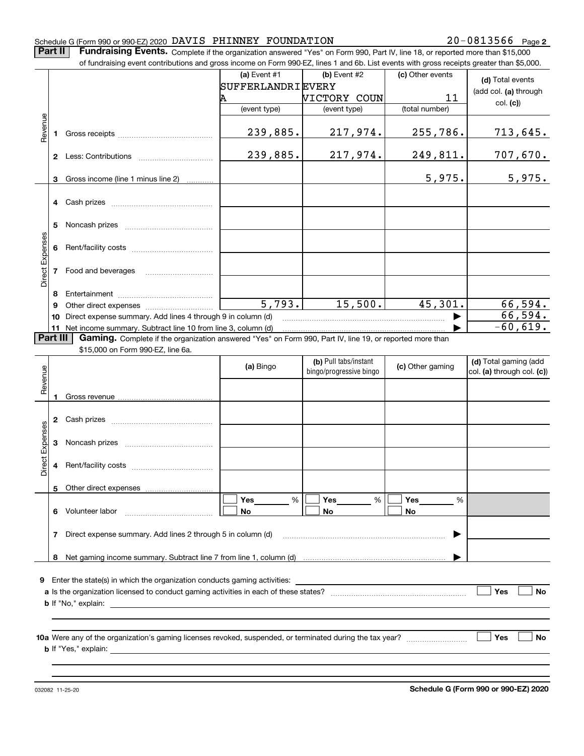### Schedule G (Form 990 or 990-EZ) 2020  $\:$   $\rm PAVIS$   $\:$   $\rm PHINNEY$   $\rm FOUNDATION$   $\hskip 1.5cm 20-0813566$   $\rm Page$

**2**

**Part II** | Fundraising Events. Complete if the organization answered "Yes" on Form 990, Part IV, line 18, or reported more than \$15,000 of fundraising event contributions and gross income on Form 990-EZ, lines 1 and 6b. List events with gross receipts greater than \$5,000.

|                 |          | of fundraising event contributions and gross income on Form 990-EZ, lines T and 6D. List events with gross receipts greater than \$5,000.                                   |                    |                         |                  |                            |
|-----------------|----------|-----------------------------------------------------------------------------------------------------------------------------------------------------------------------------|--------------------|-------------------------|------------------|----------------------------|
|                 |          |                                                                                                                                                                             | (a) Event $#1$     | $(b)$ Event #2          | (c) Other events | (d) Total events           |
|                 |          |                                                                                                                                                                             | SUFFERLANDRI EVERY |                         |                  | (add col. (a) through      |
|                 |          |                                                                                                                                                                             | A                  | VICTORY COUN            | 11               |                            |
|                 |          |                                                                                                                                                                             | (event type)       | (event type)            | (total number)   | col. (c)                   |
|                 |          |                                                                                                                                                                             |                    |                         |                  |                            |
| Revenue         |          |                                                                                                                                                                             | 239,885.           | 217,974.                | 255,786.         | 713,645.                   |
|                 |          |                                                                                                                                                                             |                    |                         |                  |                            |
|                 |          |                                                                                                                                                                             | 239,885.           | 217,974.                | 249,811.         | 707,670.                   |
|                 |          |                                                                                                                                                                             |                    |                         |                  |                            |
|                 |          | 3 Gross income (line 1 minus line 2)                                                                                                                                        |                    |                         | 5,975.           | 5,975.                     |
|                 |          |                                                                                                                                                                             |                    |                         |                  |                            |
|                 |          | 4 Cash prizes                                                                                                                                                               |                    |                         |                  |                            |
|                 |          |                                                                                                                                                                             |                    |                         |                  |                            |
|                 | 5        |                                                                                                                                                                             |                    |                         |                  |                            |
|                 |          |                                                                                                                                                                             |                    |                         |                  |                            |
| Direct Expenses | 6        |                                                                                                                                                                             |                    |                         |                  |                            |
|                 |          |                                                                                                                                                                             |                    |                         |                  |                            |
|                 |          | 7 Food and beverages                                                                                                                                                        |                    |                         |                  |                            |
|                 |          |                                                                                                                                                                             |                    |                         |                  |                            |
|                 | 8        |                                                                                                                                                                             |                    |                         |                  |                            |
|                 | 9        |                                                                                                                                                                             | 5,793.             | 15,500.                 | 45,301.          | 66,594.                    |
|                 |          | 10 Direct expense summary. Add lines 4 through 9 in column (d)                                                                                                              |                    |                         |                  | 66,594.                    |
|                 | Part III | 11 Net income summary. Subtract line 10 from line 3, column (d)<br>Gaming. Complete if the organization answered "Yes" on Form 990, Part IV, line 19, or reported more than |                    |                         |                  | $-60,619.$                 |
|                 |          | \$15,000 on Form 990-EZ, line 6a.                                                                                                                                           |                    |                         |                  |                            |
|                 |          |                                                                                                                                                                             |                    | (b) Pull tabs/instant   |                  | (d) Total gaming (add      |
|                 |          |                                                                                                                                                                             | (a) Bingo          | bingo/progressive bingo | (c) Other gaming | col. (a) through col. (c)) |
| Revenue         |          |                                                                                                                                                                             |                    |                         |                  |                            |
|                 |          |                                                                                                                                                                             |                    |                         |                  |                            |
|                 | 1        |                                                                                                                                                                             |                    |                         |                  |                            |
|                 |          |                                                                                                                                                                             |                    |                         |                  |                            |
|                 |          |                                                                                                                                                                             |                    |                         |                  |                            |
| Direct Expenses | 3        |                                                                                                                                                                             |                    |                         |                  |                            |
|                 |          |                                                                                                                                                                             |                    |                         |                  |                            |
|                 | 4        |                                                                                                                                                                             |                    |                         |                  |                            |
|                 |          |                                                                                                                                                                             |                    |                         |                  |                            |
|                 | 5        | Other direct expenses                                                                                                                                                       |                    |                         |                  |                            |
|                 |          |                                                                                                                                                                             | $\%$<br>Yes        | Yes<br>%                | Yes<br>%         |                            |
|                 | 6.       | Volunteer labor                                                                                                                                                             | No                 | No                      | No               |                            |
|                 |          |                                                                                                                                                                             |                    |                         |                  |                            |
|                 | 7        | Direct expense summary. Add lines 2 through 5 in column (d)                                                                                                                 |                    |                         |                  |                            |
|                 |          |                                                                                                                                                                             |                    |                         |                  |                            |
|                 | 8        |                                                                                                                                                                             |                    |                         |                  |                            |
|                 |          |                                                                                                                                                                             |                    |                         |                  |                            |
|                 |          | 9 Enter the state(s) in which the organization conducts gaming activities:                                                                                                  |                    |                         |                  |                            |
|                 |          |                                                                                                                                                                             |                    |                         |                  | Yes<br>No                  |
|                 |          | <b>b</b> If "No," explain:                                                                                                                                                  |                    |                         |                  |                            |
|                 |          |                                                                                                                                                                             |                    |                         |                  |                            |
|                 |          |                                                                                                                                                                             |                    |                         |                  |                            |
|                 |          |                                                                                                                                                                             |                    |                         |                  | Yes<br>No                  |
|                 |          | <b>b</b> If "Yes," explain:                                                                                                                                                 |                    |                         |                  |                            |
|                 |          |                                                                                                                                                                             |                    |                         |                  |                            |
|                 |          |                                                                                                                                                                             |                    |                         |                  |                            |

032082 11-25-20

**Schedule G (Form 990 or 990-EZ) 2020**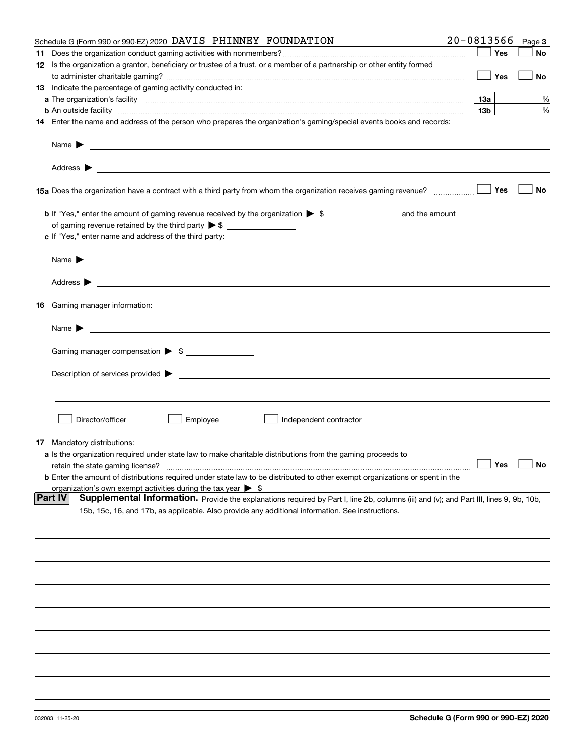| Yes<br>No<br>12 Is the organization a grantor, beneficiary or trustee of a trust, or a member of a partnership or other entity formed<br>Yes<br>No<br>13 Indicate the percentage of gaming activity conducted in:<br><u>13a</u><br>%<br>13 <sub>b</sub><br>%<br><b>b</b> An outside facility <i>www.communically.communically.communically.communically.communically.communically.communically.communically.communically.communically.communically.communically.communically.communically.communicall</i><br>14 Enter the name and address of the person who prepares the organization's gaming/special events books and records:<br>Name $\blacktriangleright$<br><u> 1990 - Jan Barat de Barat de la contrada de la contrada de la contrada de la contrada de la contrada de la c</u><br>Yes<br>No<br>c If "Yes," enter name and address of the third party:<br>Name $\blacktriangleright$<br><u> 1980 - John Stone, amerikansk politiker (* 1900)</u><br>Address $\blacktriangleright$<br>Gaming manager information:<br>16<br>Name $\blacktriangleright$<br>Gaming manager compensation > \$<br>$\blacksquare$ Description of services provided $\blacktriangleright$<br>Director/officer<br>Employee<br>Independent contractor<br>Mandatory distributions:<br>17.<br>a Is the organization required under state law to make charitable distributions from the gaming proceeds to<br>$\Box$ Yes $\Box$<br>retain the state gaming license?<br><b>b</b> Enter the amount of distributions required under state law to be distributed to other exempt organizations or spent in the<br>organization's own exempt activities during the tax year $\triangleright$ \$<br><b>Part IV</b><br>Supplemental Information. Provide the explanations required by Part I, line 2b, columns (iii) and (v); and Part III, lines 9, 9b, 10b,<br>15b, 15c, 16, and 17b, as applicable. Also provide any additional information. See instructions. | Schedule G (Form 990 or 990-EZ) 2020 DAVIS PHINNEY FOUNDATION | $20 - 0813566$ | Page 3 |
|---------------------------------------------------------------------------------------------------------------------------------------------------------------------------------------------------------------------------------------------------------------------------------------------------------------------------------------------------------------------------------------------------------------------------------------------------------------------------------------------------------------------------------------------------------------------------------------------------------------------------------------------------------------------------------------------------------------------------------------------------------------------------------------------------------------------------------------------------------------------------------------------------------------------------------------------------------------------------------------------------------------------------------------------------------------------------------------------------------------------------------------------------------------------------------------------------------------------------------------------------------------------------------------------------------------------------------------------------------------------------------------------------------------------------------------------------------------------------------------------------------------------------------------------------------------------------------------------------------------------------------------------------------------------------------------------------------------------------------------------------------------------------------------------------------------------------------------------------------------------------------------------------------------------------------------|---------------------------------------------------------------|----------------|--------|
|                                                                                                                                                                                                                                                                                                                                                                                                                                                                                                                                                                                                                                                                                                                                                                                                                                                                                                                                                                                                                                                                                                                                                                                                                                                                                                                                                                                                                                                                                                                                                                                                                                                                                                                                                                                                                                                                                                                                       |                                                               |                |        |
|                                                                                                                                                                                                                                                                                                                                                                                                                                                                                                                                                                                                                                                                                                                                                                                                                                                                                                                                                                                                                                                                                                                                                                                                                                                                                                                                                                                                                                                                                                                                                                                                                                                                                                                                                                                                                                                                                                                                       |                                                               |                |        |
|                                                                                                                                                                                                                                                                                                                                                                                                                                                                                                                                                                                                                                                                                                                                                                                                                                                                                                                                                                                                                                                                                                                                                                                                                                                                                                                                                                                                                                                                                                                                                                                                                                                                                                                                                                                                                                                                                                                                       |                                                               |                |        |
|                                                                                                                                                                                                                                                                                                                                                                                                                                                                                                                                                                                                                                                                                                                                                                                                                                                                                                                                                                                                                                                                                                                                                                                                                                                                                                                                                                                                                                                                                                                                                                                                                                                                                                                                                                                                                                                                                                                                       |                                                               |                |        |
|                                                                                                                                                                                                                                                                                                                                                                                                                                                                                                                                                                                                                                                                                                                                                                                                                                                                                                                                                                                                                                                                                                                                                                                                                                                                                                                                                                                                                                                                                                                                                                                                                                                                                                                                                                                                                                                                                                                                       |                                                               |                |        |
|                                                                                                                                                                                                                                                                                                                                                                                                                                                                                                                                                                                                                                                                                                                                                                                                                                                                                                                                                                                                                                                                                                                                                                                                                                                                                                                                                                                                                                                                                                                                                                                                                                                                                                                                                                                                                                                                                                                                       |                                                               |                |        |
|                                                                                                                                                                                                                                                                                                                                                                                                                                                                                                                                                                                                                                                                                                                                                                                                                                                                                                                                                                                                                                                                                                                                                                                                                                                                                                                                                                                                                                                                                                                                                                                                                                                                                                                                                                                                                                                                                                                                       |                                                               |                |        |
|                                                                                                                                                                                                                                                                                                                                                                                                                                                                                                                                                                                                                                                                                                                                                                                                                                                                                                                                                                                                                                                                                                                                                                                                                                                                                                                                                                                                                                                                                                                                                                                                                                                                                                                                                                                                                                                                                                                                       |                                                               |                |        |
|                                                                                                                                                                                                                                                                                                                                                                                                                                                                                                                                                                                                                                                                                                                                                                                                                                                                                                                                                                                                                                                                                                                                                                                                                                                                                                                                                                                                                                                                                                                                                                                                                                                                                                                                                                                                                                                                                                                                       |                                                               |                |        |
|                                                                                                                                                                                                                                                                                                                                                                                                                                                                                                                                                                                                                                                                                                                                                                                                                                                                                                                                                                                                                                                                                                                                                                                                                                                                                                                                                                                                                                                                                                                                                                                                                                                                                                                                                                                                                                                                                                                                       |                                                               |                |        |
|                                                                                                                                                                                                                                                                                                                                                                                                                                                                                                                                                                                                                                                                                                                                                                                                                                                                                                                                                                                                                                                                                                                                                                                                                                                                                                                                                                                                                                                                                                                                                                                                                                                                                                                                                                                                                                                                                                                                       |                                                               |                |        |
|                                                                                                                                                                                                                                                                                                                                                                                                                                                                                                                                                                                                                                                                                                                                                                                                                                                                                                                                                                                                                                                                                                                                                                                                                                                                                                                                                                                                                                                                                                                                                                                                                                                                                                                                                                                                                                                                                                                                       |                                                               |                |        |
|                                                                                                                                                                                                                                                                                                                                                                                                                                                                                                                                                                                                                                                                                                                                                                                                                                                                                                                                                                                                                                                                                                                                                                                                                                                                                                                                                                                                                                                                                                                                                                                                                                                                                                                                                                                                                                                                                                                                       |                                                               |                |        |
|                                                                                                                                                                                                                                                                                                                                                                                                                                                                                                                                                                                                                                                                                                                                                                                                                                                                                                                                                                                                                                                                                                                                                                                                                                                                                                                                                                                                                                                                                                                                                                                                                                                                                                                                                                                                                                                                                                                                       |                                                               |                |        |
|                                                                                                                                                                                                                                                                                                                                                                                                                                                                                                                                                                                                                                                                                                                                                                                                                                                                                                                                                                                                                                                                                                                                                                                                                                                                                                                                                                                                                                                                                                                                                                                                                                                                                                                                                                                                                                                                                                                                       |                                                               |                |        |
|                                                                                                                                                                                                                                                                                                                                                                                                                                                                                                                                                                                                                                                                                                                                                                                                                                                                                                                                                                                                                                                                                                                                                                                                                                                                                                                                                                                                                                                                                                                                                                                                                                                                                                                                                                                                                                                                                                                                       |                                                               |                |        |
|                                                                                                                                                                                                                                                                                                                                                                                                                                                                                                                                                                                                                                                                                                                                                                                                                                                                                                                                                                                                                                                                                                                                                                                                                                                                                                                                                                                                                                                                                                                                                                                                                                                                                                                                                                                                                                                                                                                                       |                                                               |                |        |
|                                                                                                                                                                                                                                                                                                                                                                                                                                                                                                                                                                                                                                                                                                                                                                                                                                                                                                                                                                                                                                                                                                                                                                                                                                                                                                                                                                                                                                                                                                                                                                                                                                                                                                                                                                                                                                                                                                                                       |                                                               |                |        |
|                                                                                                                                                                                                                                                                                                                                                                                                                                                                                                                                                                                                                                                                                                                                                                                                                                                                                                                                                                                                                                                                                                                                                                                                                                                                                                                                                                                                                                                                                                                                                                                                                                                                                                                                                                                                                                                                                                                                       |                                                               |                |        |
|                                                                                                                                                                                                                                                                                                                                                                                                                                                                                                                                                                                                                                                                                                                                                                                                                                                                                                                                                                                                                                                                                                                                                                                                                                                                                                                                                                                                                                                                                                                                                                                                                                                                                                                                                                                                                                                                                                                                       |                                                               |                |        |
|                                                                                                                                                                                                                                                                                                                                                                                                                                                                                                                                                                                                                                                                                                                                                                                                                                                                                                                                                                                                                                                                                                                                                                                                                                                                                                                                                                                                                                                                                                                                                                                                                                                                                                                                                                                                                                                                                                                                       |                                                               |                |        |
|                                                                                                                                                                                                                                                                                                                                                                                                                                                                                                                                                                                                                                                                                                                                                                                                                                                                                                                                                                                                                                                                                                                                                                                                                                                                                                                                                                                                                                                                                                                                                                                                                                                                                                                                                                                                                                                                                                                                       |                                                               |                |        |
|                                                                                                                                                                                                                                                                                                                                                                                                                                                                                                                                                                                                                                                                                                                                                                                                                                                                                                                                                                                                                                                                                                                                                                                                                                                                                                                                                                                                                                                                                                                                                                                                                                                                                                                                                                                                                                                                                                                                       |                                                               |                |        |
|                                                                                                                                                                                                                                                                                                                                                                                                                                                                                                                                                                                                                                                                                                                                                                                                                                                                                                                                                                                                                                                                                                                                                                                                                                                                                                                                                                                                                                                                                                                                                                                                                                                                                                                                                                                                                                                                                                                                       |                                                               |                |        |
|                                                                                                                                                                                                                                                                                                                                                                                                                                                                                                                                                                                                                                                                                                                                                                                                                                                                                                                                                                                                                                                                                                                                                                                                                                                                                                                                                                                                                                                                                                                                                                                                                                                                                                                                                                                                                                                                                                                                       |                                                               |                |        |
|                                                                                                                                                                                                                                                                                                                                                                                                                                                                                                                                                                                                                                                                                                                                                                                                                                                                                                                                                                                                                                                                                                                                                                                                                                                                                                                                                                                                                                                                                                                                                                                                                                                                                                                                                                                                                                                                                                                                       |                                                               |                |        |
|                                                                                                                                                                                                                                                                                                                                                                                                                                                                                                                                                                                                                                                                                                                                                                                                                                                                                                                                                                                                                                                                                                                                                                                                                                                                                                                                                                                                                                                                                                                                                                                                                                                                                                                                                                                                                                                                                                                                       |                                                               |                |        |
|                                                                                                                                                                                                                                                                                                                                                                                                                                                                                                                                                                                                                                                                                                                                                                                                                                                                                                                                                                                                                                                                                                                                                                                                                                                                                                                                                                                                                                                                                                                                                                                                                                                                                                                                                                                                                                                                                                                                       |                                                               |                |        |
|                                                                                                                                                                                                                                                                                                                                                                                                                                                                                                                                                                                                                                                                                                                                                                                                                                                                                                                                                                                                                                                                                                                                                                                                                                                                                                                                                                                                                                                                                                                                                                                                                                                                                                                                                                                                                                                                                                                                       |                                                               |                |        |
|                                                                                                                                                                                                                                                                                                                                                                                                                                                                                                                                                                                                                                                                                                                                                                                                                                                                                                                                                                                                                                                                                                                                                                                                                                                                                                                                                                                                                                                                                                                                                                                                                                                                                                                                                                                                                                                                                                                                       |                                                               |                |        |
|                                                                                                                                                                                                                                                                                                                                                                                                                                                                                                                                                                                                                                                                                                                                                                                                                                                                                                                                                                                                                                                                                                                                                                                                                                                                                                                                                                                                                                                                                                                                                                                                                                                                                                                                                                                                                                                                                                                                       |                                                               |                |        |
|                                                                                                                                                                                                                                                                                                                                                                                                                                                                                                                                                                                                                                                                                                                                                                                                                                                                                                                                                                                                                                                                                                                                                                                                                                                                                                                                                                                                                                                                                                                                                                                                                                                                                                                                                                                                                                                                                                                                       |                                                               |                |        |
|                                                                                                                                                                                                                                                                                                                                                                                                                                                                                                                                                                                                                                                                                                                                                                                                                                                                                                                                                                                                                                                                                                                                                                                                                                                                                                                                                                                                                                                                                                                                                                                                                                                                                                                                                                                                                                                                                                                                       |                                                               |                |        |
|                                                                                                                                                                                                                                                                                                                                                                                                                                                                                                                                                                                                                                                                                                                                                                                                                                                                                                                                                                                                                                                                                                                                                                                                                                                                                                                                                                                                                                                                                                                                                                                                                                                                                                                                                                                                                                                                                                                                       |                                                               |                |        |
|                                                                                                                                                                                                                                                                                                                                                                                                                                                                                                                                                                                                                                                                                                                                                                                                                                                                                                                                                                                                                                                                                                                                                                                                                                                                                                                                                                                                                                                                                                                                                                                                                                                                                                                                                                                                                                                                                                                                       |                                                               |                |        |
|                                                                                                                                                                                                                                                                                                                                                                                                                                                                                                                                                                                                                                                                                                                                                                                                                                                                                                                                                                                                                                                                                                                                                                                                                                                                                                                                                                                                                                                                                                                                                                                                                                                                                                                                                                                                                                                                                                                                       |                                                               |                |        |
|                                                                                                                                                                                                                                                                                                                                                                                                                                                                                                                                                                                                                                                                                                                                                                                                                                                                                                                                                                                                                                                                                                                                                                                                                                                                                                                                                                                                                                                                                                                                                                                                                                                                                                                                                                                                                                                                                                                                       |                                                               |                |        |
|                                                                                                                                                                                                                                                                                                                                                                                                                                                                                                                                                                                                                                                                                                                                                                                                                                                                                                                                                                                                                                                                                                                                                                                                                                                                                                                                                                                                                                                                                                                                                                                                                                                                                                                                                                                                                                                                                                                                       |                                                               |                |        |
|                                                                                                                                                                                                                                                                                                                                                                                                                                                                                                                                                                                                                                                                                                                                                                                                                                                                                                                                                                                                                                                                                                                                                                                                                                                                                                                                                                                                                                                                                                                                                                                                                                                                                                                                                                                                                                                                                                                                       |                                                               |                |        |
|                                                                                                                                                                                                                                                                                                                                                                                                                                                                                                                                                                                                                                                                                                                                                                                                                                                                                                                                                                                                                                                                                                                                                                                                                                                                                                                                                                                                                                                                                                                                                                                                                                                                                                                                                                                                                                                                                                                                       |                                                               |                |        |
|                                                                                                                                                                                                                                                                                                                                                                                                                                                                                                                                                                                                                                                                                                                                                                                                                                                                                                                                                                                                                                                                                                                                                                                                                                                                                                                                                                                                                                                                                                                                                                                                                                                                                                                                                                                                                                                                                                                                       |                                                               |                |        |
|                                                                                                                                                                                                                                                                                                                                                                                                                                                                                                                                                                                                                                                                                                                                                                                                                                                                                                                                                                                                                                                                                                                                                                                                                                                                                                                                                                                                                                                                                                                                                                                                                                                                                                                                                                                                                                                                                                                                       |                                                               |                |        |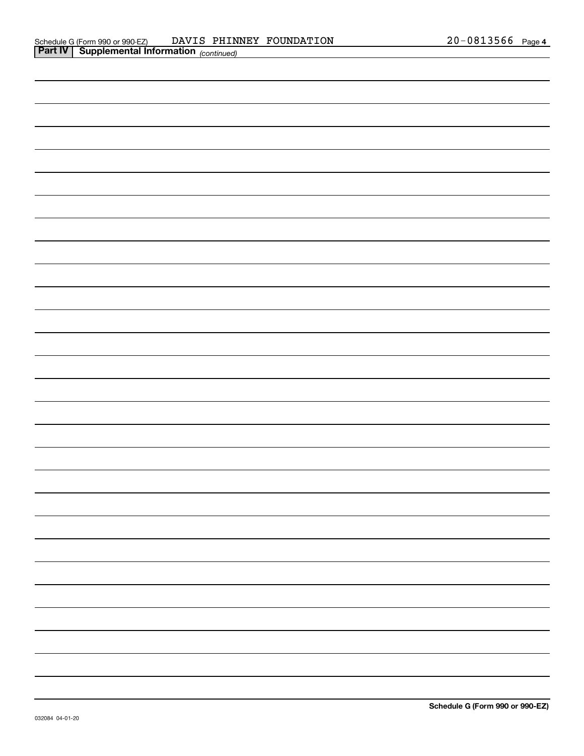|                          | <b>Part IV</b> Supplemental Information $_{(continued)}$ |  |
|--------------------------|----------------------------------------------------------|--|
|                          |                                                          |  |
|                          |                                                          |  |
|                          |                                                          |  |
|                          |                                                          |  |
|                          |                                                          |  |
|                          |                                                          |  |
|                          |                                                          |  |
|                          |                                                          |  |
|                          |                                                          |  |
|                          |                                                          |  |
|                          |                                                          |  |
|                          |                                                          |  |
|                          |                                                          |  |
|                          |                                                          |  |
|                          |                                                          |  |
|                          |                                                          |  |
|                          |                                                          |  |
|                          |                                                          |  |
|                          |                                                          |  |
|                          |                                                          |  |
|                          |                                                          |  |
|                          |                                                          |  |
|                          |                                                          |  |
| $\overline{\phantom{0}}$ |                                                          |  |
|                          |                                                          |  |
|                          |                                                          |  |
|                          |                                                          |  |
|                          |                                                          |  |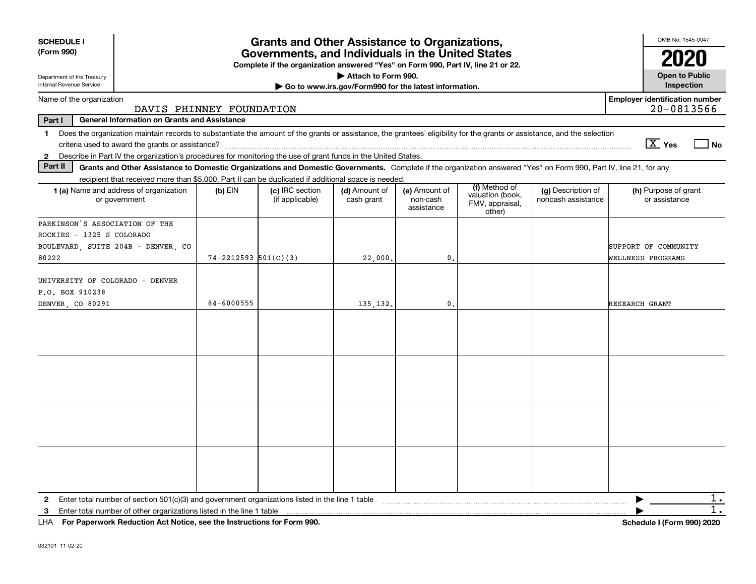| <b>SCHEDULE I</b><br>(Form 990)                                                                                                                                                                                                                                                                                          |                          | <b>Grants and Other Assistance to Organizations,</b><br>Governments, and Individuals in the United States<br>Complete if the organization answered "Yes" on Form 990, Part IV, line 21 or 22. |                                                                              |                                         |                                                                |                                          | OMB No. 1545-0047<br>2020                               |
|--------------------------------------------------------------------------------------------------------------------------------------------------------------------------------------------------------------------------------------------------------------------------------------------------------------------------|--------------------------|-----------------------------------------------------------------------------------------------------------------------------------------------------------------------------------------------|------------------------------------------------------------------------------|-----------------------------------------|----------------------------------------------------------------|------------------------------------------|---------------------------------------------------------|
| Department of the Treasury<br>Internal Revenue Service                                                                                                                                                                                                                                                                   |                          |                                                                                                                                                                                               | Attach to Form 990.<br>Go to www.irs.gov/Form990 for the latest information. |                                         |                                                                |                                          | <b>Open to Public</b><br>Inspection                     |
| Name of the organization<br>DAVIS PHINNEY FOUNDATION                                                                                                                                                                                                                                                                     |                          |                                                                                                                                                                                               |                                                                              |                                         |                                                                |                                          | <b>Employer identification number</b><br>$20 - 0813566$ |
| Part I<br><b>General Information on Grants and Assistance</b>                                                                                                                                                                                                                                                            |                          |                                                                                                                                                                                               |                                                                              |                                         |                                                                |                                          |                                                         |
| Does the organization maintain records to substantiate the amount of the grants or assistance, the grantees' eligibility for the grants or assistance, and the selection<br>$\mathbf 1$<br>Describe in Part IV the organization's procedures for monitoring the use of grant funds in the United States.<br>$\mathbf{2}$ |                          |                                                                                                                                                                                               |                                                                              |                                         |                                                                |                                          | $\boxed{\text{X}}$ Yes<br><b>No</b>                     |
| Part II<br>Grants and Other Assistance to Domestic Organizations and Domestic Governments. Complete if the organization answered "Yes" on Form 990, Part IV, line 21, for any                                                                                                                                            |                          |                                                                                                                                                                                               |                                                                              |                                         |                                                                |                                          |                                                         |
| recipient that received more than \$5,000. Part II can be duplicated if additional space is needed.                                                                                                                                                                                                                      |                          |                                                                                                                                                                                               |                                                                              |                                         |                                                                |                                          |                                                         |
| 1 (a) Name and address of organization<br>or government                                                                                                                                                                                                                                                                  | $(b)$ EIN                | (c) IRC section<br>(if applicable)                                                                                                                                                            | (d) Amount of<br>cash grant                                                  | (e) Amount of<br>non-cash<br>assistance | (f) Method of<br>valuation (book,<br>FMV, appraisal,<br>other) | (g) Description of<br>noncash assistance | (h) Purpose of grant<br>or assistance                   |
| PARKINSON'S ASSOCIATION OF THE<br>ROCKIES - 1325 S COLORADO<br>BOULEVARD SUITE 204B - DENVER CO                                                                                                                                                                                                                          |                          |                                                                                                                                                                                               |                                                                              |                                         |                                                                |                                          | SUPPORT OF COMMUNITY                                    |
| 80222                                                                                                                                                                                                                                                                                                                    | $74 - 2212593$ 501(C)(3) |                                                                                                                                                                                               | 22,000.                                                                      | $^{\circ}$ .                            |                                                                |                                          | WELLNESS PROGRAMS                                       |
| UNIVERSITY OF COLORADO - DENVER<br>P.O. BOX 910238<br>DENVER, CO 80291                                                                                                                                                                                                                                                   | 84-6000555               |                                                                                                                                                                                               | 135, 132.                                                                    | $\mathbf{0}$ .                          |                                                                |                                          | RESEARCH GRANT                                          |
|                                                                                                                                                                                                                                                                                                                          |                          |                                                                                                                                                                                               |                                                                              |                                         |                                                                |                                          |                                                         |
|                                                                                                                                                                                                                                                                                                                          |                          |                                                                                                                                                                                               |                                                                              |                                         |                                                                |                                          |                                                         |
|                                                                                                                                                                                                                                                                                                                          |                          |                                                                                                                                                                                               |                                                                              |                                         |                                                                |                                          |                                                         |
|                                                                                                                                                                                                                                                                                                                          |                          |                                                                                                                                                                                               |                                                                              |                                         |                                                                |                                          |                                                         |
| Enter total number of section 501(c)(3) and government organizations listed in the line 1 table<br>3<br>$\mathbf{r}$ , and $\mathbf{r}$ , and $\mathbf{r}$ , and $\mathbf{r}$ , and $\mathbf{r}$ , and $\mathbf{r}$                                                                                                      |                          |                                                                                                                                                                                               |                                                                              |                                         |                                                                |                                          | ı.<br>$\overline{1}$ .                                  |

**For Paperwork Reduction Act Notice, see the Instructions for Form 990. Schedule I (Form 990) 2020** LHA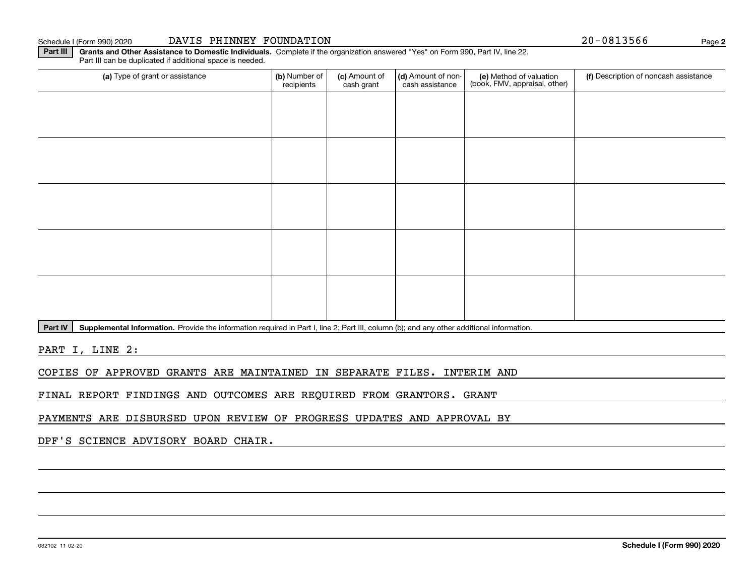### Schedule I (Form 990) 2020 Page DAVIS PHINNEY FOUNDATION 20-0813566

**Part III** | Grants and Other Assistance to Domestic Individuals. Complete if the organization answered "Yes" on Form 990, Part IV, line 22. Part III can be duplicated if additional space is needed.

| (a) Type of grant or assistance | (b) Number of<br>recipients | (c) Amount of<br>cash grant | (d) Amount of non-<br>cash assistance | (e) Method of valuation<br>(book, FMV, appraisal, other) | (f) Description of noncash assistance |
|---------------------------------|-----------------------------|-----------------------------|---------------------------------------|----------------------------------------------------------|---------------------------------------|
|                                 |                             |                             |                                       |                                                          |                                       |
|                                 |                             |                             |                                       |                                                          |                                       |
|                                 |                             |                             |                                       |                                                          |                                       |
|                                 |                             |                             |                                       |                                                          |                                       |
|                                 |                             |                             |                                       |                                                          |                                       |
|                                 |                             |                             |                                       |                                                          |                                       |
|                                 |                             |                             |                                       |                                                          |                                       |
|                                 |                             |                             |                                       |                                                          |                                       |
|                                 |                             |                             |                                       |                                                          |                                       |
|                                 |                             |                             |                                       |                                                          |                                       |

Part IV | Supplemental Information. Provide the information required in Part I, line 2; Part III, column (b); and any other additional information.

PART I, LINE 2:

COPIES OF APPROVED GRANTS ARE MAINTAINED IN SEPARATE FILES. INTERIM AND

FINAL REPORT FINDINGS AND OUTCOMES ARE REQUIRED FROM GRANTORS. GRANT

PAYMENTS ARE DISBURSED UPON REVIEW OF PROGRESS UPDATES AND APPROVAL BY

DPF'S SCIENCE ADVISORY BOARD CHAIR.

**2**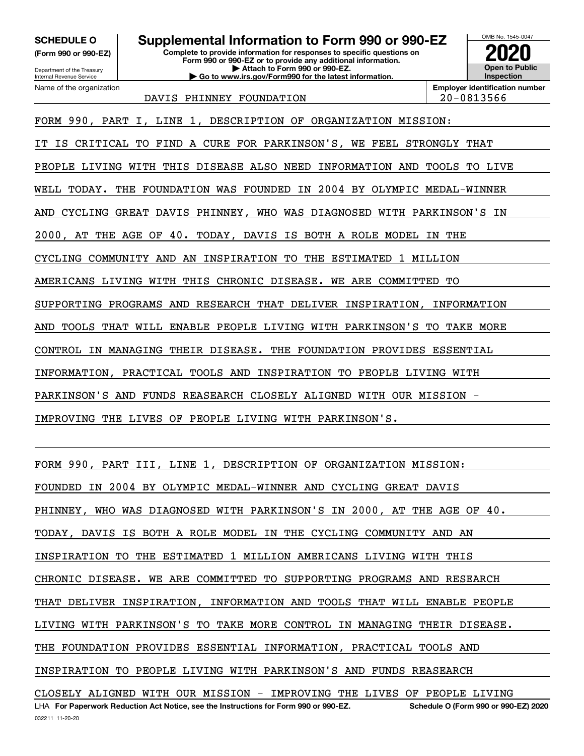**(Form 990 or 990-EZ)**

Department of the Treasury Internal Revenue Service Name of the organization

# **SCHEDULE O Supplemental Information to Form 990 or 990-EZ**

**Complete to provide information for responses to specific questions on Form 990 or 990-EZ or to provide any additional information. | Attach to Form 990 or 990-EZ. | Go to www.irs.gov/Form990 for the latest information.**



DAVIS PHINNEY FOUNDATION 120-0813566

**Employer identification number**

FORM 990, PART I, LINE 1, DESCRIPTION OF ORGANIZATION MISSION:

IT IS CRITICAL TO FIND A CURE FOR PARKINSON'S, WE FEEL STRONGLY THAT

PEOPLE LIVING WITH THIS DISEASE ALSO NEED INFORMATION AND TOOLS TO LIVE

WELL TODAY. THE FOUNDATION WAS FOUNDED IN 2004 BY OLYMPIC MEDAL-WINNER

AND CYCLING GREAT DAVIS PHINNEY, WHO WAS DIAGNOSED WITH PARKINSON'S IN

2000, AT THE AGE OF 40. TODAY, DAVIS IS BOTH A ROLE MODEL IN THE

CYCLING COMMUNITY AND AN INSPIRATION TO THE ESTIMATED 1 MILLION

AMERICANS LIVING WITH THIS CHRONIC DISEASE. WE ARE COMMITTED TO

SUPPORTING PROGRAMS AND RESEARCH THAT DELIVER INSPIRATION, INFORMATION

AND TOOLS THAT WILL ENABLE PEOPLE LIVING WITH PARKINSON'S TO TAKE MORE

CONTROL IN MANAGING THEIR DISEASE. THE FOUNDATION PROVIDES ESSENTIAL

INFORMATION, PRACTICAL TOOLS AND INSPIRATION TO PEOPLE LIVING WITH

PARKINSON'S AND FUNDS REASEARCH CLOSELY ALIGNED WITH OUR MISSION -

IMPROVING THE LIVES OF PEOPLE LIVING WITH PARKINSON'S.

FORM 990, PART III, LINE 1, DESCRIPTION OF ORGANIZATION MISSION:

FOUNDED IN 2004 BY OLYMPIC MEDAL-WINNER AND CYCLING GREAT DAVIS

PHINNEY, WHO WAS DIAGNOSED WITH PARKINSON'S IN 2000, AT THE AGE OF 40.

TODAY, DAVIS IS BOTH A ROLE MODEL IN THE CYCLING COMMUNITY AND AN

INSPIRATION TO THE ESTIMATED 1 MILLION AMERICANS LIVING WITH THIS

CHRONIC DISEASE. WE ARE COMMITTED TO SUPPORTING PROGRAMS AND RESEARCH

THAT DELIVER INSPIRATION, INFORMATION AND TOOLS THAT WILL ENABLE PEOPLE

LIVING WITH PARKINSON'S TO TAKE MORE CONTROL IN MANAGING THEIR DISEASE.

THE FOUNDATION PROVIDES ESSENTIAL INFORMATION, PRACTICAL TOOLS AND

INSPIRATION TO PEOPLE LIVING WITH PARKINSON'S AND FUNDS REASEARCH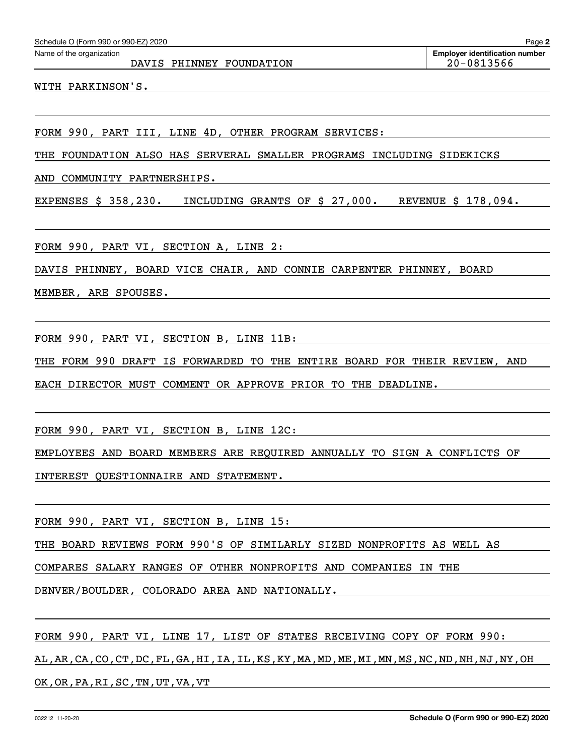Echedule O (Form 990 or 990-EZ) 2020<br>Name of the organization **number** Name of the organization **number** 

DAVIS PHINNEY FOUNDATION 120-0813566

WITH PARKINSON'S.

FORM 990, PART III, LINE 4D, OTHER PROGRAM SERVICES:

THE FOUNDATION ALSO HAS SERVERAL SMALLER PROGRAMS INCLUDING SIDEKICKS

AND COMMUNITY PARTNERSHIPS.

EXPENSES \$ 358,230. INCLUDING GRANTS OF \$ 27,000. REVENUE \$ 178,094.

FORM 990, PART VI, SECTION A, LINE 2:

DAVIS PHINNEY, BOARD VICE CHAIR, AND CONNIE CARPENTER PHINNEY, BOARD

MEMBER, ARE SPOUSES.

FORM 990, PART VI, SECTION B, LINE 11B:

THE FORM 990 DRAFT IS FORWARDED TO THE ENTIRE BOARD FOR THEIR REVIEW, AND

EACH DIRECTOR MUST COMMENT OR APPROVE PRIOR TO THE DEADLINE.

FORM 990, PART VI, SECTION B, LINE 12C:

EMPLOYEES AND BOARD MEMBERS ARE REQUIRED ANNUALLY TO SIGN A CONFLICTS OF

INTEREST QUESTIONNAIRE AND STATEMENT.

FORM 990, PART VI, SECTION B, LINE 15:

THE BOARD REVIEWS FORM 990'S OF SIMILARLY SIZED NONPROFITS AS WELL AS

COMPARES SALARY RANGES OF OTHER NONPROFITS AND COMPANIES IN THE

DENVER/BOULDER, COLORADO AREA AND NATIONALLY.

FORM 990, PART VI, LINE 17, LIST OF STATES RECEIVING COPY OF FORM 990:

AL,AR,CA,CO,CT,DC,FL,GA,HI,IA,IL,KS,KY,MA,MD,ME,MI,MN,MS,NC,ND,NH,NJ,NY,OH

OK,OR,PA,RI,SC,TN,UT,VA,VT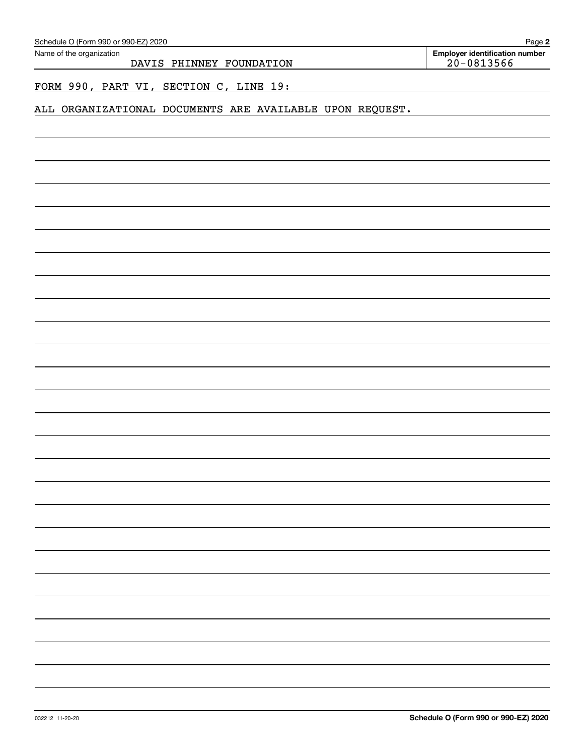| Schedule O (Form 990 or 990-EZ) 2020 |  |  |  |  |
|--------------------------------------|--|--|--|--|
|                                      |  |  |  |  |

## FORM 990, PART VI, SECTION C, LINE 19:

### ALL ORGANIZATIONAL DOCUMENTS ARE AVAILABLE UPON REQUEST.